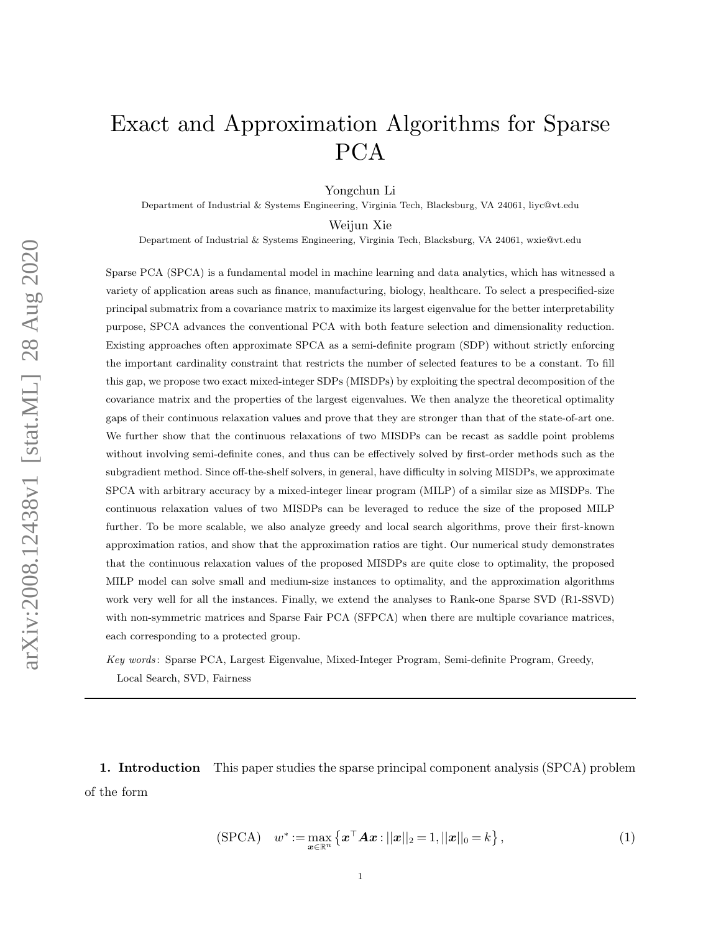# Exact and Approximation Algorithms for Sparse PCA

Yongchun Li

Department of Industrial & Systems Engineering, Virginia Tech, Blacksburg, VA 24061, liyc@vt.edu

Weijun Xie

Department of Industrial & Systems Engineering, Virginia Tech, Blacksburg, VA 24061, wxie@vt.edu

Sparse PCA (SPCA) is a fundamental model in machine learning and data analytics, which has witnessed a variety of application areas such as finance, manufacturing, biology, healthcare. To select a prespecified-size principal submatrix from a covariance matrix to maximize its largest eigenvalue for the better interpretability purpose, SPCA advances the conventional PCA with both feature selection and dimensionality reduction. Existing approaches often approximate SPCA as a semi-definite program (SDP) without strictly enforcing the important cardinality constraint that restricts the number of selected features to be a constant. To fill this gap, we propose two exact mixed-integer SDPs (MISDPs) by exploiting the spectral decomposition of the covariance matrix and the properties of the largest eigenvalues. We then analyze the theoretical optimality gaps of their continuous relaxation values and prove that they are stronger than that of the state-of-art one. We further show that the continuous relaxations of two MISDPs can be recast as saddle point problems without involving semi-definite cones, and thus can be effectively solved by first-order methods such as the subgradient method. Since off-the-shelf solvers, in general, have difficulty in solving MISDPs, we approximate SPCA with arbitrary accuracy by a mixed-integer linear program (MILP) of a similar size as MISDPs. The continuous relaxation values of two MISDPs can be leveraged to reduce the size of the proposed MILP further. To be more scalable, we also analyze greedy and local search algorithms, prove their first-known approximation ratios, and show that the approximation ratios are tight. Our numerical study demonstrates that the continuous relaxation values of the proposed MISDPs are quite close to optimality, the proposed MILP model can solve small and medium-size instances to optimality, and the approximation algorithms work very well for all the instances. Finally, we extend the analyses to Rank-one Sparse SVD (R1-SSVD) with non-symmetric matrices and Sparse Fair PCA (SFPCA) when there are multiple covariance matrices. each corresponding to a protected group.

Key words : Sparse PCA, Largest Eigenvalue, Mixed-Integer Program, Semi-definite Program, Greedy, Local Search, SVD, Fairness

1. Introduction This paper studies the sparse principal component analysis (SPCA) problem of the form

<span id="page-0-0"></span>
$$
(\text{SPCA}) \quad w^* := \max_{\bm{x} \in \mathbb{R}^n} \left\{ \bm{x}^\top \bm{A} \bm{x} : ||\bm{x}||_2 = 1, ||\bm{x}||_0 = k \right\},\tag{1}
$$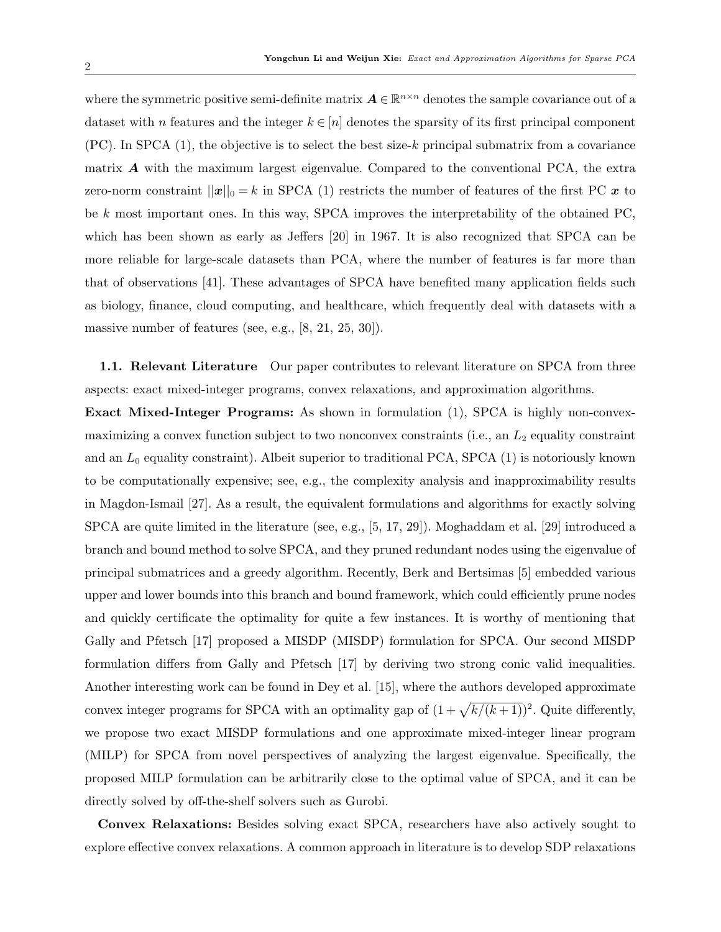where the symmetric positive semi-definite matrix  $A \in \mathbb{R}^{n \times n}$  denotes the sample covariance out of a dataset with n features and the integer  $k \in [n]$  denotes the sparsity of its first principal component  $(PC)$ . In SPCA  $(1)$ , the objective is to select the best size-k principal submatrix from a covariance matrix  $\boldsymbol{A}$  with the maximum largest eigenvalue. Compared to the conventional PCA, the extra zero-norm constraint  $||x||_0 = k$  in SPCA [\(1\)](#page-0-0) restricts the number of features of the first PC x to be k most important ones. In this way, SPCA improves the interpretability of the obtained PC, which has been shown as early as Jeffers [\[20\]](#page-34-0) in 1967. It is also recognized that SPCA can be more reliable for large-scale datasets than PCA, where the number of features is far more than that of observations [\[41\]](#page-35-0). These advantages of SPCA have benefited many application fields such as biology, finance, cloud computing, and healthcare, which frequently deal with datasets with a massive number of features (see, e.g.,  $[8, 21, 25, 30]$  $[8, 21, 25, 30]$  $[8, 21, 25, 30]$  $[8, 21, 25, 30]$ ).

**1.1. Relevant Literature** Our paper contributes to relevant literature on SPCA from three aspects: exact mixed-integer programs, convex relaxations, and approximation algorithms.

Exact Mixed-Integer Programs: As shown in formulation [\(1\)](#page-0-0), SPCA is highly non-convexmaximizing a convex function subject to two nonconvex constraints (i.e., an  $L_2$  equality constraint and an  $L_0$  equality constraint). Albeit superior to traditional PCA, SPCA [\(1\)](#page-0-0) is notoriously known to be computationally expensive; see, e.g., the complexity analysis and inapproximability results in Magdon-Ismail [\[27\]](#page-34-4). As a result, the equivalent formulations and algorithms for exactly solving SPCA are quite limited in the literature (see, e.g., [\[5,](#page-33-1) [17,](#page-34-5) [29\]](#page-34-6)). Moghaddam et al. [\[29\]](#page-34-6) introduced a branch and bound method to solve SPCA, and they pruned redundant nodes using the eigenvalue of principal submatrices and a greedy algorithm. Recently, Berk and Bertsimas [\[5\]](#page-33-1) embedded various upper and lower bounds into this branch and bound framework, which could efficiently prune nodes and quickly certificate the optimality for quite a few instances. It is worthy of mentioning that Gally and Pfetsch [\[17\]](#page-34-5) proposed a MISDP (MISDP) formulation for SPCA. Our second MISDP formulation differs from Gally and Pfetsch [\[17\]](#page-34-5) by deriving two strong conic valid inequalities. Another interesting work can be found in Dey et al. [\[15\]](#page-33-2), where the authors developed approximate convex integer programs for SPCA with an optimality gap of  $(1+\sqrt{k/(k+1)})^2$ . Quite differently, we propose two exact MISDP formulations and one approximate mixed-integer linear program (MILP) for SPCA from novel perspectives of analyzing the largest eigenvalue. Specifically, the proposed MILP formulation can be arbitrarily close to the optimal value of SPCA, and it can be directly solved by off-the-shelf solvers such as Gurobi.

Convex Relaxations: Besides solving exact SPCA, researchers have also actively sought to explore effective convex relaxations. A common approach in literature is to develop SDP relaxations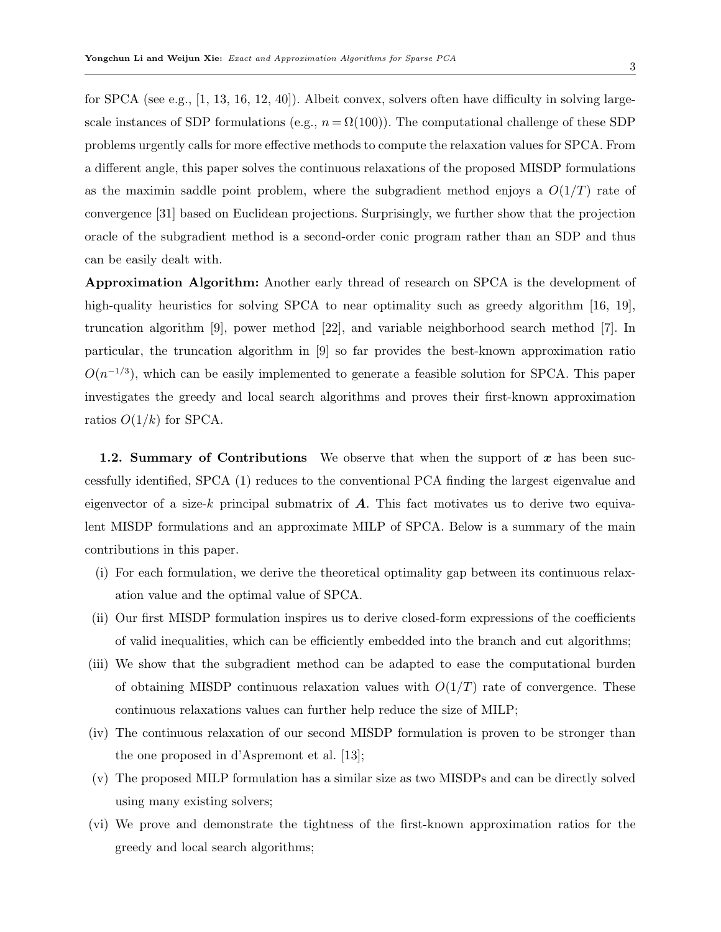for SPCA (see e.g., [\[1,](#page-33-3) [13,](#page-33-4) [16,](#page-33-5) [12,](#page-33-6) [40\]](#page-35-1)). Albeit convex, solvers often have difficulty in solving largescale instances of SDP formulations (e.g.,  $n = \Omega(100)$ ). The computational challenge of these SDP problems urgently calls for more effective methods to compute the relaxation values for SPCA. From a different angle, this paper solves the continuous relaxations of the proposed MISDP formulations as the maximin saddle point problem, where the subgradient method enjoys a  $O(1/T)$  rate of convergence [\[31\]](#page-34-7) based on Euclidean projections. Surprisingly, we further show that the projection oracle of the subgradient method is a second-order conic program rather than an SDP and thus can be easily dealt with.

Approximation Algorithm: Another early thread of research on SPCA is the development of high-quality heuristics for solving SPCA to near optimality such as greedy algorithm [\[16,](#page-33-5) [19\]](#page-34-8), truncation algorithm [\[9\]](#page-33-7), power method [\[22\]](#page-34-9), and variable neighborhood search method [\[7\]](#page-33-8). In particular, the truncation algorithm in [\[9\]](#page-33-7) so far provides the best-known approximation ratio  $O(n^{-1/3})$ , which can be easily implemented to generate a feasible solution for SPCA. This paper investigates the greedy and local search algorithms and proves their first-known approximation ratios  $O(1/k)$  for SPCA.

**1.2. Summary of Contributions** We observe that when the support of  $x$  has been successfully identified, SPCA [\(1\)](#page-0-0) reduces to the conventional PCA finding the largest eigenvalue and eigenvector of a size-k principal submatrix of  $\boldsymbol{A}$ . This fact motivates us to derive two equivalent MISDP formulations and an approximate MILP of SPCA. Below is a summary of the main contributions in this paper.

- (i) For each formulation, we derive the theoretical optimality gap between its continuous relaxation value and the optimal value of SPCA.
- (ii) Our first MISDP formulation inspires us to derive closed-form expressions of the coefficients of valid inequalities, which can be efficiently embedded into the branch and cut algorithms;
- (iii) We show that the subgradient method can be adapted to ease the computational burden of obtaining MISDP continuous relaxation values with  $O(1/T)$  rate of convergence. These continuous relaxations values can further help reduce the size of MILP;
- (iv) The continuous relaxation of our second MISDP formulation is proven to be stronger than the one proposed in d'Aspremont et al. [\[13\]](#page-33-4);
- (v) The proposed MILP formulation has a similar size as two MISDPs and can be directly solved using many existing solvers;
- (vi) We prove and demonstrate the tightness of the first-known approximation ratios for the greedy and local search algorithms;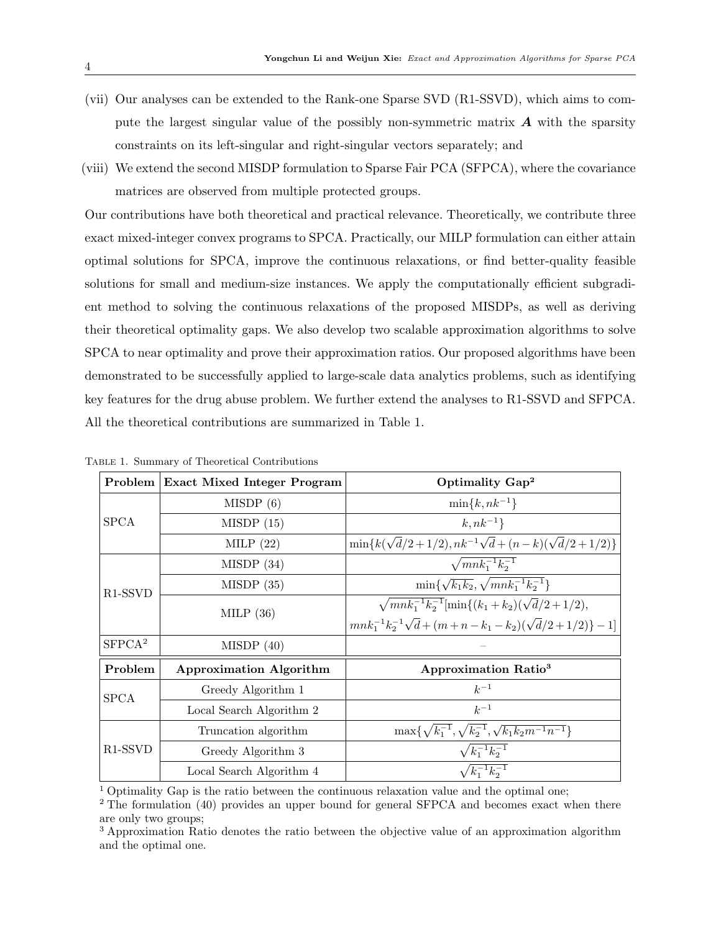- (vii) Our analyses can be extended to the Rank-one Sparse SVD (R1-SSVD), which aims to compute the largest singular value of the possibly non-symmetric matrix  $\boldsymbol{A}$  with the sparsity constraints on its left-singular and right-singular vectors separately; and
- (viii) We extend the second MISDP formulation to Sparse Fair PCA (SFPCA), where the covariance matrices are observed from multiple protected groups.

Our contributions have both theoretical and practical relevance. Theoretically, we contribute three exact mixed-integer convex programs to SPCA. Practically, our MILP formulation can either attain optimal solutions for SPCA, improve the continuous relaxations, or find better-quality feasible solutions for small and medium-size instances. We apply the computationally efficient subgradient method to solving the continuous relaxations of the proposed MISDPs, as well as deriving their theoretical optimality gaps. We also develop two scalable approximation algorithms to solve SPCA to near optimality and prove their approximation ratios. Our proposed algorithms have been demonstrated to be successfully applied to large-scale data analytics problems, such as identifying key features for the drug abuse problem. We further extend the analyses to R1-SSVD and SFPCA. All the theoretical contributions are summarized in Table [1.](#page-3-0)

|                                  | Problem Exact Mixed Integer Program | Optimality Gap <sup>2</sup>                                           |  |  |  |
|----------------------------------|-------------------------------------|-----------------------------------------------------------------------|--|--|--|
| <b>SPCA</b>                      | MISDP(6)                            | $\min\{k,nk^{-1}\}\$                                                  |  |  |  |
|                                  | MISDP(15)                           | $k, nk^{-1}$                                                          |  |  |  |
|                                  | MILP $(22)$                         | $\min\{k(\sqrt{d}/2+1/2), nk^{-1}\sqrt{d}+(n-k)(\sqrt{d}/2+1/2)\}\$   |  |  |  |
| R <sub>1</sub> -SSV <sub>D</sub> | MISDP(34)                           | $\sqrt{mnk_1^{-1}k_2^{-1}}$                                           |  |  |  |
|                                  | MISDP(35)                           | $\min\{\sqrt{k_1k_2}, \sqrt{mnk_1^{-1}k_2^{-1}}\}$                    |  |  |  |
|                                  | MILP $(36)$                         | $\sqrt{mnk_1^{-1}k_2^{-1}}$ [min $\{(k_1+k_2)(\sqrt{d}/2+1/2),$       |  |  |  |
|                                  |                                     | $mnk_1^{-1}k_2^{-1}\sqrt{d}+(m+n-k_1-k_2)(\sqrt{d}/2+1/2)\}-1$        |  |  |  |
| SFPCA <sup>2</sup>               | MISDP(40)                           |                                                                       |  |  |  |
| Problem                          | <b>Approximation Algorithm</b>      | <b>Approximation Ratio<sup>3</sup></b>                                |  |  |  |
| SPCA                             | Greedy Algorithm 1                  | $k^{-1}$                                                              |  |  |  |
|                                  | Local Search Algorithm 2            | $k^{-1}$                                                              |  |  |  |
| R <sub>1</sub> -SSV <sub>D</sub> | Truncation algorithm                | $\max\{\sqrt{k_1^{-1}}, \sqrt{k_2^{-1}}, \sqrt{k_1k_2m^{-1}n^{-1}}\}$ |  |  |  |
|                                  | Greedy Algorithm 3                  | $\sqrt{k_1^{-1}k_2^{-1}}$                                             |  |  |  |
|                                  | Local Search Algorithm 4            | $\sqrt{k_1^{-1}k_2^{-1}}$                                             |  |  |  |

<span id="page-3-0"></span>Table 1. Summary of Theoretical Contributions

<sup>1</sup> Optimality Gap is the ratio between the continuous relaxation value and the optimal one;

<sup>&</sup>lt;sup>2</sup> The formulation [\(40\)](#page-32-0) provides an upper bound for general SFPCA and becomes exact when there are only two groups;

<sup>&</sup>lt;sup>3</sup> Approximation Ratio denotes the ratio between the objective value of an approximation algorithm and the optimal one.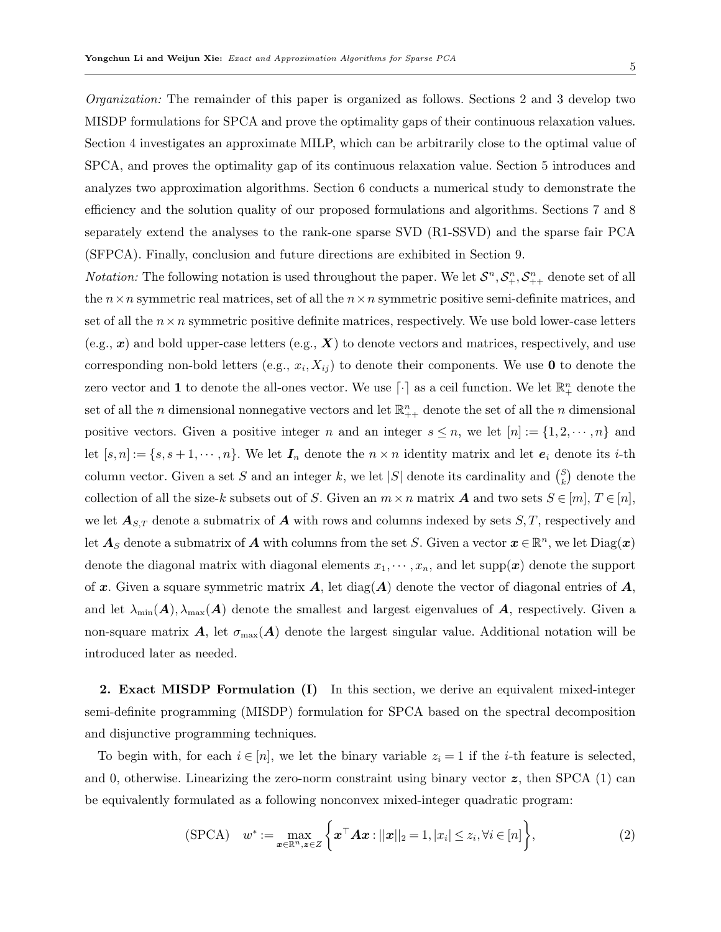Organization: The remainder of this paper is organized as follows. Sections [2](#page-4-0) and [3](#page-10-0) develop two MISDP formulations for SPCA and prove the optimality gaps of their continuous relaxation values. Section [4](#page-14-0) investigates an approximate MILP, which can be arbitrarily close to the optimal value of SPCA, and proves the optimality gap of its continuous relaxation value. Section [5](#page-16-0) introduces and analyzes two approximation algorithms. Section [6](#page-21-0) conducts a numerical study to demonstrate the efficiency and the solution quality of our proposed formulations and algorithms. Sections [7](#page-25-0) and [8](#page-31-1) separately extend the analyses to the rank-one sparse SVD (R1-SSVD) and the sparse fair PCA (SFPCA). Finally, conclusion and future directions are exhibited in Section [9.](#page-32-1)

*Notation:* The following notation is used throughout the paper. We let  $S^n, S^n_+, S^n_{++}$  denote set of all the  $n \times n$  symmetric real matrices, set of all the  $n \times n$  symmetric positive semi-definite matrices, and set of all the  $n \times n$  symmetric positive definite matrices, respectively. We use bold lower-case letters  $(e.g., x)$  and bold upper-case letters  $(e.g., X)$  to denote vectors and matrices, respectively, and use corresponding non-bold letters (e.g.,  $x_i, X_{ij}$ ) to denote their components. We use 0 to denote the zero vector and 1 to denote the all-ones vector. We use  $\lceil \cdot \rceil$  as a ceil function. We let  $\mathbb{R}^n_+$  denote the set of all the n dimensional nonnegative vectors and let  $\mathbb{R}_{++}^n$  denote the set of all the n dimensional positive vectors. Given a positive integer n and an integer  $s \leq n$ , we let  $[n] := \{1, 2, \dots, n\}$  and let  $[s, n] := \{s, s+1, \dots, n\}$ . We let  $\mathbf{I}_n$  denote the  $n \times n$  identity matrix and let  $e_i$  denote its *i*-th column vector. Given a set S and an integer k, we let |S| denote its cardinality and  $\binom{S}{k}$  $\binom{S}{k}$  denote the collection of all the size-k subsets out of S. Given an  $m \times n$  matrix **A** and two sets  $S \in [m], T \in [n]$ , we let  $\mathbf{A}_{S,T}$  denote a submatrix of  $\mathbf{A}$  with rows and columns indexed by sets  $S, T$ , respectively and let  $\mathbf{A}_S$  denote a submatrix of  $\mathbf{A}$  with columns from the set S. Given a vector  $\mathbf{x} \in \mathbb{R}^n$ , we let  $\text{Diag}(\mathbf{x})$ denote the diagonal matrix with diagonal elements  $x_1, \dots, x_n$ , and let supp $(x)$  denote the support of x. Given a square symmetric matrix  $A$ , let diag( $A$ ) denote the vector of diagonal entries of  $A$ , and let  $\lambda_{\min}(A), \lambda_{\max}(A)$  denote the smallest and largest eigenvalues of A, respectively. Given a non-square matrix A, let  $\sigma_{\text{max}}(A)$  denote the largest singular value. Additional notation will be introduced later as needed.

<span id="page-4-0"></span>2. Exact MISDP Formulation (I) In this section, we derive an equivalent mixed-integer semi-definite programming (MISDP) formulation for SPCA based on the spectral decomposition and disjunctive programming techniques.

To begin with, for each  $i \in [n]$ , we let the binary variable  $z_i = 1$  if the *i*-th feature is selected, and 0, otherwise. Linearizing the zero-norm constraint using binary vector  $z$ , then SPCA [\(1\)](#page-0-0) can be equivalently formulated as a following nonconvex mixed-integer quadratic program:

<span id="page-4-1"></span>
$$
(\text{SPCA}) \quad w^* := \max_{\boldsymbol{x} \in \mathbb{R}^n, \boldsymbol{z} \in Z} \left\{ \boldsymbol{x}^\top \boldsymbol{A} \boldsymbol{x} : ||\boldsymbol{x}||_2 = 1, |x_i| \le z_i, \forall i \in [n] \right\},\tag{2}
$$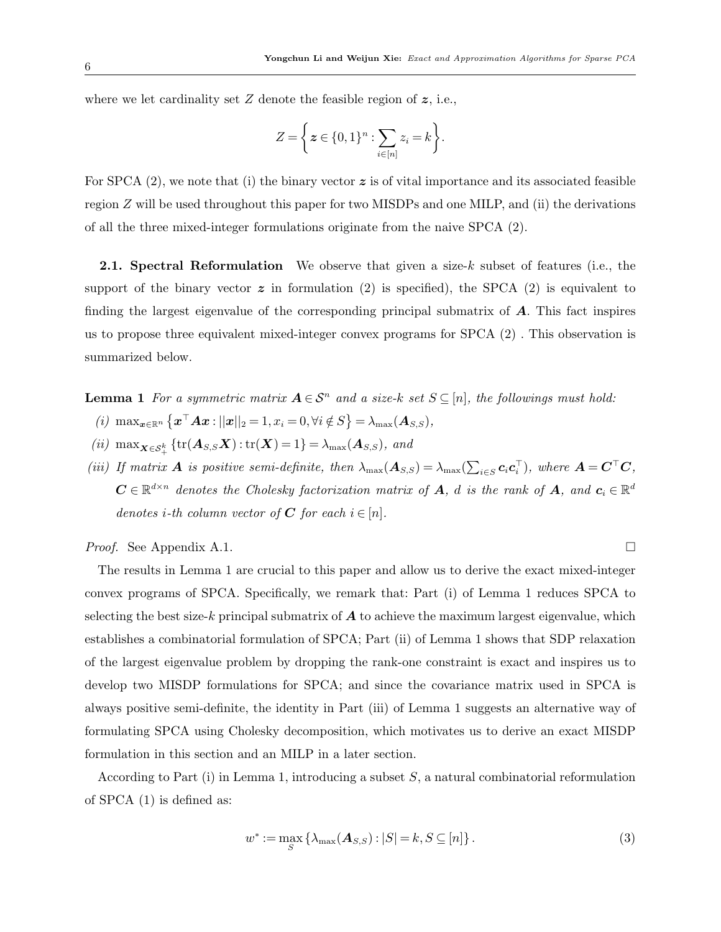where we let cardinality set  $Z$  denote the feasible region of  $z$ , i.e.,

$$
Z = \bigg\{ \boldsymbol{z} \in \{0,1\}^n : \sum_{i \in [n]} z_i = k \bigg\}.
$$

For SPCA  $(2)$ , we note that  $(i)$  the binary vector  $z$  is of vital importance and its associated feasible region Z will be used throughout this paper for two MISDPs and one MILP, and (ii) the derivations of all the three mixed-integer formulations originate from the naive SPCA [\(2\)](#page-4-1).

**2.1. Spectral Reformulation** We observe that given a size-k subset of features (i.e., the support of the binary vector  $\boldsymbol{z}$  in formulation [\(2\)](#page-4-1) is specified), the SPCA (2) is equivalent to finding the largest eigenvalue of the corresponding principal submatrix of  $\bm{A}$ . This fact inspires us to propose three equivalent mixed-integer convex programs for SPCA [\(2\)](#page-4-1) . This observation is summarized below.

- <span id="page-5-0"></span>**Lemma 1** For a symmetric matrix  $A \in S^n$  and a size-k set  $S \subseteq [n]$ , the followings must hold:
- (i)  $\max_{\boldsymbol{x} \in \mathbb{R}^n} {\{\boldsymbol{x}^\top A \boldsymbol{x} : ||\boldsymbol{x}||_2 = 1, x_i = 0, \forall i \notin S\}} = \lambda_{\max}(\boldsymbol{A}_{S,S}),$
- (ii)  $\max_{\mathbf{X} \in \mathcal{S}_+^k} \{ \text{tr}(\mathbf{A}_{S,S} \mathbf{X}) : \text{tr}(\mathbf{X}) = 1 \} = \lambda_{\max}(\mathbf{A}_{S,S})$ , and
- (iii) If matrix **A** is positive semi-definite, then  $\lambda_{\max}(\mathbf{A}_{S,S}) = \lambda_{\max}(\sum_{i \in S} c_i c_i^{\top})$ , where  $\mathbf{A} = \mathbf{C}^{\top} \mathbf{C}$ ,  $\mathbf{C} \in \mathbb{R}^{d \times n}$  denotes the Cholesky factorization matrix of  $\mathbf{A}$ , d is the rank of  $\mathbf{A}$ , and  $\mathbf{c}_i \in \mathbb{R}^{d}$ denotes *i*-th column vector of **C** for each  $i \in [n]$ .

*Proof.* See Appendix [A.1.](#page-36-0)  $\Box$ 

The results in Lemma [1](#page-5-0) are crucial to this paper and allow us to derive the exact mixed-integer convex programs of SPCA. Specifically, we remark that: Part (i) of Lemma [1](#page-5-0) reduces SPCA to selecting the best size-k principal submatrix of  $\boldsymbol{A}$  to achieve the maximum largest eigenvalue, which establishes a combinatorial formulation of SPCA; Part (ii) of Lemma [1](#page-5-0) shows that SDP relaxation of the largest eigenvalue problem by dropping the rank-one constraint is exact and inspires us to develop two MISDP formulations for SPCA; and since the covariance matrix used in SPCA is always positive semi-definite, the identity in Part (iii) of Lemma [1](#page-5-0) suggests an alternative way of formulating SPCA using Cholesky decomposition, which motivates us to derive an exact MISDP formulation in this section and an MILP in a later section.

According to Part  $(i)$  in Lemma [1,](#page-5-0) introducing a subset  $S$ , a natural combinatorial reformulation of SPCA [\(1\)](#page-0-0) is defined as:

<span id="page-5-1"></span>
$$
w^* := \max_{S} \{ \lambda_{\max}(\mathbf{A}_{S,S}) : |S| = k, S \subseteq [n] \}.
$$
 (3)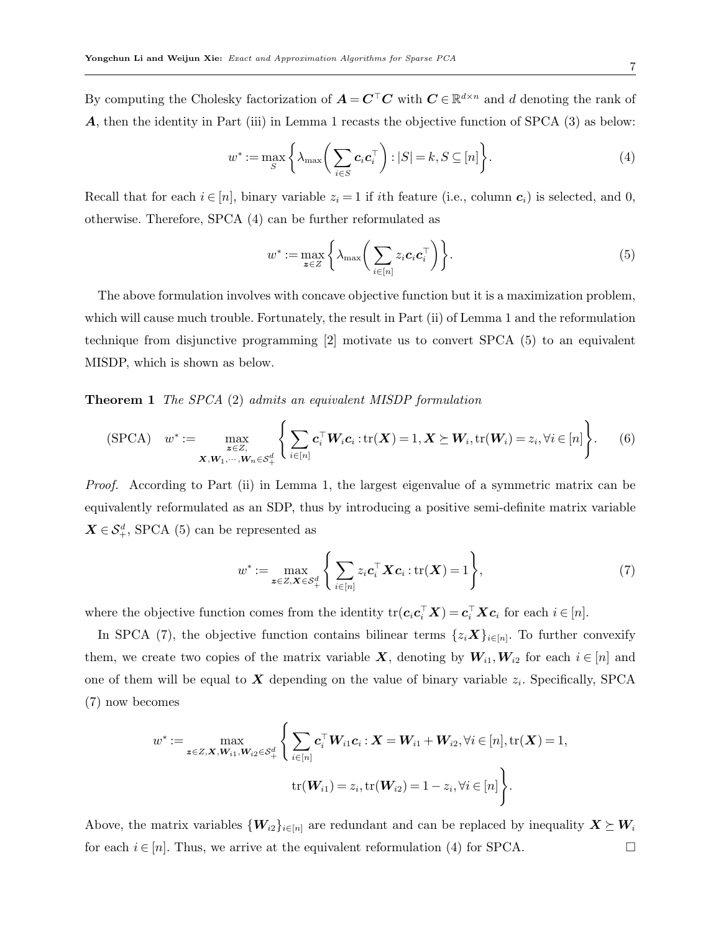By computing the Cholesky factorization of  $A = C^{\top}C$  with  $C \in \mathbb{R}^{d \times n}$  and d denoting the rank of A, then the identity in Part (iii) in Lemma [1](#page-5-0) recasts the objective function of SPCA [\(3\)](#page-5-1) as below:

$$
w^* := \max_{S} \left\{ \lambda_{\max} \left( \sum_{i \in S} \mathbf{c}_i \mathbf{c}_i^\top \right) : |S| = k, S \subseteq [n] \right\}.
$$
 (4)

Recall that for each  $i \in [n]$ , binary variable  $z_i = 1$  if ith feature (i.e., column  $c_i$ ) is selected, and 0, otherwise. Therefore, SPCA [\(4\)](#page-6-1) can be further reformulated as

<span id="page-6-4"></span><span id="page-6-2"></span><span id="page-6-1"></span><span id="page-6-0"></span>
$$
w^* := \max_{\mathbf{z} \in Z} \left\{ \lambda_{\max} \left( \sum_{i \in [n]} z_i \mathbf{c}_i \mathbf{c}_i^\top \right) \right\}.
$$
 (5)

The above formulation involves with concave objective function but it is a maximization problem, which will cause much trouble. Fortunately, the result in Part (ii) of Lemma [1](#page-5-0) and the reformulation technique from disjunctive programming [\[2\]](#page-33-9) motivate us to convert SPCA [\(5\)](#page-6-2) to an equivalent MISDP, which is shown as below.

Theorem 1 The SPCA [\(2\)](#page-4-1) admits an equivalent MISDP formulation

$$
\text{(SPCA)} \quad w^* := \max_{\substack{z \in Z, \\ \mathbf{X}, \mathbf{W}_1, \cdots, \mathbf{W}_n \in \mathcal{S}_+^d}} \left\{ \sum_{i \in [n]} \mathbf{c}_i^\top \mathbf{W}_i \mathbf{c}_i : \text{tr}(\mathbf{X}) = 1, \mathbf{X} \succeq \mathbf{W}_i, \text{tr}(\mathbf{W}_i) = z_i, \forall i \in [n] \right\}.
$$
 (6)

Proof. According to Part (ii) in Lemma [1,](#page-5-0) the largest eigenvalue of a symmetric matrix can be equivalently reformulated as an SDP, thus by introducing a positive semi-definite matrix variable  $\mathbf{X} \in \mathcal{S}_{+}^{d}$ , SPCA [\(5\)](#page-6-2) can be represented as

<span id="page-6-3"></span>
$$
w^* := \max_{\mathbf{z} \in Z, \mathbf{X} \in \mathcal{S}_+^d} \left\{ \sum_{i \in [n]} z_i \mathbf{c}_i^\top \mathbf{X} \mathbf{c}_i : \text{tr}(\mathbf{X}) = 1 \right\},\tag{7}
$$

where the objective function comes from the identity  $tr(c_i c_i^{\top} X) = c_i^{\top} X c_i$  for each  $i \in [n]$ .

In SPCA [\(7\)](#page-6-3), the objective function contains bilinear terms  $\{z_i \mathbf{X}\}_{i \in [n]}$ . To further convexify them, we create two copies of the matrix variable X, denoting by  $W_{i1}, W_{i2}$  for each  $i \in [n]$  and one of them will be equal to  $X$  depending on the value of binary variable  $z_i$ . Specifically, SPCA [\(7\)](#page-6-3) now becomes

$$
w^* := \max_{\boldsymbol{z} \in Z, \boldsymbol{X}, \boldsymbol{W}_{i1}, \boldsymbol{W}_{i2} \in \mathcal{S}_+^d} \left\{ \sum_{i \in [n]} \boldsymbol{c}_i^\top \boldsymbol{W}_{i1} \boldsymbol{c}_i : \boldsymbol{X} = \boldsymbol{W}_{i1} + \boldsymbol{W}_{i2}, \forall i \in [n], \text{tr}(\boldsymbol{X}) = 1, \\ \text{tr}(\boldsymbol{W}_{i1}) = z_i, \text{tr}(\boldsymbol{W}_{i2}) = 1 - z_i, \forall i \in [n] \right\}.
$$

Above, the matrix variables  $\{W_{i2}\}_{i\in[n]}$  are redundant and can be replaced by inequality  $X \succeq W_i$ for each  $i \in [n]$ . Thus, we arrive at the equivalent reformulation [\(4\)](#page-6-1) for SPCA.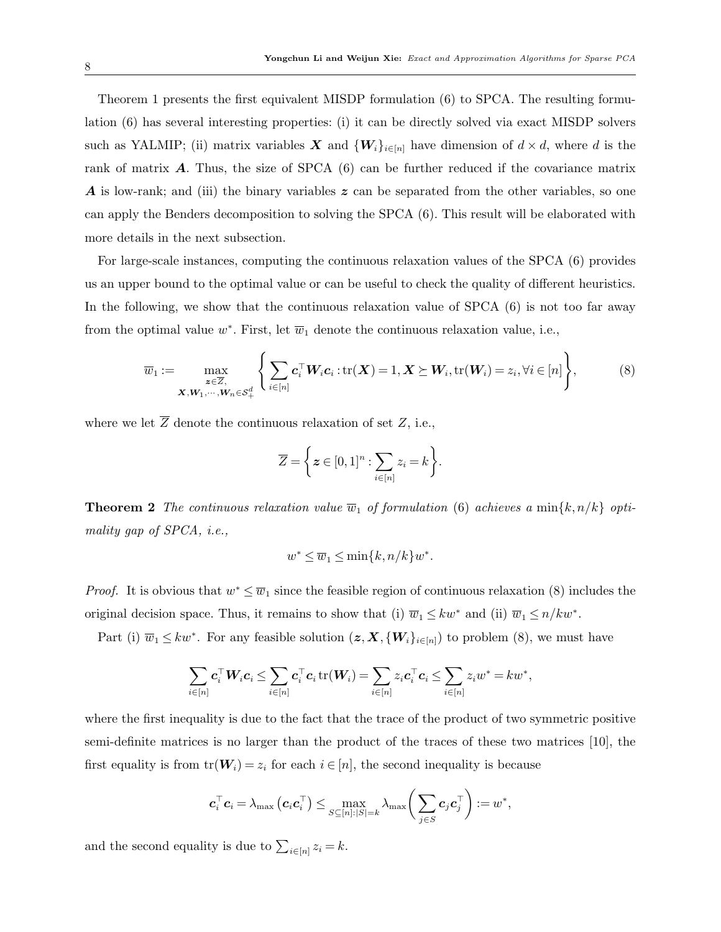Theorem [1](#page-6-4) presents the first equivalent MISDP formulation [\(6\)](#page-6-0) to SPCA. The resulting formulation [\(6\)](#page-6-0) has several interesting properties: (i) it can be directly solved via exact MISDP solvers such as YALMIP; (ii) matrix variables X and  $\{W_i\}_{i\in[n]}$  have dimension of  $d \times d$ , where d is the rank of matrix  $\bf{A}$ . Thus, the size of SPCA  $(6)$  can be further reduced if the covariance matrix **A** is low-rank; and (iii) the binary variables  $z$  can be separated from the other variables, so one can apply the Benders decomposition to solving the SPCA [\(6\)](#page-6-0). This result will be elaborated with more details in the next subsection.

For large-scale instances, computing the continuous relaxation values of the SPCA [\(6\)](#page-6-0) provides us an upper bound to the optimal value or can be useful to check the quality of different heuristics. In the following, we show that the continuous relaxation value of SPCA [\(6\)](#page-6-0) is not too far away from the optimal value  $w^*$ . First, let  $\overline{w}_1$  denote the continuous relaxation value, i.e.,

$$
\overline{w}_1 := \max_{\substack{\mathbf{z} \in \overline{Z}, \\ \mathbf{X}, \mathbf{W}_1, \cdots, \mathbf{W}_n \in \mathcal{S}_+^d}} \left\{ \sum_{i \in [n]} \mathbf{c}_i^\top \mathbf{W}_i \mathbf{c}_i : \text{tr}(\mathbf{X}) = 1, \mathbf{X} \succeq \mathbf{W}_i, \text{tr}(\mathbf{W}_i) = z_i, \forall i \in [n] \right\},\tag{8}
$$

where we let  $\overline{Z}$  denote the continuous relaxation of set  $Z$ , i.e.,

<span id="page-7-0"></span>
$$
\overline{Z} = \left\{ \boldsymbol{z} \in [0,1]^n : \sum_{i \in [n]} z_i = k \right\}.
$$

<span id="page-7-1"></span>**Theorem 2** The continuous relaxation value  $\overline{w}_1$  of formulation [\(6\)](#page-6-0) achieves a min $\{k, n/k\}$  optimality gap of SPCA, i.e.,

$$
w^* \le \overline{w}_1 \le \min\{k, n/k\}w^*.
$$

*Proof.* It is obvious that  $w^* \leq \overline{w}_1$  since the feasible region of continuous relaxation [\(8\)](#page-7-0) includes the original decision space. Thus, it remains to show that (i)  $\overline{w}_1 \leq kw^*$  and (ii)  $\overline{w}_1 \leq n/kw^*$ .

Part (i)  $\overline{w}_1 \leq kw^*$ . For any feasible solution  $(z, X, \{W_i\}_{i \in [n]})$  to problem [\(8\)](#page-7-0), we must have

$$
\sum_{i\in[n]} \boldsymbol{c}_i^\top \boldsymbol{W}_i \boldsymbol{c}_i \leq \sum_{i\in[n]} \boldsymbol{c}_i^\top \boldsymbol{c}_i \operatorname{tr}(\boldsymbol{W}_i) = \sum_{i\in[n]} z_i \boldsymbol{c}_i^\top \boldsymbol{c}_i \leq \sum_{i\in[n]} z_i w^* = k w^*,
$$

where the first inequality is due to the fact that the trace of the product of two symmetric positive semi-definite matrices is no larger than the product of the traces of these two matrices [\[10\]](#page-33-10), the first equality is from  $tr(\mathbf{W}_i) = z_i$  for each  $i \in [n]$ , the second inequality is because

$$
\boldsymbol{c}_i^\top \boldsymbol{c}_i = \lambda_{\text{max}} \left( \boldsymbol{c}_i \boldsymbol{c}_i^\top \right) \leq \max_{S \subseteq [n]: |S| = k} \lambda_{\text{max}} \bigg( \sum_{j \in S} \boldsymbol{c}_j \boldsymbol{c}_j^\top \bigg) := w^*,
$$

and the second equality is due to  $\sum_{i \in [n]} z_i = k$ .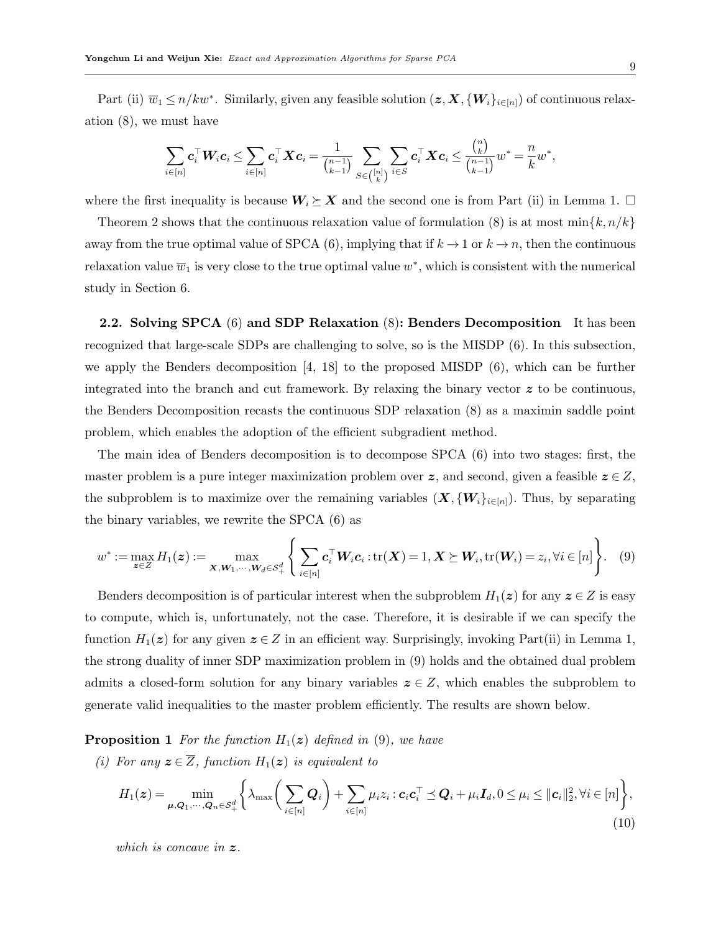Part (ii)  $\overline{w}_1 \le n/kw^*$ . Similarly, given any feasible solution  $(z, X, \{W_i\}_{i \in [n]})$  of continuous relaxation [\(8\)](#page-7-0), we must have

$$
\sum_{i\in[n]} \boldsymbol{c}_i^\top \boldsymbol{W}_i \boldsymbol{c}_i \leq \sum_{i\in[n]} \boldsymbol{c}_i^\top \boldsymbol{X} \boldsymbol{c}_i = \frac{1}{{n-1 \choose k-1}} \sum_{S\in {[n] \choose k}} \sum_{i\in S} \boldsymbol{c}_i^\top \boldsymbol{X} \boldsymbol{c}_i \leq \frac{{n \choose k}}{{n-1 \choose k-1}} w^* = \frac{n}{k} w^*,
$$

where the first inequality is because  $W_i \succeq X$  and the second one is from Part (ii) in Lemma [1.](#page-5-0)  $\Box$ 

Theorem [2](#page-7-1) shows that the continuous relaxation value of formulation [\(8\)](#page-7-0) is at most  $\min\{k, n/k\}$ away from the true optimal value of SPCA [\(6\)](#page-6-0), implying that if  $k \to 1$  or  $k \to n$ , then the continuous relaxation value  $\overline{w}_1$  is very close to the true optimal value  $w^*$ , which is consistent with the numerical study in Section [6.](#page-21-0)

<span id="page-8-3"></span>2.2. Solving SPCA [\(6\)](#page-6-0) and SDP Relaxation [\(8\)](#page-7-0): Benders Decomposition It has been recognized that large-scale SDPs are challenging to solve, so is the MISDP [\(6\)](#page-6-0). In this subsection, we apply the Benders decomposition [\[4,](#page-33-11) [18\]](#page-34-10) to the proposed MISDP [\(6\)](#page-6-0), which can be further integrated into the branch and cut framework. By relaxing the binary vector  $z$  to be continuous. the Benders Decomposition recasts the continuous SDP relaxation [\(8\)](#page-7-0) as a maximin saddle point problem, which enables the adoption of the efficient subgradient method.

The main idea of Benders decomposition is to decompose SPCA [\(6\)](#page-6-0) into two stages: first, the master problem is a pure integer maximization problem over  $\boldsymbol{z}$ , and second, given a feasible  $\boldsymbol{z} \in Z$ , the subproblem is to maximize over the remaining variables  $(X, \{W_i\}_{i\in[n]})$ . Thus, by separating the binary variables, we rewrite the SPCA [\(6\)](#page-6-0) as

<span id="page-8-0"></span>
$$
w^* := \max_{\mathbf{z} \in Z} H_1(\mathbf{z}) := \max_{\mathbf{X}, \mathbf{W}_1, \cdots, \mathbf{W}_d \in \mathcal{S}_+^d} \left\{ \sum_{i \in [n]} \mathbf{c}_i^\top \mathbf{W}_i \mathbf{c}_i : \text{tr}(\mathbf{X}) = 1, \mathbf{X} \succeq \mathbf{W}_i, \text{tr}(\mathbf{W}_i) = z_i, \forall i \in [n] \right\}.
$$
 (9)

Benders decomposition is of particular interest when the subproblem  $H_1(z)$  for any  $z \in Z$  is easy to compute, which is, unfortunately, not the case. Therefore, it is desirable if we can specify the function  $H_1(z)$  for any given  $z \in Z$  in an efficient way. Surprisingly, invoking Part(ii) in Lemma [1,](#page-5-0) the strong duality of inner SDP maximization problem in [\(9\)](#page-8-0) holds and the obtained dual problem admits a closed-form solution for any binary variables  $z \in Z$ , which enables the subproblem to generate valid inequalities to the master problem efficiently. The results are shown below.

<span id="page-8-2"></span>**Proposition 1** For the function  $H_1(z)$  defined in [\(9\)](#page-8-0), we have

(i) For any  $\boldsymbol{z} \in \overline{Z}$ , function  $H_1(\boldsymbol{z})$  is equivalent to

<span id="page-8-1"></span>
$$
H_1(\boldsymbol{z}) = \min_{\boldsymbol{\mu}, \boldsymbol{Q}_1, \cdots, \boldsymbol{Q}_n \in \mathcal{S}_+^d} \left\{ \lambda_{\max} \bigg( \sum_{i \in [n]} \boldsymbol{Q}_i \bigg) + \sum_{i \in [n]} \mu_i z_i : \boldsymbol{c}_i \boldsymbol{c}_i^{\top} \preceq \boldsymbol{Q}_i + \mu_i \boldsymbol{I}_d, 0 \leq \mu_i \leq ||\boldsymbol{c}_i||_2^2, \forall i \in [n] \right\},\tag{10}
$$

which is concave in  $z$ .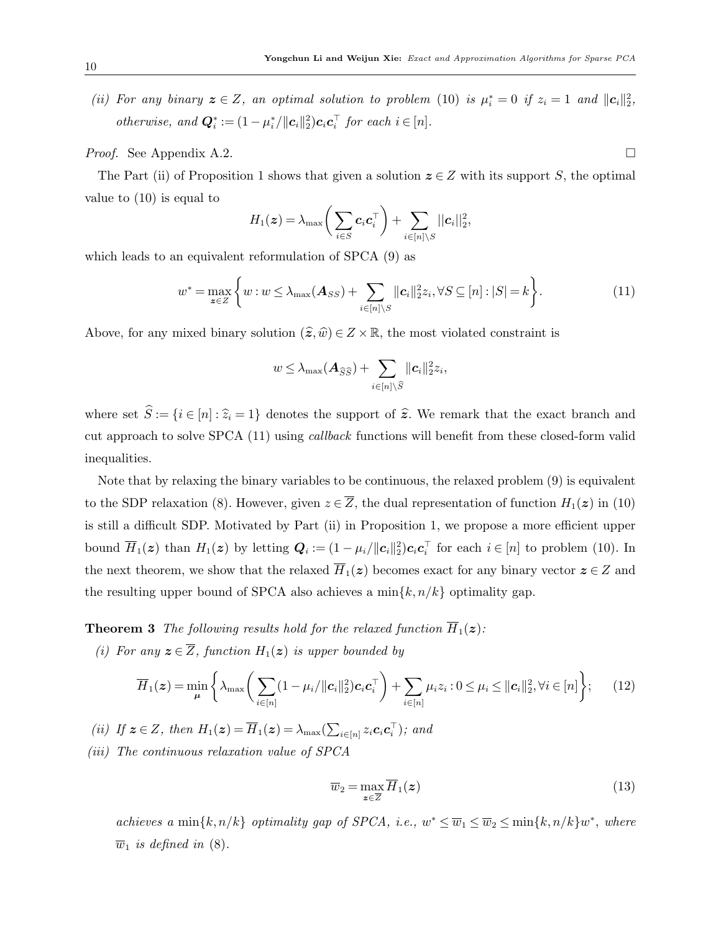(ii) For any binary  $z \in Z$ , an optimal solution to problem [\(10\)](#page-8-1) is  $\mu_i^* = 0$  if  $z_i = 1$  and  $||c_i||_2^2$ , otherwise, and  $\mathbf{Q}_i^* := (1 - \mu_i^* / ||\mathbf{c}_i||_2^2)\mathbf{c}_i \mathbf{c}_i^\top$  for each  $i \in [n]$ .

*Proof.* See Appendix [A.2.](#page-37-0)

The Part (ii) of Proposition [1](#page-8-2) shows that given a solution  $z \in Z$  with its support S, the optimal value to [\(10\)](#page-8-1) is equal to

$$
H_1(\boldsymbol{z}) = \lambda_{\max} \bigg( \sum_{i \in S} \boldsymbol{c}_i \boldsymbol{c}_i^\top \bigg) + \sum_{i \in [n] \setminus S} ||\boldsymbol{c}_i||_2^2,
$$

which leads to an equivalent reformulation of SPCA [\(9\)](#page-8-0) as

<span id="page-9-0"></span>
$$
w^* = \max_{\mathbf{z}\in\mathbb{Z}} \left\{ w : w \leq \lambda_{\max}(\mathbf{A}_{SS}) + \sum_{i\in[n]\setminus S} ||\mathbf{c}_i||_2^2 z_i, \forall S \subseteq [n] : |S| = k \right\}.
$$
 (11)

Above, for any mixed binary solution  $(\hat{\boldsymbol{z}},\hat{w}) \in Z \times \mathbb{R}$ , the most violated constraint is

$$
w \leq \lambda_{\max}(\boldsymbol{A}_{\widehat{S}\widehat{S}}) + \sum_{i \in [n] \setminus \widehat{S}} ||\boldsymbol{c}_i||_2^2 z_i,
$$

where set  $\hat{S} := \{i \in [n] : \hat{z}_i = 1\}$  denotes the support of  $\hat{z}$ . We remark that the exact branch and cut approach to solve SPCA [\(11\)](#page-9-0) using callback functions will benefit from these closed-form valid inequalities.

Note that by relaxing the binary variables to be continuous, the relaxed problem [\(9\)](#page-8-0) is equivalent to the SDP relaxation [\(8\)](#page-7-0). However, given  $z \in \overline{Z}$ , the dual representation of function  $H_1(z)$  in [\(10\)](#page-8-1) is still a difficult SDP. Motivated by Part (ii) in Proposition [1,](#page-8-2) we propose a more efficient upper bound  $\overline{H}_1(z)$  than  $H_1(z)$  by letting  $\mathbf{Q}_i := (1 - \mu_i / ||\mathbf{c}_i||_2^2)\mathbf{c}_i \mathbf{c}_i^{\top}$  for each  $i \in [n]$  to problem [\(10\)](#page-8-1). In the next theorem, we show that the relaxed  $\overline{H}_1(z)$  becomes exact for any binary vector  $z \in Z$  and the resulting upper bound of SPCA also achieves a  $\min\{k, n/k\}$  optimality gap.

**Theorem 3** The following results hold for the relaxed function  $\overline{H}_1(z)$ :

(i) For any  $z \in \overline{Z}$ , function  $H_1(z)$  is upper bounded by

$$
\overline{H}_1(\boldsymbol{z}) = \min_{\boldsymbol{\mu}} \left\{ \lambda_{\max} \bigg( \sum_{i \in [n]} (1 - \mu_i / \| \boldsymbol{c}_i \|_2^2) \boldsymbol{c}_i \boldsymbol{c}_i^\top \bigg) + \sum_{i \in [n]} \mu_i z_i : 0 \le \mu_i \le \| \boldsymbol{c}_i \|_2^2, \forall i \in [n] \right\};\qquad(12)
$$

(ii) If  $z \in Z$ , then  $H_1(z) = \overline{H}_1(z) = \lambda_{\max}(\sum_{i \in [n]} z_i c_i c_i^{\top})$ ; and

(iii) The continuous relaxation value of SPCA

<span id="page-9-2"></span><span id="page-9-1"></span>
$$
\overline{w}_2 = \max_{\boldsymbol{z} \in \overline{Z}} \overline{H}_1(\boldsymbol{z}) \tag{13}
$$

achieves a min $\{k, n/k\}$  optimality gap of SPCA, i.e.,  $w^* \leq \overline{w}_1 \leq \overline{w}_2 \leq \min\{k, n/k\}w^*$ , where  $\overline{w}_1$  is defined in [\(8\)](#page-7-0).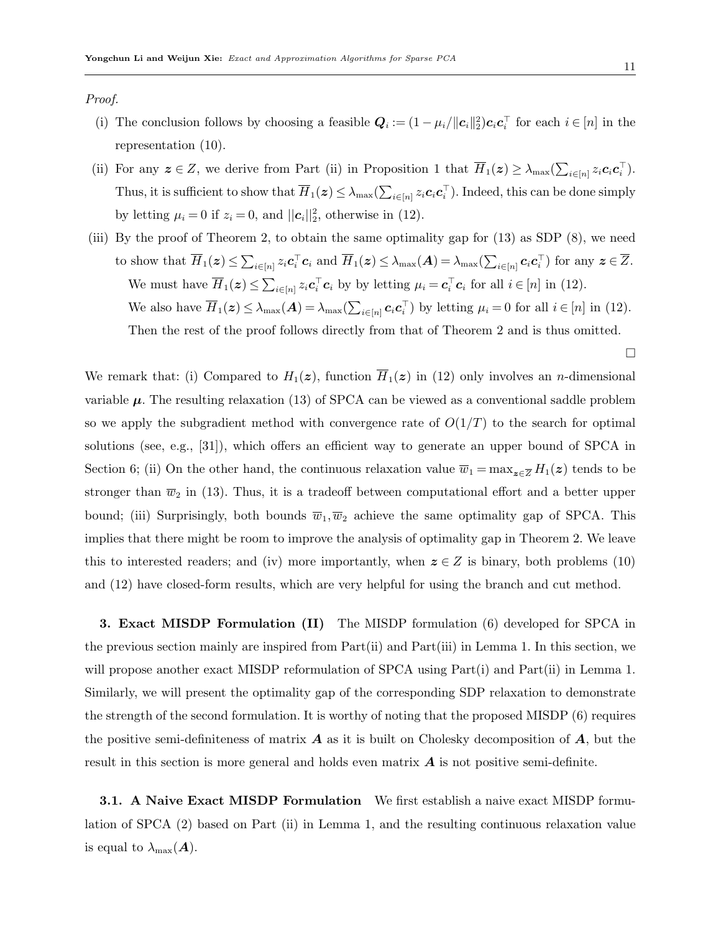Proof.

- (i) The conclusion follows by choosing a feasible  $Q_i := (1 \mu_i / ||c_i||_2^2) c_i c_i^{\top}$  for each  $i \in [n]$  in the representation [\(10\)](#page-8-1).
- (ii) For any  $z \in Z$ , we derive from Part (ii) in Proposition [1](#page-8-2) that  $\overline{H}_1(z) \geq \lambda_{\max}(\sum_{i \in [n]} z_i \mathbf{c}_i \mathbf{c}_i^\top)$ . Thus, it is sufficient to show that  $\overline{H}_1(z) \leq \lambda_{\max}(\sum_{i \in [n]} z_i c_i c_i^{\top})$ . Indeed, this can be done simply by letting  $\mu_i = 0$  if  $z_i = 0$ , and  $||c_i||_2^2$ , otherwise in [\(12\)](#page-9-1).
- (iii) By the proof of Theorem [2,](#page-7-1) to obtain the same optimality gap for [\(13\)](#page-9-2) as SDP [\(8\)](#page-7-0), we need to show that  $\overline{H}_1(z) \leq \sum_{i \in [n]} z_i \mathbf{c}_i^{\top} \mathbf{c}_i$  and  $\overline{H}_1(z) \leq \lambda_{\max}(\mathbf{A}) = \lambda_{\max}(\sum_{i \in [n]} \mathbf{c}_i \mathbf{c}_i^{\top})$  for any  $z \in \overline{Z}$ . We must have  $\overline{H}_1(z) \leq \sum_{i \in [n]} z_i \mathbf{c}_i^{\top} \mathbf{c}_i$  by by letting  $\mu_i = \mathbf{c}_i^{\top} \mathbf{c}_i$  for all  $i \in [n]$  in [\(12\)](#page-9-1). We also have  $\overline{H}_1(z) \leq \lambda_{\max}(A) = \lambda_{\max}(\sum_{i \in [n]} c_i c_i^{\top})$  by letting  $\mu_i = 0$  for all  $i \in [n]$  in [\(12\)](#page-9-1). Then the rest of the proof follows directly from that of Theorem [2](#page-7-1) and is thus omitted.

We remark that: (i) Compared to  $H_1(z)$ , function  $\overline{H}_1(z)$  in [\(12\)](#page-9-1) only involves an *n*-dimensional variable  $\mu$ . The resulting relaxation [\(13\)](#page-9-2) of SPCA can be viewed as a conventional saddle problem so we apply the subgradient method with convergence rate of  $O(1/T)$  to the search for optimal solutions (see, e.g., [\[31\]](#page-34-7)), which offers an efficient way to generate an upper bound of SPCA in Section [6;](#page-21-0) (ii) On the other hand, the continuous relaxation value  $\overline{w}_1 = \max_{z \in \overline{Z}} H_1(z)$  tends to be stronger than  $\overline{w}_2$  in [\(13\)](#page-9-2). Thus, it is a tradeoff between computational effort and a better upper bound; (iii) Surprisingly, both bounds  $\overline{w}_1,\overline{w}_2$  achieve the same optimality gap of SPCA. This implies that there might be room to improve the analysis of optimality gap in Theorem [2.](#page-7-1) We leave this to interested readers; and (iv) more importantly, when  $z \in Z$  is binary, both problems [\(10\)](#page-8-1) and [\(12\)](#page-9-1) have closed-form results, which are very helpful for using the branch and cut method.

<span id="page-10-0"></span>3. Exact MISDP Formulation (II) The MISDP formulation [\(6\)](#page-6-0) developed for SPCA in the previous section mainly are inspired from Part(ii) and Part(iii) in Lemma [1.](#page-5-0) In this section, we will propose another exact MISDP reformulation of SPCA using Part(i) and Part(ii) in Lemma [1.](#page-5-0) Similarly, we will present the optimality gap of the corresponding SDP relaxation to demonstrate the strength of the second formulation. It is worthy of noting that the proposed MISDP [\(6\)](#page-6-0) requires the positive semi-definiteness of matrix  $\bm{A}$  as it is built on Cholesky decomposition of  $\bm{A}$ , but the result in this section is more general and holds even matrix  $\boldsymbol{A}$  is not positive semi-definite.

<span id="page-10-1"></span>**3.1.** A Naive Exact MISDP Formulation We first establish a naive exact MISDP formulation of SPCA [\(2\)](#page-4-1) based on Part (ii) in Lemma [1,](#page-5-0) and the resulting continuous relaxation value is equal to  $\lambda_{\max}(\boldsymbol{A})$ .

 $\Box$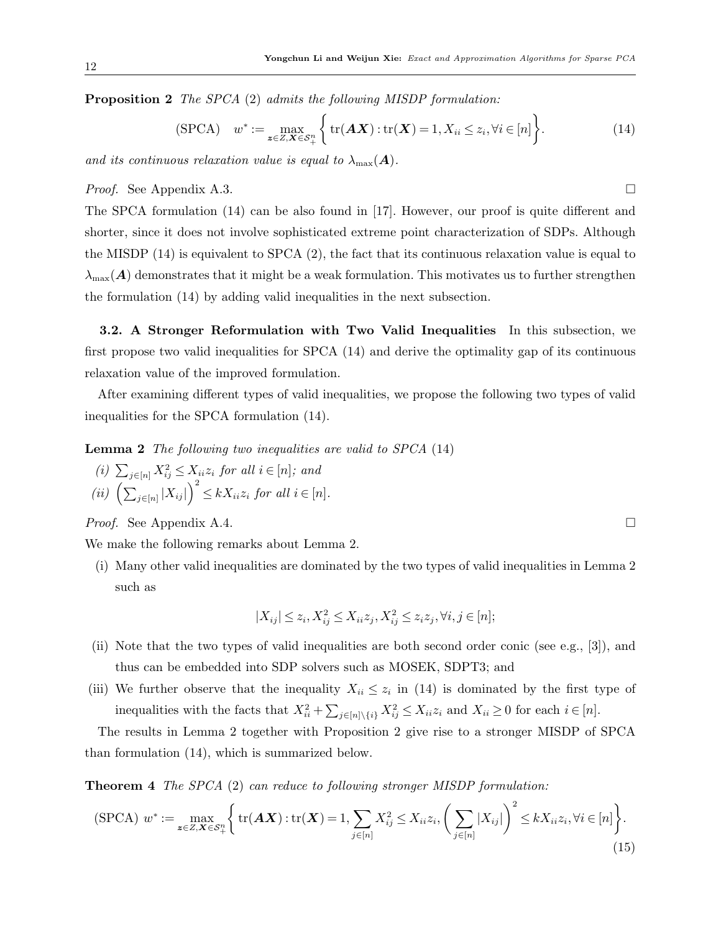Proposition 2 The SPCA [\(2\)](#page-4-1) admits the following MISDP formulation:

$$
(\text{SPCA}) \quad w^* := \max_{\mathbf{z} \in Z, \mathbf{X} \in \mathcal{S}_+^n} \left\{ \text{tr}(\mathbf{A}\mathbf{X}) : \text{tr}(\mathbf{X}) = 1, X_{ii} \le z_i, \forall i \in [n] \right\}.
$$
 (14)

and its continuous relaxation value is equal to  $\lambda_{\text{max}}(A)$ .

*Proof.* See Appendix [A.3.](#page-39-0)

The SPCA formulation [\(14\)](#page-11-1) can be also found in [\[17\]](#page-34-5). However, our proof is quite different and shorter, since it does not involve sophisticated extreme point characterization of SDPs. Although the MISDP [\(14\)](#page-11-1) is equivalent to SPCA [\(2\)](#page-4-1), the fact that its continuous relaxation value is equal to  $\lambda_{\text{max}}(A)$  demonstrates that it might be a weak formulation. This motivates us to further strengthen the formulation [\(14\)](#page-11-1) by adding valid inequalities in the next subsection.

3.2. A Stronger Reformulation with Two Valid Inequalities In this subsection, we first propose two valid inequalities for SPCA [\(14\)](#page-11-1) and derive the optimality gap of its continuous relaxation value of the improved formulation.

After examining different types of valid inequalities, we propose the following two types of valid inequalities for the SPCA formulation [\(14\)](#page-11-1).

Lemma 2 The following two inequalities are valid to SPCA [\(14\)](#page-11-1)

(i)  $\sum_{j \in [n]} X_{ij}^2 \leq X_{ii} z_i$  for all  $i \in [n]$ ; and (ii)  $\left(\sum_{j\in[n]} |X_{ij}|\right)^2 \leq kX_{ii}z_i$  for all  $i \in [n]$ .

*Proof.* See Appendix [A.4.](#page-40-0)

We make the following remarks about Lemma [2.](#page-11-2)

(i) Many other valid inequalities are dominated by the two types of valid inequalities in Lemma [2](#page-11-2) such as

<span id="page-11-3"></span><span id="page-11-2"></span>
$$
|X_{ij}| \leq z_i, X_{ij}^2 \leq X_{ii}z_j, X_{ij}^2 \leq z_iz_j, \forall i, j \in [n];
$$

- (ii) Note that the two types of valid inequalities are both second order conic (see e.g., [\[3\]](#page-33-12)), and thus can be embedded into SDP solvers such as MOSEK, SDPT3; and
- (iii) We further observe that the inequality  $X_{ii} \leq z_i$  in [\(14\)](#page-11-1) is dominated by the first type of inequalities with the facts that  $X_{ii}^2 + \sum_{j \in [n] \setminus \{i\}} X_{ij}^2 \le X_{ii} z_i$  and  $X_{ii} \ge 0$  for each  $i \in [n]$ .

The results in Lemma [2](#page-11-2) together with Proposition [2](#page-10-1) give rise to a stronger MISDP of SPCA than formulation [\(14\)](#page-11-1), which is summarized below.

**Theorem 4** The SPCA [\(2\)](#page-4-1) can reduce to following stronger MISDP formulation:

$$
\text{(SPCA)}\,\,w^* := \max_{\mathbf{z}\in Z,\mathbf{X}\in\mathcal{S}_+^n} \Bigg\{\text{tr}(\mathbf{A}\mathbf{X}) : \text{tr}(\mathbf{X}) = 1, \sum_{j\in[n]} X_{ij}^2 \le X_{ii} z_i, \bigg(\sum_{j\in[n]} |X_{ij}|\bigg)^2 \le k X_{ii} z_i, \forall i\in[n]\Bigg\}.\tag{15}
$$

<span id="page-11-1"></span>

<span id="page-11-0"></span>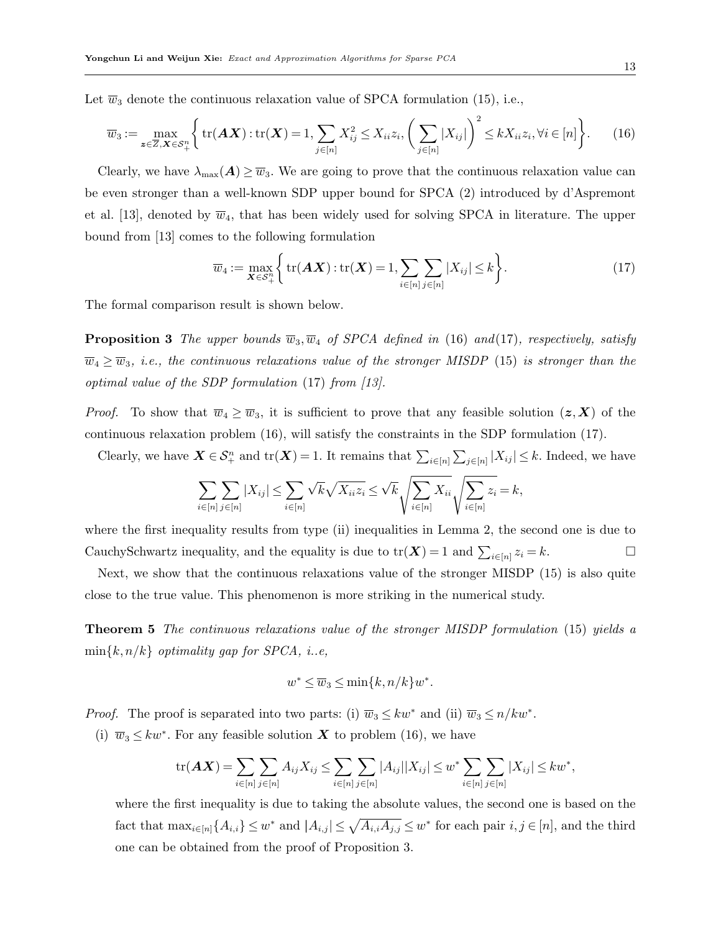Let  $\overline{w}_3$  denote the continuous relaxation value of SPCA formulation [\(15\)](#page-11-0), i.e.,

$$
\overline{w}_3 := \max_{\mathbf{z} \in \overline{Z}, \mathbf{X} \in \mathcal{S}_+^n} \left\{ \text{tr}(\mathbf{A}\mathbf{X}) : \text{tr}(\mathbf{X}) = 1, \sum_{j \in [n]} X_{ij}^2 \le X_{ii} z_i, \left( \sum_{j \in [n]} |X_{ij}| \right)^2 \le k X_{ii} z_i, \forall i \in [n] \right\}.
$$
 (16)

Clearly, we have  $\lambda_{\max}(A) \geq \overline{w}_3$ . We are going to prove that the continuous relaxation value can be even stronger than a well-known SDP upper bound for SPCA [\(2\)](#page-4-1) introduced by d'Aspremont et al. [\[13\]](#page-33-4), denoted by  $\overline{w}_4$ , that has been widely used for solving SPCA in literature. The upper bound from [\[13\]](#page-33-4) comes to the following formulation

<span id="page-12-1"></span><span id="page-12-0"></span>
$$
\overline{w}_4 := \max_{\mathbf{X} \in \mathcal{S}_+^n} \left\{ \text{tr}(\mathbf{A}\mathbf{X}) : \text{tr}(\mathbf{X}) = 1, \sum_{i \in [n]} \sum_{j \in [n]} |X_{ij}| \le k \right\}.
$$
 (17)

<span id="page-12-2"></span>The formal comparison result is shown below.

**Proposition 3** The upper bounds  $\overline{w}_3$ ,  $\overline{w}_4$  of SPCA defined in [\(16\)](#page-12-0) and[\(17\)](#page-12-1), respectively, satisfy  $\overline{w}_4 \ge \overline{w}_3$ , i.e., the continuous relaxations value of the stronger MISDP [\(15\)](#page-11-0) is stronger than the optimal value of the SDP formulation [\(17\)](#page-12-1) from [\[13\]](#page-33-4).

*Proof.* To show that  $\overline{w}_4 \ge \overline{w}_3$ , it is sufficient to prove that any feasible solution  $(z, X)$  of the continuous relaxation problem [\(16\)](#page-12-0), will satisfy the constraints in the SDP formulation [\(17\)](#page-12-1).

Clearly, we have  $\mathbf{X} \in \mathcal{S}_{+}^{n}$  and  $\text{tr}(\mathbf{X}) = 1$ . It remains that  $\sum_{i \in [n]} \sum_{j \in [n]} |X_{ij}| \leq k$ . Indeed, we have

$$
\sum_{i\in[n]} \sum_{j\in[n]} |X_{ij}| \leq \sum_{i\in[n]} \sqrt{k} \sqrt{X_{ii} z_i} \leq \sqrt{k} \sqrt{\sum_{i\in[n]} X_{ii}} \sqrt{\sum_{i\in[n]} z_i} = k,
$$

where the first inequality results from type (ii) inequalities in Lemma [2,](#page-11-2) the second one is due to CauchySchwartz inequality, and the equality is due to  $tr(\mathbf{X}) = 1$  and  $\sum_{i \in [n]} z_i = k$ .

Next, we show that the continuous relaxations value of the stronger MISDP [\(15\)](#page-11-0) is also quite close to the true value. This phenomenon is more striking in the numerical study.

Theorem 5 The continuous relaxations value of the stronger MISDP formulation [\(15\)](#page-11-0) yields a  $\min\{k, n/k\}$  optimality gap for SPCA, i.e.

<span id="page-12-3"></span>
$$
w^* \le \overline{w}_3 \le \min\{k, n/k\}w^*.
$$

*Proof.* The proof is separated into two parts: (i)  $\overline{w}_3 \leq kw^*$  and (ii)  $\overline{w}_3 \leq n/kw^*$ .

(i)  $\overline{w}_3 \leq kw^*$ . For any feasible solution **X** to problem [\(16\)](#page-12-0), we have

$$
\mathrm{tr}(\mathbf{A}\mathbf{X}) = \sum_{i \in [n]} \sum_{j \in [n]} A_{ij} X_{ij} \le \sum_{i \in [n]} \sum_{j \in [n]} |A_{ij}| |X_{ij}| \le w^* \sum_{i \in [n]} \sum_{j \in [n]} |X_{ij}| \le kw^*,
$$

where the first inequality is due to taking the absolute values, the second one is based on the fact that  $\max_{i \in [n]} \{A_{i,i}\} \leq w^*$  and  $|A_{i,j}| \leq \sqrt{A_{i,i}A_{j,j}} \leq w^*$  for each pair  $i, j \in [n]$ , and the third one can be obtained from the proof of Proposition [3.](#page-12-2)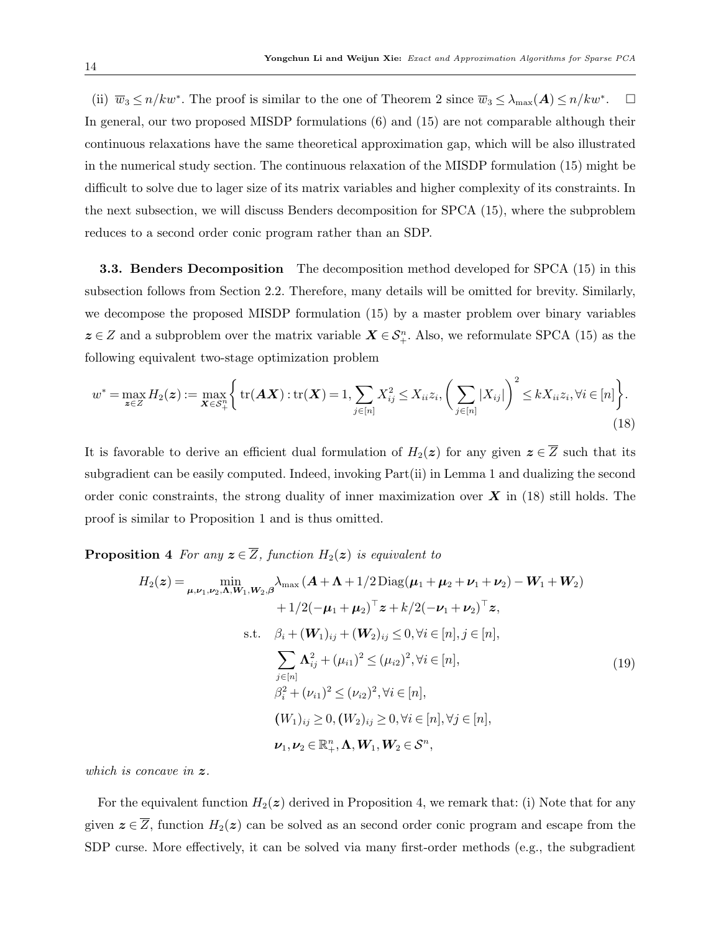(ii)  $\overline{w}_3 \le n/kw^*$ . The proof is similar to the one of Theorem [2](#page-7-1) since  $\overline{w}_3 \le \lambda_{\max}(A) \le n/kw^*$  $\Box$ In general, our two proposed MISDP formulations [\(6\)](#page-6-0) and [\(15\)](#page-11-0) are not comparable although their continuous relaxations have the same theoretical approximation gap, which will be also illustrated in the numerical study section. The continuous relaxation of the MISDP formulation [\(15\)](#page-11-0) might be difficult to solve due to lager size of its matrix variables and higher complexity of its constraints. In the next subsection, we will discuss Benders decomposition for SPCA [\(15\)](#page-11-0), where the subproblem reduces to a second order conic program rather than an SDP.

3.3. Benders Decomposition The decomposition method developed for SPCA [\(15\)](#page-11-0) in this subsection follows from Section [2.2.](#page-8-3) Therefore, many details will be omitted for brevity. Similarly, we decompose the proposed MISDP formulation [\(15\)](#page-11-0) by a master problem over binary variables  $z \in Z$  and a subproblem over the matrix variable  $X \in S_{+}^{n}$ . Also, we reformulate SPCA [\(15\)](#page-11-0) as the following equivalent two-stage optimization problem

$$
w^* = \max_{\mathbf{z} \in Z} H_2(\mathbf{z}) := \max_{\mathbf{X} \in S_+^n} \Big\{ \text{tr}(\mathbf{A}\mathbf{X}) : \text{tr}(\mathbf{X}) = 1, \sum_{j \in [n]} X_{ij}^2 \le X_{ii} z_i, \left(\sum_{j \in [n]} |X_{ij}|\right)^2 \le k X_{ii} z_i, \forall i \in [n] \Big\}.
$$
\n(18)

It is favorable to derive an efficient dual formulation of  $H_2(z)$  for any given  $z \in \overline{Z}$  such that its subgradient can be easily computed. Indeed, invoking Part(ii) in Lemma [1](#page-5-0) and dualizing the second order conic constraints, the strong duality of inner maximization over  $\boldsymbol{X}$  in [\(18\)](#page-13-0) still holds. The proof is similar to Proposition [1](#page-8-2) and is thus omitted.

**Proposition 4** For any  $z \in \overline{Z}$ , function  $H_2(z)$  is equivalent to

<span id="page-13-1"></span><span id="page-13-0"></span>
$$
H_{2}(z) = \min_{\mu,\nu_{1},\nu_{2},\Lambda,W_{1},W_{2},\beta} \lambda_{\max} (A + \Lambda + 1/2 \operatorname{Diag}(\mu_{1} + \mu_{2} + \nu_{1} + \nu_{2}) - W_{1} + W_{2})
$$
  
+ 1/2(-\mu\_{1} + \mu\_{2})^{\top} z + k/2(-\nu\_{1} + \nu\_{2})^{\top} z,  
s.t.  $\beta_{i} + (W_{1})_{ij} + (W_{2})_{ij} \leq 0, \forall i \in [n], j \in [n],$   

$$
\sum_{j \in [n]} \Lambda_{ij}^{2} + (\mu_{i1})^{2} \leq (\mu_{i2})^{2}, \forall i \in [n],
$$
  
 $\beta_{i}^{2} + (\nu_{i1})^{2} \leq (\nu_{i2})^{2}, \forall i \in [n],$   
 $(W_{1})_{ij} \geq 0, (W_{2})_{ij} \geq 0, \forall i \in [n], \forall j \in [n],$   
 $\nu_{1}, \nu_{2} \in \mathbb{R}_{+}^{n}, \Lambda, W_{1}, W_{2} \in S^{n},$  (19)

which is concave in  $z$ .

For the equivalent function  $H_2(z)$  derived in Proposition [4,](#page-13-1) we remark that: (i) Note that for any given  $\boldsymbol{z} \in \overline{Z}$ , function  $H_2(\boldsymbol{z})$  can be solved as an second order conic program and escape from the SDP curse. More effectively, it can be solved via many first-order methods (e.g., the subgradient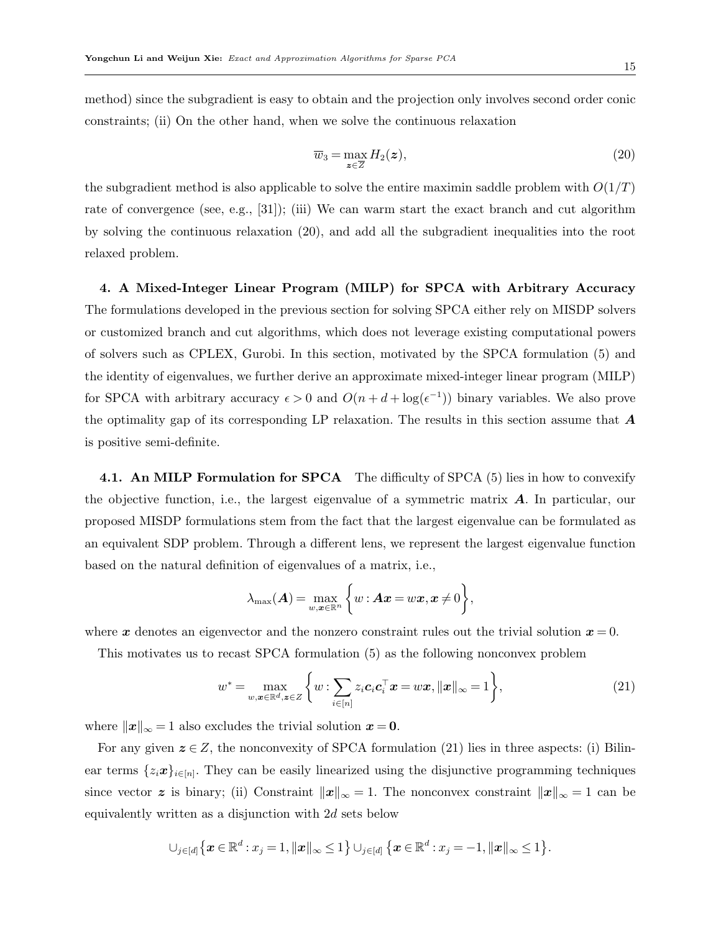method) since the subgradient is easy to obtain and the projection only involves second order conic constraints; (ii) On the other hand, when we solve the continuous relaxation

<span id="page-14-1"></span>
$$
\overline{w}_3 = \max_{\mathbf{z} \in \overline{Z}} H_2(\mathbf{z}),\tag{20}
$$

the subgradient method is also applicable to solve the entire maximin saddle problem with  $O(1/T)$ rate of convergence (see, e.g., [\[31\]](#page-34-7)); (iii) We can warm start the exact branch and cut algorithm by solving the continuous relaxation [\(20\)](#page-14-1), and add all the subgradient inequalities into the root relaxed problem.

<span id="page-14-0"></span>4. A Mixed-Integer Linear Program (MILP) for SPCA with Arbitrary Accuracy The formulations developed in the previous section for solving SPCA either rely on MISDP solvers or customized branch and cut algorithms, which does not leverage existing computational powers of solvers such as CPLEX, Gurobi. In this section, motivated by the SPCA formulation [\(5\)](#page-6-2) and the identity of eigenvalues, we further derive an approximate mixed-integer linear program (MILP) for SPCA with arbitrary accuracy  $\epsilon > 0$  and  $O(n + d + \log(\epsilon^{-1}))$  binary variables. We also prove the optimality gap of its corresponding LP relaxation. The results in this section assume that  $\boldsymbol{A}$ is positive semi-definite.

4.1. An MILP Formulation for SPCA The difficulty of SPCA [\(5\)](#page-6-2) lies in how to convexify the objective function, i.e., the largest eigenvalue of a symmetric matrix  $\bf{A}$ . In particular, our proposed MISDP formulations stem from the fact that the largest eigenvalue can be formulated as an equivalent SDP problem. Through a different lens, we represent the largest eigenvalue function based on the natural definition of eigenvalues of a matrix, i.e.,

<span id="page-14-2"></span>
$$
\lambda_{\max}(\boldsymbol{A}) = \max_{w,\boldsymbol{x}\in\mathbb{R}^n} \bigg\{ w : \boldsymbol{A}\boldsymbol{x} = w\boldsymbol{x}, \boldsymbol{x}\neq 0 \bigg\},
$$

where x denotes an eigenvector and the nonzero constraint rules out the trivial solution  $x = 0$ .

This motivates us to recast SPCA formulation [\(5\)](#page-6-2) as the following nonconvex problem

$$
w^* = \max_{w, \mathbf{x} \in \mathbb{R}^d, \mathbf{z} \in Z} \left\{ w : \sum_{i \in [n]} z_i \mathbf{c}_i \mathbf{c}_i^\top \mathbf{x} = w \mathbf{x}, ||\mathbf{x}||_\infty = 1 \right\},\tag{21}
$$

where  $||x||_{\infty} = 1$  also excludes the trivial solution  $x = 0$ .

For any given  $z \in Z$ , the nonconvexity of SPCA formulation [\(21\)](#page-14-2) lies in three aspects: (i) Bilinear terms  $\{z_i\mathbf{x}\}_{i\in[n]}$ . They can be easily linearized using the disjunctive programming techniques since vector z is binary; (ii) Constraint  $||x||_{\infty} = 1$ . The nonconvex constraint  $||x||_{\infty} = 1$  can be equivalently written as a disjunction with 2d sets below

$$
\cup_{j\in[d]}\left\{\boldsymbol{x}\in\mathbb{R}^d:x_j=1, \|\boldsymbol{x}\|_{\infty}\leq 1\right\}\cup_{j\in[d]}\left\{\boldsymbol{x}\in\mathbb{R}^d:x_j=-1, \|\boldsymbol{x}\|_{\infty}\leq 1\right\}.
$$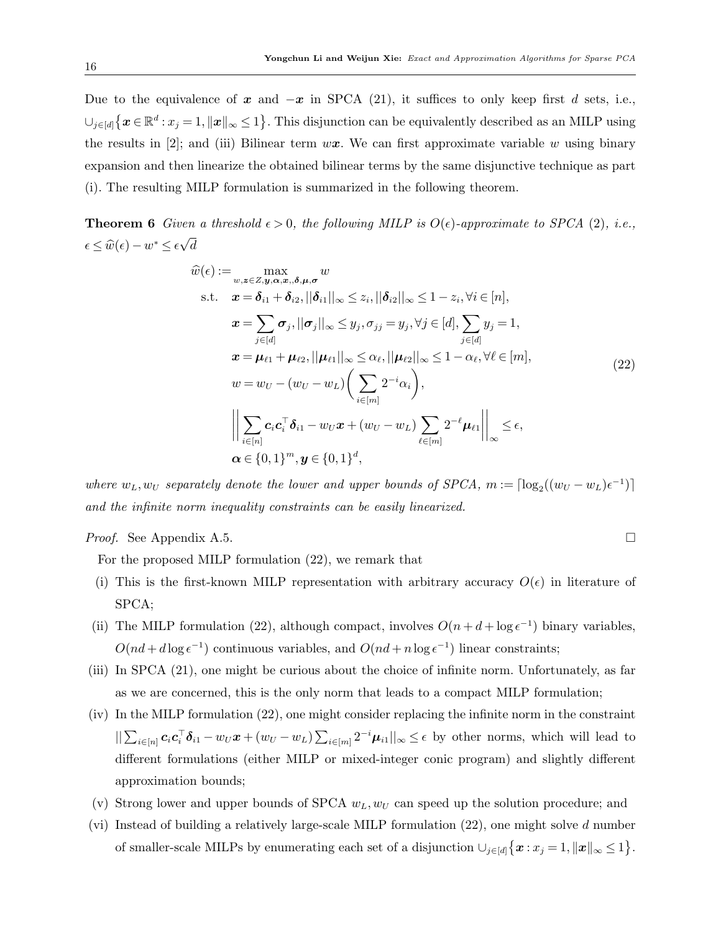Due to the equivalence of x and  $-x$  in SPCA [\(21\)](#page-14-2), it suffices to only keep first d sets, i.e.,  $\bigcup_{j\in[d]}\left\{\boldsymbol{x}\in\mathbb{R}^{d}:x_{j}=1,\|\boldsymbol{x}\|_{\infty}\leq1\right\}$ . This disjunction can be equivalently described as an MILP using the results in [\[2\]](#page-33-9); and (iii) Bilinear term  $w\mathbf{x}$ . We can first approximate variable w using binary expansion and then linearize the obtained bilinear terms by the same disjunctive technique as part (i). The resulting MILP formulation is summarized in the following theorem.

**Theorem 6** Given a threshold  $\epsilon > 0$ , the following MILP is  $O(\epsilon)$ -approximate to SPCA [\(2\)](#page-4-1), i.e.,  $\epsilon \leq \widehat{w}(\epsilon) - w^* \leq \epsilon$ √ d

<span id="page-15-1"></span><span id="page-15-0"></span>
$$
\hat{w}(\epsilon) := \max_{w,z \in Z, y, \alpha, x, \delta, \mu, \sigma} w
$$
\n
$$
\text{s.t.} \quad \mathbf{x} = \delta_{i1} + \delta_{i2}, ||\delta_{i1}||_{\infty} \le z_i, ||\delta_{i2}||_{\infty} \le 1 - z_i, \forall i \in [n],
$$
\n
$$
\mathbf{x} = \sum_{j \in [d]} \sigma_j, ||\sigma_j||_{\infty} \le y_j, \sigma_{jj} = y_j, \forall j \in [d], \sum_{j \in [d]} y_j = 1,
$$
\n
$$
\mathbf{x} = \mu_{\ell 1} + \mu_{\ell 2}, ||\mu_{\ell 1}||_{\infty} \le \alpha_{\ell}, ||\mu_{\ell 2}||_{\infty} \le 1 - \alpha_{\ell}, \forall \ell \in [m],
$$
\n
$$
w = w_U - (w_U - w_L) \left( \sum_{i \in [m]} 2^{-i} \alpha_i \right),
$$
\n
$$
\left\| \sum_{i \in [n]} c_i c_i^\top \delta_{i1} - w_U x + (w_U - w_L) \sum_{\ell \in [m]} 2^{-\ell} \mu_{\ell 1} \right\|_{\infty} \le \epsilon,
$$
\n
$$
\alpha \in \{0, 1\}^m, \mathbf{y} \in \{0, 1\}^d,
$$
\n(22)

where  $w_L, w_U$  separately denote the lower and upper bounds of SPCA,  $m := \lceil \log_2((w_U - w_L)\epsilon^{-1}) \rceil$ and the infinite norm inequality constraints can be easily linearized.

*Proof.* See Appendix [A.5.](#page-40-1)

For the proposed MILP formulation [\(22\)](#page-15-0), we remark that

- (i) This is the first-known MILP representation with arbitrary accuracy  $O(\epsilon)$  in literature of SPCA;
- (ii) The MILP formulation [\(22\)](#page-15-0), although compact, involves  $O(n + d + \log \epsilon^{-1})$  binary variables,  $O(nd + d \log \epsilon^{-1})$  continuous variables, and  $O(nd + n \log \epsilon^{-1})$  linear constraints;
- (iii) In SPCA [\(21\)](#page-14-2), one might be curious about the choice of infinite norm. Unfortunately, as far as we are concerned, this is the only norm that leads to a compact MILP formulation;
- (iv) In the MILP formulation [\(22\)](#page-15-0), one might consider replacing the infinite norm in the constraint  $||\sum_{i\in[n]} c_i c_i^{\top} \delta_{i1} - w_U x + (w_U - w_L) \sum_{i\in[m]} 2^{-i} \mu_{i1}||_{\infty} \leq \epsilon$  by other norms, which will lead to different formulations (either MILP or mixed-integer conic program) and slightly different approximation bounds;
- (v) Strong lower and upper bounds of SPCA  $w_L, w_U$  can speed up the solution procedure; and
- (vi) Instead of building a relatively large-scale MILP formulation [\(22\)](#page-15-0), one might solve d number of smaller-scale MILPs by enumerating each set of a disjunction  $\bigcup_{j\in[d]}\left\{\boldsymbol{x}:x_j=1,\|\boldsymbol{x}\|_{\infty}\leq 1\right\}.$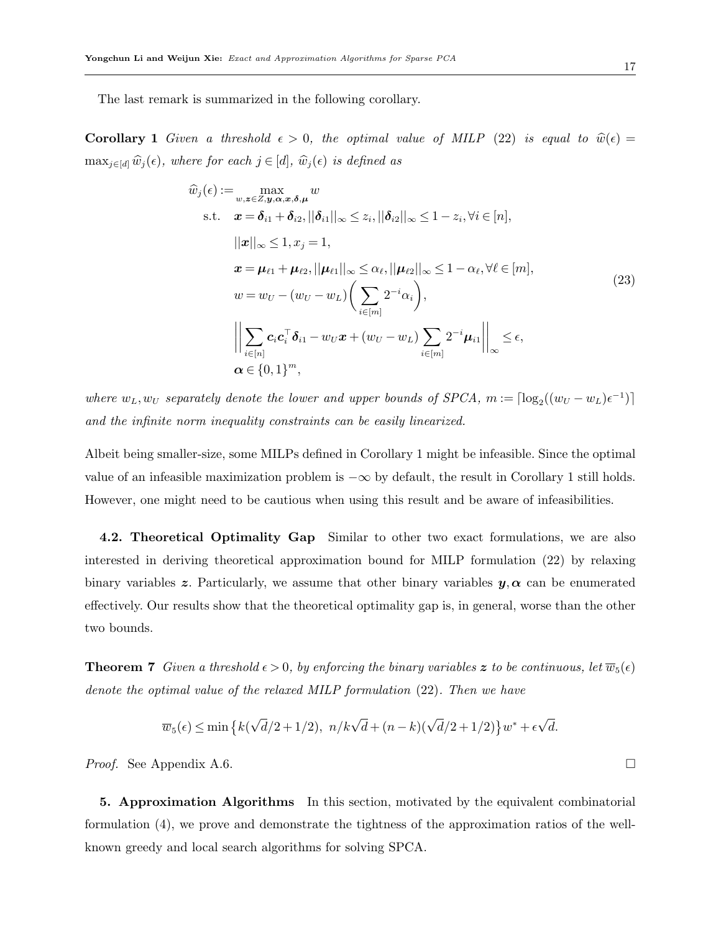The last remark is summarized in the following corollary.

**Corollary 1** Given a threshold  $\epsilon > 0$ , the optimal value of MILP [\(22\)](#page-15-0) is equal to  $\hat{w}(\epsilon) =$  $\max_{j \in [d]} \widehat{w}_j(\epsilon)$ , where for each  $j \in [d]$ ,  $\widehat{w}_j(\epsilon)$  is defined as

<span id="page-16-1"></span>
$$
\hat{w}_j(\epsilon) := \max_{w,z \in \mathbb{Z}, y, \alpha, x, \delta, \mu} w
$$
\n
$$
\text{s.t.} \quad \mathbf{x} = \delta_{i1} + \delta_{i2}, ||\delta_{i1}||_{\infty} \leq z_i, ||\delta_{i2}||_{\infty} \leq 1 - z_i, \forall i \in [n],
$$
\n
$$
||\mathbf{x}||_{\infty} \leq 1, x_j = 1,
$$
\n
$$
\mathbf{x} = \mu_{\ell 1} + \mu_{\ell 2}, ||\mu_{\ell 1}||_{\infty} \leq \alpha_{\ell}, ||\mu_{\ell 2}||_{\infty} \leq 1 - \alpha_{\ell}, \forall \ell \in [m],
$$
\n
$$
w = w_U - (w_U - w_L) \left( \sum_{i \in [m]} 2^{-i} \alpha_i \right),
$$
\n
$$
\left\| \sum_{i \in [n]} c_i c_i^\top \delta_{i1} - w_U \mathbf{x} + (w_U - w_L) \sum_{i \in [m]} 2^{-i} \mu_{i1} \right\|_{\infty} \leq \epsilon,
$$
\n
$$
\alpha \in \{0, 1\}^m,
$$
\n
$$
(23)
$$

where  $w_L, w_U$  separately denote the lower and upper bounds of SPCA,  $m := \lceil \log_2((w_U - w_L)\epsilon^{-1}) \rceil$ and the infinite norm inequality constraints can be easily linearized.

Albeit being smaller-size, some MILPs defined in Corollary [1](#page-16-1) might be infeasible. Since the optimal value of an infeasible maximization problem is  $-\infty$  by default, the result in Corollary [1](#page-16-1) still holds. However, one might need to be cautious when using this result and be aware of infeasibilities.

4.2. Theoretical Optimality Gap Similar to other two exact formulations, we are also interested in deriving theoretical approximation bound for MILP formulation [\(22\)](#page-15-0) by relaxing binary variables z. Particularly, we assume that other binary variables  $y, \alpha$  can be enumerated effectively. Our results show that the theoretical optimality gap is, in general, worse than the other two bounds.

<span id="page-16-2"></span>**Theorem 7** Given a threshold  $\epsilon > 0$ , by enforcing the binary variables z to be continuous, let  $\overline{w}_5(\epsilon)$ denote the optimal value of the relaxed MILP formulation [\(22\)](#page-15-0). Then we have

$$
\overline{w}_5(\epsilon) \le \min\left\{k(\sqrt{d}/2 + 1/2), \ n/k\sqrt{d} + (n-k)(\sqrt{d}/2 + 1/2)\right\}w^* + \epsilon\sqrt{d}.
$$

*Proof.* See Appendix [A.6.](#page-42-0)  $\Box$ 

<span id="page-16-0"></span>5. Approximation Algorithms In this section, motivated by the equivalent combinatorial formulation [\(4\)](#page-6-1), we prove and demonstrate the tightness of the approximation ratios of the wellknown greedy and local search algorithms for solving SPCA.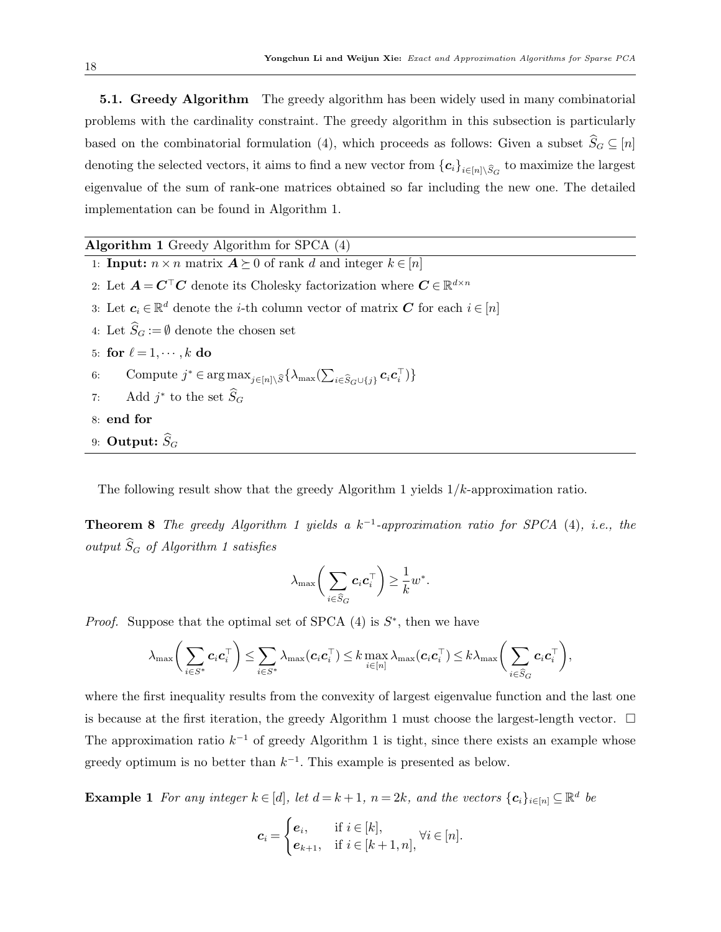5.1. Greedy Algorithm The greedy algorithm has been widely used in many combinatorial problems with the cardinality constraint. The greedy algorithm in this subsection is particularly based on the combinatorial formulation [\(4\)](#page-6-1), which proceeds as follows: Given a subset  $\widehat{S}_G \subseteq [n]$ denoting the selected vectors, it aims to find a new vector from  $\{c_i\}_{i\in[n]\setminus\widehat{S}_G}$  to maximize the largest eigenvalue of the sum of rank-one matrices obtained so far including the new one. The detailed implementation can be found in Algorithm [1.](#page-17-0)

<span id="page-17-0"></span>Algorithm 1 Greedy Algorithm for SPCA [\(4\)](#page-6-1) 1: **Input:**  $n \times n$  matrix  $A \succeq 0$  of rank d and integer  $k \in [n]$ 2: Let  $A = C^{\top}C$  denote its Cholesky factorization where  $C \in \mathbb{R}^{d \times n}$ 3: Let  $c_i \in \mathbb{R}^d$  denote the *i*-th column vector of matrix  $C$  for each  $i \in [n]$ 4: Let  $\widehat{S}_G := \emptyset$  denote the chosen set 5: for  $\ell = 1, \cdots, k$  do 6: Compute  $j^* \in \arg \max_{j \in [n] \setminus \widehat{S}} \{ \lambda_{\max}(\sum_{i \in \widehat{S}_G \cup \{j\}} c_i c_i^{\top}) \}$ 7: Add  $j^*$  to the set  $\widehat{S}_G$ 8: end for 9: Output:  $\widehat{S}_G$ 

The following result show that the greedy Algorithm [1](#page-17-0) yields  $1/k$ -approximation ratio.

**Theorem 8** The greedy Algorithm [1](#page-17-0) yields a  $k^{-1}$ -approximation ratio for SPCA [\(4\)](#page-6-1), i.e., the output  $\widehat{S}_G$  of Algorithm [1](#page-17-0) satisfies

<span id="page-17-2"></span>
$$
\lambda_{\max}\bigg(\sum_{i\in\widehat{S}_G}\bm{c}_i\bm{c}_i^\top\bigg)\geq\frac{1}{k}w^*.
$$

*Proof.* Suppose that the optimal set of SPCA  $(4)$  is  $S^*$ , then we have

$$
\lambda_{\max}\bigg(\sum_{i\in S^*}c_i\mathbf{c}_i^\top\bigg) \leq \sum_{i\in S^*}\lambda_{\max}(\mathbf{c}_i\mathbf{c}_i^\top) \leq k\max_{i\in[n]}\lambda_{\max}(\mathbf{c}_i\mathbf{c}_i^\top) \leq k\lambda_{\max}\bigg(\sum_{i\in \widehat{S}_G}\mathbf{c}_i\mathbf{c}_i^\top\bigg),
$$

where the first inequality results from the convexity of largest eigenvalue function and the last one is because at the first iteration, the greedy Algorithm [1](#page-17-0) must choose the largest-length vector.  $\Box$ The approximation ratio  $k^{-1}$  of greedy Algorithm [1](#page-17-0) is tight, since there exists an example whose greedy optimum is no better than  $k^{-1}$ . This example is presented as below.

**Example 1** For any integer  $k \in [d]$ , let  $d = k + 1$ ,  $n = 2k$ , and the vectors  $\{c_i\}_{i \in [n]} \subseteq \mathbb{R}^d$  be

<span id="page-17-1"></span>
$$
\mathbf{c}_i = \begin{cases} \mathbf{e}_i, & \text{if } i \in [k], \\ \mathbf{e}_{k+1}, & \text{if } i \in [k+1, n], \end{cases} \forall i \in [n].
$$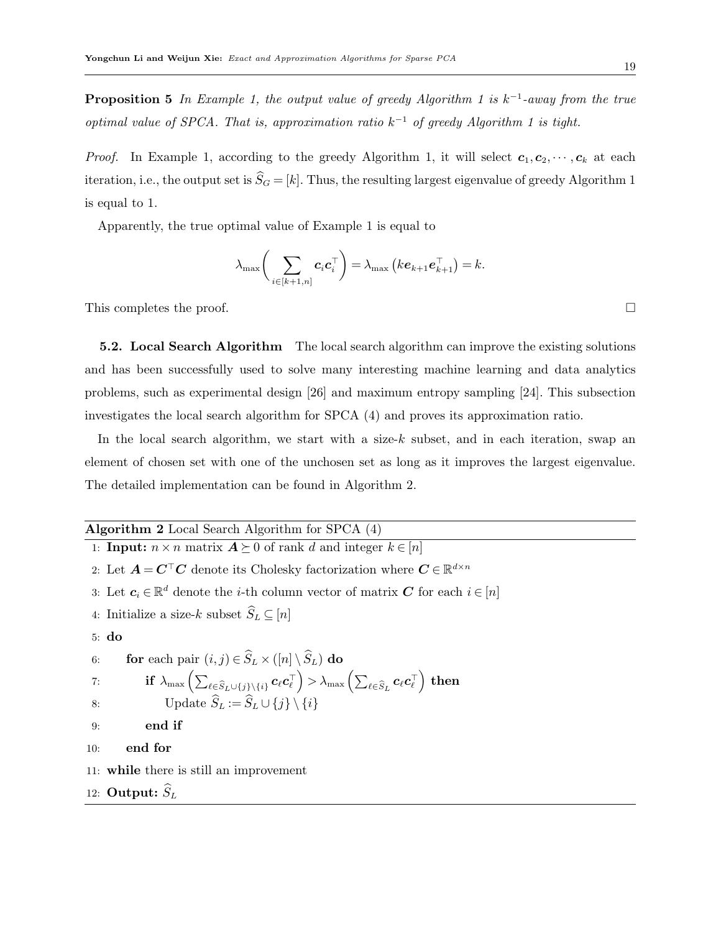**Proposition 5** In Example [1,](#page-17-1) the output value of greedy Algorithm [1](#page-17-0) is  $k^{-1}$ -away from the true optimal value of SPCA. That is, approximation ratio  $k^{-1}$  of greedy Algorithm [1](#page-17-0) is tight.

*Proof.* In Example [1,](#page-17-0) according to the greedy Algorithm 1, it will select  $c_1, c_2, \dots, c_k$  at each iteration, i.e., the output set is  $\widehat{S}_G = [k]$ . Thus, the resulting largest eigenvalue of greedy Algorithm [1](#page-17-0) is equal to 1.

Apparently, the true optimal value of Example [1](#page-17-1) is equal to

$$
\lambda_{\max}\bigg(\sum_{i\in[k+1,n]}c_i\mathbf{c}_i^{\top}\bigg)=\lambda_{\max}\big(k\mathbf{e}_{k+1}\mathbf{e}_{k+1}^{\top}\big)=k.
$$

This completes the proof.  $\Box$ 

5.2. Local Search Algorithm The local search algorithm can improve the existing solutions and has been successfully used to solve many interesting machine learning and data analytics problems, such as experimental design [\[26\]](#page-34-11) and maximum entropy sampling [\[24\]](#page-34-12). This subsection investigates the local search algorithm for SPCA [\(4\)](#page-6-1) and proves its approximation ratio.

In the local search algorithm, we start with a size-k subset, and in each iteration, swap an element of chosen set with one of the unchosen set as long as it improves the largest eigenvalue. The detailed implementation can be found in Algorithm [2.](#page-18-0)

# Algorithm 2 Local Search Algorithm for SPCA [\(4\)](#page-6-1)

<span id="page-18-1"></span><span id="page-18-0"></span>1: **Input:**  $n \times n$  matrix  $A \succeq 0$  of rank d and integer  $k \in [n]$ 2: Let  $A = C<sup>T</sup>C$  denote its Cholesky factorization where  $C \in \mathbb{R}^{d \times n}$ 3: Let  $c_i \in \mathbb{R}^d$  denote the *i*-th column vector of matrix  $C$  for each  $i \in [n]$ 4: Initialize a size-k subset  $S_L \subseteq [n]$ 5: do 6: **for** each pair  $(i, j) \in \hat{S}_L \times ([n] \setminus \hat{S}_L)$  do  $\text{if}~~\lambda_{\max}\left(\sum_{\ell\in \widehat{S}_L\cup \{j\}\backslash\{i\}}\bm{c}_\ell\bm{c}_\ell^\top \right)>\lambda_{\max}\left(\sum_{\ell\in \widehat{S}_L}\bm{c}_\ell\bm{c}_\ell^\top \right)~\text{then}$ 8: Update  $\widehat{S}_L := \widehat{S}_L \cup \{j\} \setminus \{i\}$ 9: end if 10: end for 11: while there is still an improvement 12: Output:  $S_L$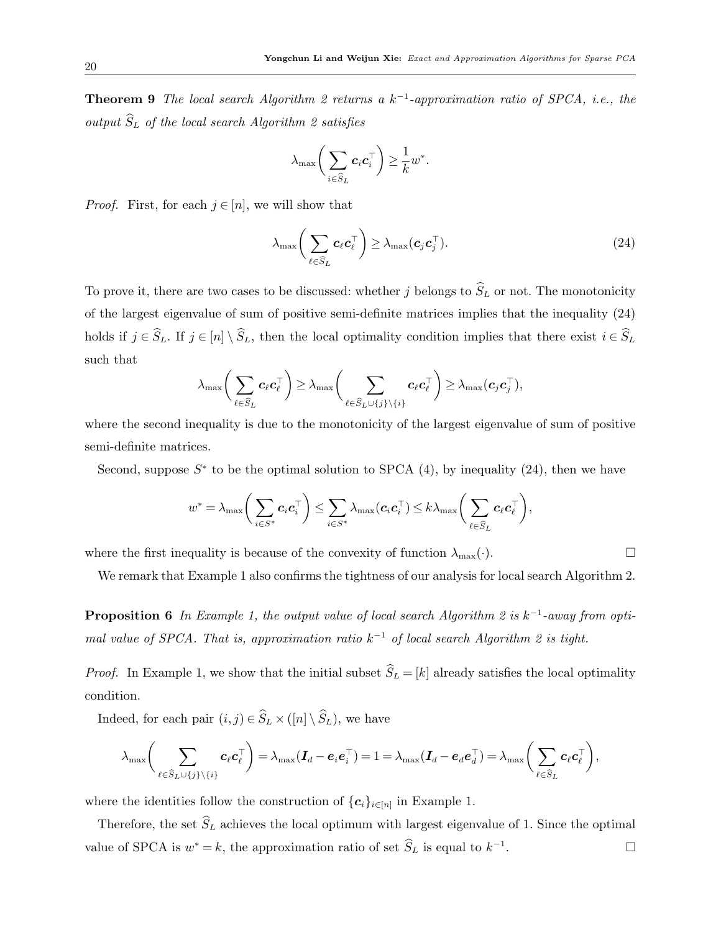**Theorem 9** The local search Algorithm [2](#page-18-0) returns a  $k^{-1}$ -approximation ratio of SPCA, i.e., the output  $\widehat{S}_L$  of the local search Algorithm [2](#page-18-0) satisfies

<span id="page-19-0"></span>
$$
\lambda_{\max}\bigg(\sum_{i\in\widehat{S}_L}\bm{c}_i\bm{c}_i^\top\bigg)\geq\frac{1}{k}w^*.
$$

*Proof.* First, for each  $j \in [n]$ , we will show that

$$
\lambda_{\max}\bigg(\sum_{\ell \in \widehat{S}_L} \boldsymbol{c}_{\ell} \boldsymbol{c}_{\ell}^{\top}\bigg) \geq \lambda_{\max} (\boldsymbol{c}_{j} \boldsymbol{c}_{j}^{\top}). \tag{24}
$$

To prove it, there are two cases to be discussed: whether j belongs to  $\widehat{S}_L$  or not. The monotonicity of the largest eigenvalue of sum of positive semi-definite matrices implies that the inequality [\(24\)](#page-19-0) holds if  $j \in \widehat{S}_L$ . If  $j \in [n] \setminus \widehat{S}_L$ , then the local optimality condition implies that there exist  $i \in \widehat{S}_L$ such that

$$
\lambda_{\max}\bigg(\sum_{\ell\in\widehat{S}_L}\bm{c}_\ell\bm{c}_\ell^\top\bigg) \geq \lambda_{\max}\bigg(\sum_{\ell\in\widehat{S}_L\cup\{j\}\setminus\{i\}}\bm{c}_\ell\bm{c}_\ell^\top\bigg) \geq \lambda_{\max}(\bm{c}_j\bm{c}_j^\top),
$$

where the second inequality is due to the monotonicity of the largest eigenvalue of sum of positive semi-definite matrices.

Second, suppose  $S^*$  to be the optimal solution to SPCA [\(4\)](#page-6-1), by inequality [\(24\)](#page-19-0), then we have

$$
w^* = \lambda_{\max}\bigg(\sum_{i \in S^*} \bm{c}_i \bm{c}_i^\top \bigg) \leq \sum_{i \in S^*} \lambda_{\max}(\bm{c}_i \bm{c}_i^\top) \leq k \lambda_{\max}\bigg(\sum_{\ell \in \widehat{S}_L} \bm{c}_\ell \bm{c}_\ell^\top \bigg),
$$

where the first inequality is because of the convexity of function  $\lambda_{\max}(\cdot)$ .

<span id="page-19-1"></span>We remark that Example [1](#page-17-1) also confirms the tightness of our analysis for local search Algorithm [2.](#page-18-0)

**Proposition 6** In Example [1,](#page-17-1) the output value of local search Algorithm [2](#page-18-0) is  $k^{-1}$ -away from optimal value of SPCA. That is, approximation ratio  $k^{-1}$  of local search Algorithm [2](#page-18-0) is tight.

*Proof.* In Example [1,](#page-17-1) we show that the initial subset  $\hat{S}_L = [k]$  already satisfies the local optimality condition.

Indeed, for each pair  $(i, j) \in \widehat{S}_L \times ([n] \setminus \widehat{S}_L)$ , we have

$$
\lambda_{\max}\bigg(\sum_{\ell\in\widehat{S}_L\cup\{j\}\backslash\{i\}}\mathbf{c}_\ell\mathbf{c}_\ell^\top\bigg)=\lambda_{\max}(\mathbf{I}_d-\mathbf{e}_i\mathbf{e}_i^\top)=1=\lambda_{\max}(\mathbf{I}_d-\mathbf{e}_d\mathbf{e}_d^\top)=\lambda_{\max}\bigg(\sum_{\ell\in\widehat{S}_L}\mathbf{c}_\ell\mathbf{c}_\ell^\top\bigg),
$$

where the identities follow the construction of  ${c_i}_{i \in [n]}$  in Example [1.](#page-17-1)

Therefore, the set  $\widehat{S}_L$  achieves the local optimum with largest eigenvalue of 1. Since the optimal value of SPCA is  $w^* = k$ , the approximation ratio of set  $S_L$  is equal to  $k^{-1}$ . — Процессиональные производствование и продата в собстании в собстании в собстании в собстании в собстании в<br>В собстании в собстании в собстании в собстании в собстании в собстании в собстании в собстании в собстании в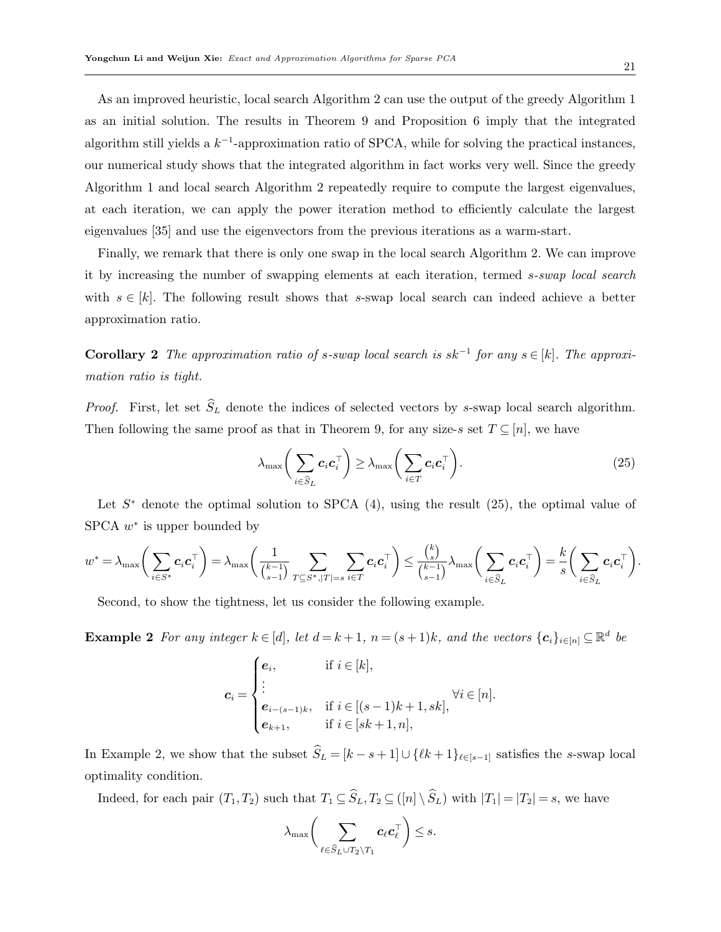As an improved heuristic, local search Algorithm [2](#page-18-0) can use the output of the greedy Algorithm [1](#page-17-0) as an initial solution. The results in Theorem [9](#page-18-1) and Proposition [6](#page-19-1) imply that the integrated algorithm still yields a  $k^{-1}$ -approximation ratio of SPCA, while for solving the practical instances, our numerical study shows that the integrated algorithm in fact works very well. Since the greedy Algorithm [1](#page-17-0) and local search Algorithm [2](#page-18-0) repeatedly require to compute the largest eigenvalues, at each iteration, we can apply the power iteration method to efficiently calculate the largest eigenvalues [\[35\]](#page-35-2) and use the eigenvectors from the previous iterations as a warm-start.

Finally, we remark that there is only one swap in the local search Algorithm [2.](#page-18-0) We can improve it by increasing the number of swapping elements at each iteration, termed s-swap local search with  $s \in [k]$ . The following result shows that s-swap local search can indeed achieve a better approximation ratio.

**Corollary 2** The approximation ratio of s-swap local search is  $sk^{-1}$  for any  $s \in [k]$ . The approximation ratio is tight.

*Proof.* First, let set  $\hat{S}_L$  denote the indices of selected vectors by s-swap local search algorithm. Then following the same proof as that in Theorem [9,](#page-18-1) for any size-s set  $T \subseteq [n]$ , we have

<span id="page-20-1"></span><span id="page-20-0"></span>
$$
\lambda_{\max}\bigg(\sum_{i\in\widehat{S}_L}c_i\mathbf{c}_i^\top\bigg)\geq \lambda_{\max}\bigg(\sum_{i\in T}c_i\mathbf{c}_i^\top\bigg). \tag{25}
$$

Let  $S^*$  denote the optimal solution to SPCA  $(4)$ , using the result  $(25)$ , the optimal value of  $SPCA w^*$  is upper bounded by

$$
w^* = \lambda_{\max}\bigg(\sum_{i \in S^*} c_i \mathbf{c}_i^\top \bigg) = \lambda_{\max}\bigg(\frac{1}{\binom{k-1}{s-1}} \sum_{T \subseteq S^*, |T| = s} \sum_{i \in T} c_i \mathbf{c}_i^\top \bigg) \leq \frac{\binom{k}{s}}{\binom{k-1}{s-1}} \lambda_{\max}\bigg(\sum_{i \in \widehat{S}_L} c_i \mathbf{c}_i^\top \bigg) = \frac{k}{s} \bigg(\sum_{i \in \widehat{S}_L} c_i \mathbf{c}_i^\top \bigg).
$$

Second, to show the tightness, let us consider the following example.

**Example 2** For any integer  $k \in [d]$ , let  $d = k + 1$ ,  $n = (s + 1)k$ , and the vectors  $\{c_i\}_{i \in [n]} \subseteq \mathbb{R}^d$  be

$$
c_{i} = \begin{cases} e_{i}, & \text{if } i \in [k], \\ \vdots & \\ e_{i-(s-1)k}, & \text{if } i \in [(s-1)k+1, sk], \\ e_{k+1}, & \text{if } i \in [sk+1, n], \end{cases} \forall i \in [n].
$$

In Example [2,](#page-20-1) we show that the subset  $\widehat{S}_L = [k - s + 1] \cup \{ \ell k + 1 \}_{\ell \in [s-1]}$  satisfies the s-swap local optimality condition.

Indeed, for each pair  $(T_1, T_2)$  such that  $T_1 \subseteq \widehat{S}_L, T_2 \subseteq (\lfloor n \rfloor \setminus \widehat{S}_L)$  with  $|T_1| = |T_2| = s$ , we have

$$
\lambda_{\max} \bigg( \sum_{\ell \in \widehat{S}_L \cup T_2 \setminus T_1} \mathbf{c}_{\ell} \mathbf{c}_{\ell}^{\top} \bigg) \leq s.
$$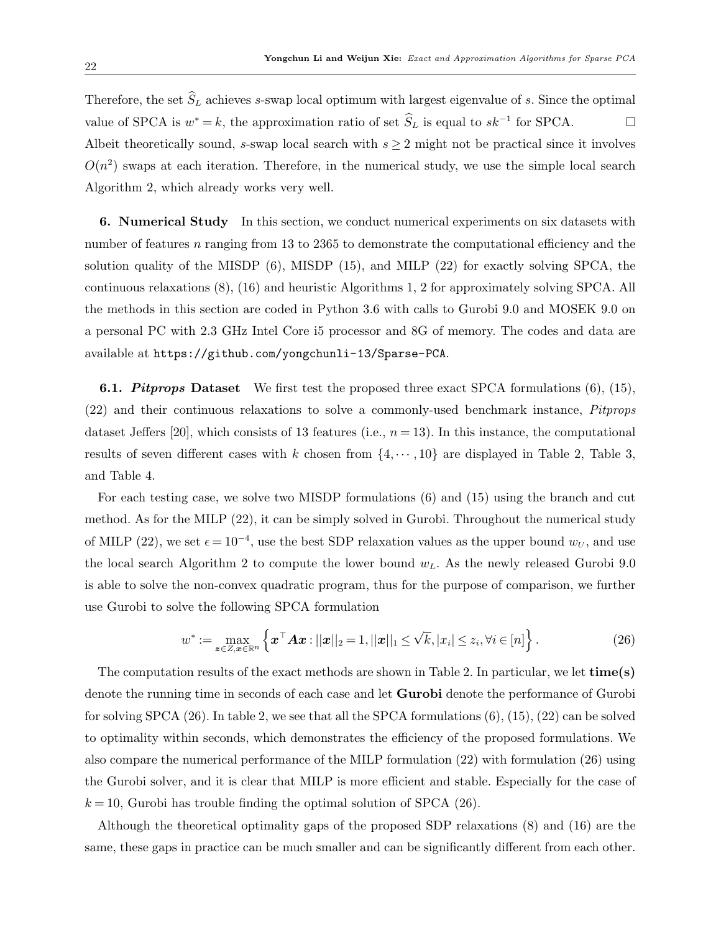Therefore, the set  $\widehat{S}_L$  achieves s-swap local optimum with largest eigenvalue of s. Since the optimal value of SPCA is  $w^* = k$ , the approximation ratio of set  $\hat{S}_L$  is equal to  $sk^{-1}$  for SPCA.  $\Box$ Albeit theoretically sound, s-swap local search with  $s \geq 2$  might not be practical since it involves  $O(n^2)$  swaps at each iteration. Therefore, in the numerical study, we use the simple local search Algorithm [2,](#page-18-0) which already works very well.

<span id="page-21-0"></span>6. Numerical Study In this section, we conduct numerical experiments on six datasets with number of features n ranging from 13 to 2365 to demonstrate the computational efficiency and the solution quality of the MISDP [\(6\)](#page-6-0), MISDP [\(15\)](#page-11-0), and MILP [\(22\)](#page-15-0) for exactly solving SPCA, the continuous relaxations [\(8\)](#page-7-0), [\(16\)](#page-12-0) and heuristic Algorithms [1,](#page-17-0) [2](#page-18-0) for approximately solving SPCA. All the methods in this section are coded in Python 3.6 with calls to Gurobi 9.0 and MOSEK 9.0 on a personal PC with 2.3 GHz Intel Core i5 processor and 8G of memory. The codes and data are available at <https://github.com/yongchunli-13/Sparse-PCA>.

**6.1. Pitprops Dataset** We first test the proposed three exact SPCA formulations  $(6)$ ,  $(15)$ , [\(22\)](#page-15-0) and their continuous relaxations to solve a commonly-used benchmark instance, Pitprops dataset Jeffers [\[20\]](#page-34-0), which consists of 13 features (i.e.,  $n = 13$ ). In this instance, the computational results of seven different cases with k chosen from  $\{4, \dots, 10\}$  are displayed in Table [2,](#page-22-0) Table [3,](#page-22-1) and Table [4.](#page-23-0)

For each testing case, we solve two MISDP formulations [\(6\)](#page-6-0) and [\(15\)](#page-11-0) using the branch and cut method. As for the MILP [\(22\)](#page-15-0), it can be simply solved in Gurobi. Throughout the numerical study of MILP [\(22\)](#page-15-0), we set  $\epsilon = 10^{-4}$ , use the best SDP relaxation values as the upper bound  $w_U$ , and use the local search Algorithm [2](#page-18-0) to compute the lower bound  $w<sub>L</sub>$ . As the newly released Gurobi 9.0 is able to solve the non-convex quadratic program, thus for the purpose of comparison, we further use Gurobi to solve the following SPCA formulation

<span id="page-21-1"></span>
$$
w^* := \max_{\mathbf{z} \in \mathcal{Z}, \mathbf{x} \in \mathbb{R}^n} \left\{ \mathbf{x}^\top \mathbf{A} \mathbf{x} : ||\mathbf{x}||_2 = 1, ||\mathbf{x}||_1 \le \sqrt{k}, |x_i| \le z_i, \forall i \in [n] \right\}.
$$
 (26)

The computation results of the exact methods are shown in Table [2.](#page-22-0) In particular, we let time(s) denote the running time in seconds of each case and let Gurobi denote the performance of Gurobi for solving SPCA  $(26)$ . In table [2,](#page-22-0) we see that all the SPCA formulations  $(6)$ ,  $(15)$ ,  $(22)$  can be solved to optimality within seconds, which demonstrates the efficiency of the proposed formulations. We also compare the numerical performance of the MILP formulation [\(22\)](#page-15-0) with formulation [\(26\)](#page-21-1) using the Gurobi solver, and it is clear that MILP is more efficient and stable. Especially for the case of  $k = 10$ , Gurobi has trouble finding the optimal solution of SPCA [\(26\)](#page-21-1).

Although the theoretical optimality gaps of the proposed SDP relaxations [\(8\)](#page-7-0) and [\(16\)](#page-12-0) are the same, these gaps in practice can be much smaller and can be significantly different from each other.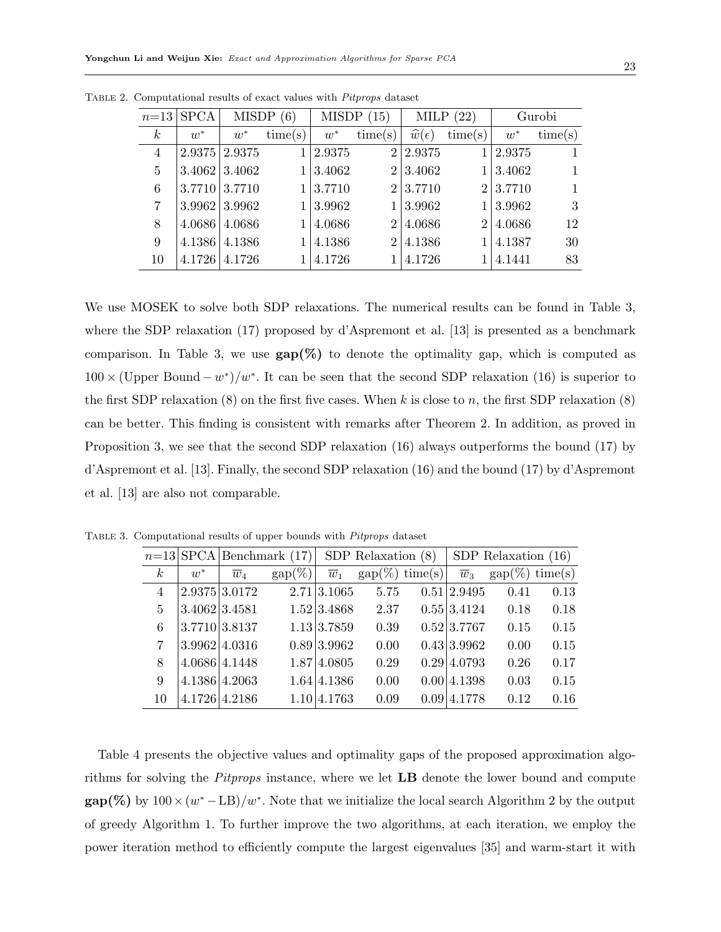|                  | $n=13$ SPCA          | MISDP(6)             |         | MISDP(15) |                | MILP $(22)$             |                | Gurobi |         |
|------------------|----------------------|----------------------|---------|-----------|----------------|-------------------------|----------------|--------|---------|
| $\boldsymbol{k}$ | $w^*$                | $w^*$                | time(s) | $w^*$     | time(s)        | $\widehat{w}(\epsilon)$ | time(s)        | $w^*$  | time(s) |
| 4                | $2.9375$ 2.9375      |                      |         | 2.9375    | 2 <sup>1</sup> | 2.9375                  |                | 2.9375 |         |
| 5                |                      | $3.4062 \mid 3.4062$ |         | 3.4062    | $\overline{2}$ | 3.4062                  |                | 3.4062 |         |
| 6                | $3.7710 \mid 3.7710$ |                      |         | 3.7710    | 2 <sup>1</sup> | 3.7710                  | 2 <sup>1</sup> | 3.7710 |         |
| 7                |                      | $3.9962 \mid 3.9962$ |         | 3.9962    |                | 3.9962                  |                | 3.9962 | 3       |
| 8                | 4.0686               | 4.0686               |         | 4.0686    | $\overline{2}$ | 4.0686                  | $\overline{2}$ | 4.0686 | 12      |
| 9                | 4.1386               | 4.1386               |         | 4.1386    | 2 <sub>1</sub> | 4.1386                  |                | 4.1387 | 30      |
| 10               | 4.1726               | 4.1726               |         | 4.1726    |                | 4.1726                  |                | 4.1441 | 83      |

<span id="page-22-0"></span>Table 2. Computational results of exact values with Pitprops dataset

We use MOSEK to solve both SDP relaxations. The numerical results can be found in Table [3,](#page-22-1) where the SDP relaxation [\(17\)](#page-12-1) proposed by d'Aspremont et al. [\[13\]](#page-33-4) is presented as a benchmark comparison. In Table [3,](#page-22-1) we use  $\text{gap}(\%)$  to denote the optimality gap, which is computed as  $100 \times (U_{\text{pper Bound}} - w^*)/w^*$ . It can be seen that the second SDP relaxation [\(16\)](#page-12-0) is superior to the first SDP relaxation  $(8)$  on the first five cases. When k is close to n, the first SDP relaxation  $(8)$ can be better. This finding is consistent with remarks after Theorem [2.](#page-7-1) In addition, as proved in Proposition [3,](#page-12-2) we see that the second SDP relaxation [\(16\)](#page-12-0) always outperforms the bound [\(17\)](#page-12-1) by d'Aspremont et al. [\[13\]](#page-33-4). Finally, the second SDP relaxation [\(16\)](#page-12-0) and the bound [\(17\)](#page-12-1) by d'Aspremont et al. [\[13\]](#page-33-4) are also not comparable.

 $n=13$  SPCA Benchmark [\(17\)](#page-12-1) SDP Relaxation [\(8\)](#page-7-0) SDP Relaxation [\(16\)](#page-12-0)  $k \quad w^*$  $\overline{w}_4$  gap(%)  $\overline{w}_1$  gap(%) time(s)  $\overline{w}_3$  gap(%) time(s) 4 2.9375 3.0172 2.71 3.1065 5.75 0.51 2.9495 0.41 0.13 5 3.4062 3.4581 1.52 3.4868 2.37 0.55 3.4124 0.18 0.18  $6$  | 3.7710 | 3.8137 1.13 | 3.7859 0.39 0.52 | 3.7767 0.15 0.15 7 3.9962 4.0316 0.89 3.9962 0.00 0.43 3.9962 0.00 0.15 8 4.0686 4.1448 1.87 4.0805 0.29 0.29 4.0793 0.26 0.17 9 4.1386 4.2063 1.64 4.1386 0.00 0.00 4.1398 0.03 0.15 10 4.1726 4.2186 1.10 4.1763 0.09 0.09 4.1778 0.12 0.16

<span id="page-22-1"></span>Table 3. Computational results of upper bounds with Pitprops dataset

Table [4](#page-23-0) presents the objective values and optimality gaps of the proposed approximation algorithms for solving the Pitprops instance, where we let LB denote the lower bound and compute  $\text{gap}(\%)$  by  $100 \times (w^* - \text{LB})/w^*$ . Note that we initialize the local search Algorithm [2](#page-18-0) by the output of greedy Algorithm [1.](#page-17-0) To further improve the two algorithms, at each iteration, we employ the power iteration method to efficiently compute the largest eigenvalues [\[35\]](#page-35-2) and warm-start it with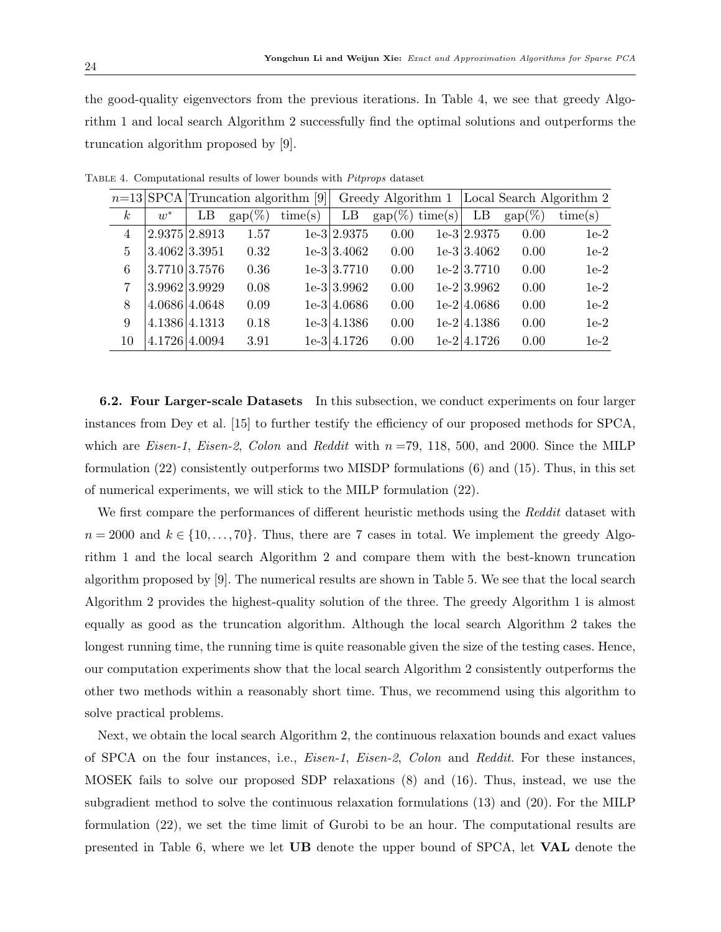the good-quality eigenvectors from the previous iterations. In Table [4,](#page-23-0) we see that greedy Algorithm [1](#page-17-0) and local search Algorithm [2](#page-18-0) successfully find the optimal solutions and outperforms the truncation algorithm proposed by [\[9\]](#page-33-7).

|                |                 |               |           | $n=13$ SPCA Truncation algorithm [9] |               | Greedy Algorithm 1       |                |                  | Local Search Algorithm 2 |
|----------------|-----------------|---------------|-----------|--------------------------------------|---------------|--------------------------|----------------|------------------|--------------------------|
| k <sub>i</sub> | $w^*$           | LB            | $gap(\%)$ | time(s)                              | LB            | $\text{gap}(\%)$ time(s) | LB             | $\text{gap}(\%)$ | time(s)                  |
| 4              | 2.9375 2.8913   |               | 1.57      |                                      | $1e-3$ 2.9375 | 0.00                     | $1e-3/2.9375$  | 0.00             | $1e-2$                   |
| 5              | 3.4062 3.3951   |               | 0.32      |                                      | $1e-3 3.4062$ | 0.00                     | $1e-3 3.4062$  | 0.00             | $1e-2$                   |
| 6              | 3.7710 3.7576   |               | 0.36      |                                      | $1e-3 3.7710$ | 0.00                     | $1e-2 3.7710$  | 0.00             | $1e-2$                   |
|                | $3.9962$ 3.9929 |               | 0.08      |                                      | $1e-3 3.9962$ | 0.00                     | $1e-2 3.9962$  | 0.00             | $1e-2$                   |
| 8              | 4.0686 4.0648   |               | 0.09      |                                      | $1e-3/4.0686$ | 0.00                     | $1e-2$ 4.0686  | 0.00             | $1e-2$                   |
| 9              | 4.1386 4.1313   |               | 0.18      |                                      | $1e-3$ 4.1386 | 0.00                     | $1e-2$ 4.1386  | 0.00             | $1e-2$                   |
| 10             |                 | 4.1726 4.0094 | 3.91      |                                      | $1e-3$ 4.1726 | 0.00                     | $1e-2$  4.1726 | 0.00             | $1e-2$                   |

<span id="page-23-0"></span>Table 4. Computational results of lower bounds with Pitprops dataset

6.2. Four Larger-scale Datasets In this subsection, we conduct experiments on four larger instances from Dey et al. [\[15\]](#page-33-2) to further testify the efficiency of our proposed methods for SPCA, which are *Eisen-1*, *Eisen-2*, *Colon* and *Reddit* with  $n = 79$ , 118, 500, and 2000. Since the MILP formulation [\(22\)](#page-15-0) consistently outperforms two MISDP formulations [\(6\)](#page-6-0) and [\(15\)](#page-11-0). Thus, in this set of numerical experiments, we will stick to the MILP formulation [\(22\)](#page-15-0).

We first compare the performances of different heuristic methods using the Reddit dataset with  $n = 2000$  and  $k \in \{10, \ldots, 70\}$ . Thus, there are 7 cases in total. We implement the greedy Algorithm [1](#page-17-0) and the local search Algorithm [2](#page-18-0) and compare them with the best-known truncation algorithm proposed by [\[9\]](#page-33-7). The numerical results are shown in Table [5.](#page-24-0) We see that the local search Algorithm [2](#page-18-0) provides the highest-quality solution of the three. The greedy Algorithm [1](#page-17-0) is almost equally as good as the truncation algorithm. Although the local search Algorithm [2](#page-18-0) takes the longest running time, the running time is quite reasonable given the size of the testing cases. Hence, our computation experiments show that the local search Algorithm [2](#page-18-0) consistently outperforms the other two methods within a reasonably short time. Thus, we recommend using this algorithm to solve practical problems.

Next, we obtain the local search Algorithm [2,](#page-18-0) the continuous relaxation bounds and exact values of SPCA on the four instances, i.e., Eisen-1, Eisen-2, Colon and Reddit. For these instances, MOSEK fails to solve our proposed SDP relaxations [\(8\)](#page-7-0) and [\(16\)](#page-12-0). Thus, instead, we use the subgradient method to solve the continuous relaxation formulations [\(13\)](#page-9-2) and [\(20\)](#page-14-1). For the MILP formulation [\(22\)](#page-15-0), we set the time limit of Gurobi to be an hour. The computational results are presented in Table [6,](#page-24-1) where we let UB denote the upper bound of SPCA, let VAL denote the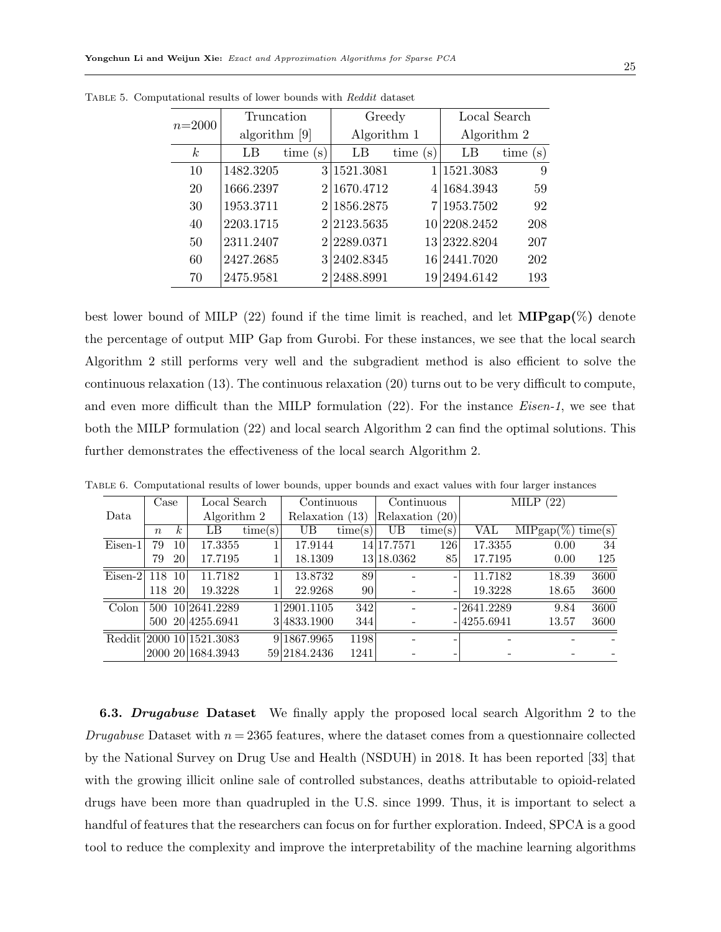| $n=2000$         | Truncation    |                        | Greedy        |             | Local Search |             |  |
|------------------|---------------|------------------------|---------------|-------------|--------------|-------------|--|
|                  | algorithm [9] |                        | Algorithm 1   |             | Algorithm 2  |             |  |
| $\boldsymbol{k}$ | LB            | time<br>$(\mathrm{s})$ | LB            | time<br>(s) | LB           | time<br>(s) |  |
| 10               | 1482.3205     |                        | 3 1521.3081   |             | 1521.3083    | 9           |  |
| 20               | 1666.2397     |                        | 2 1670.4712   |             | 4 1684.3943  | 59          |  |
| 30               | 1953.3711     |                        | 2 1856.2875   |             | 7 1953.7502  | 92          |  |
| 40               | 2203.1715     |                        | 2 2 2 3 .5635 |             | 10 2208.2452 | 208         |  |
| 50               | 2311.2407     |                        | 2 2289.0371   |             | 13 2322.8204 | 207         |  |
| 60               | 2427.2685     |                        | 3 2402.8345   |             | 16 2441.7020 | 202         |  |
| 70               | 2475.9581     |                        | 2 2 488.8991  |             | 19 2494.6142 | 193         |  |

<span id="page-24-0"></span>Table 5. Computational results of lower bounds with Reddit dataset

best lower bound of MILP [\(22\)](#page-15-0) found if the time limit is reached, and let  $MIPgap(\%)$  denote the percentage of output MIP Gap from Gurobi. For these instances, we see that the local search Algorithm [2](#page-18-0) still performs very well and the subgradient method is also efficient to solve the continuous relaxation [\(13\)](#page-9-2). The continuous relaxation [\(20\)](#page-14-1) turns out to be very difficult to compute, and even more difficult than the MILP formulation  $(22)$ . For the instance *Eisen-1*, we see that both the MILP formulation [\(22\)](#page-15-0) and local search Algorithm [2](#page-18-0) can find the optimal solutions. This further demonstrates the effectiveness of the local search Algorithm [2.](#page-18-0)

|           |                  |                  | Local Search      |         | Continuous      |         |            | Continuous |               |                      |      |
|-----------|------------------|------------------|-------------------|---------|-----------------|---------|------------|------------|---------------|----------------------|------|
|           | Case             |                  |                   |         |                 |         |            |            |               | (22)<br>MILP         |      |
| Data      |                  |                  | Algorithm 2       |         | Relaxation (13) |         | Relaxation | (20)       |               |                      |      |
|           | $\boldsymbol{n}$ | $\boldsymbol{k}$ | LB                | time(s) | UB              | time(s) | UΒ         | time(s)    | VAL           | $MIPgap(\%) time(s)$ |      |
| Eisen-1   | 79               | 10 <sup>1</sup>  | 17.3355           |         | 17.9144         | 14      | 17.7571    | <b>126</b> | 17.3355       | 0.00                 | 34   |
|           | 79               | 20               | 17.7195           |         | 18.1309         |         | 13 18.0362 | 85         | 17.7195       | 0.00                 | 125  |
| $Eisen-2$ | 118              | 10               | 11.7182           |         | 13.8732         | 89      |            |            | 11.7182       | 18.39                | 3600 |
|           | 118              | 20               | 19.3228           |         | 22.9268         | 90      |            |            | 19.3228       | 18.65                | 3600 |
| Colon     | 500              |                  | 10 2641.2289      |         | 1 2901.1105     | 342     |            |            | $-12641.2289$ | 9.84                 | 3600 |
|           | 500              |                  | 20 4255.6941      |         | 3 4833.1900     | 344     |            |            | $-14255.6941$ | 13.57                | 3600 |
| Reddit    |                  |                  | 2000 10 1521.3083 |         | 9 1867.9965     | 1198    |            |            |               |                      |      |
|           |                  |                  | 2000 2011684.3943 |         | 59 2184.2436    | 1241    |            |            |               |                      |      |

<span id="page-24-1"></span>Table 6. Computational results of lower bounds, upper bounds and exact values with four larger instances

**6.3.** Drugabuse Dataset We finally apply the proposed local search Algorithm [2](#page-18-0) to the Drugabuse Dataset with  $n = 2365$  features, where the dataset comes from a questionnaire collected by the National Survey on Drug Use and Health (NSDUH) in 2018. It has been reported [\[33\]](#page-34-13) that with the growing illicit online sale of controlled substances, deaths attributable to opioid-related drugs have been more than quadrupled in the U.S. since 1999. Thus, it is important to select a handful of features that the researchers can focus on for further exploration. Indeed, SPCA is a good tool to reduce the complexity and improve the interpretability of the machine learning algorithms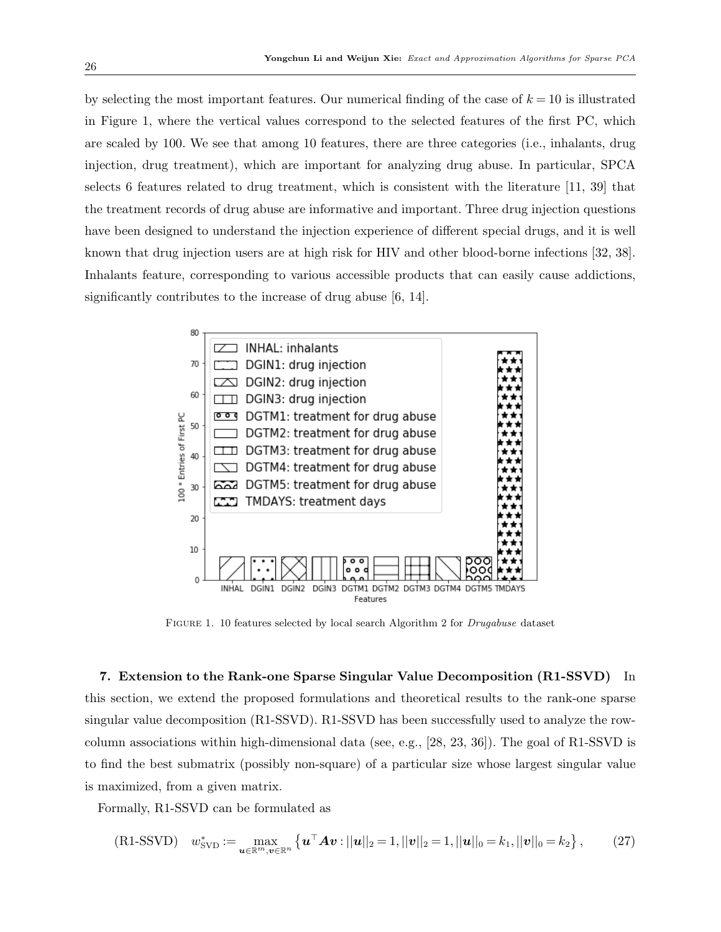by selecting the most important features. Our numerical finding of the case of  $k = 10$  is illustrated in Figure [1,](#page-25-1) where the vertical values correspond to the selected features of the first PC, which are scaled by 100. We see that among 10 features, there are three categories (i.e., inhalants, drug injection, drug treatment), which are important for analyzing drug abuse. In particular, SPCA selects 6 features related to drug treatment, which is consistent with the literature [\[11,](#page-33-13) [39\]](#page-35-3) that the treatment records of drug abuse are informative and important. Three drug injection questions have been designed to understand the injection experience of different special drugs, and it is well known that drug injection users are at high risk for HIV and other blood-borne infections [\[32,](#page-34-14) [38\]](#page-35-4). Inhalants feature, corresponding to various accessible products that can easily cause addictions, significantly contributes to the increase of drug abuse [\[6,](#page-33-14) [14\]](#page-33-15).



<span id="page-25-2"></span><span id="page-25-1"></span>Figure 1. 10 features selected by local search Algorithm [2](#page-18-0) for Drugabuse dataset

<span id="page-25-0"></span>7. Extension to the Rank-one Sparse Singular Value Decomposition (R1-SSVD) In this section, we extend the proposed formulations and theoretical results to the rank-one sparse singular value decomposition (R1-SSVD). R1-SSVD has been successfully used to analyze the rowcolumn associations within high-dimensional data (see, e.g., [\[28,](#page-34-15) [23,](#page-34-16) [36\]](#page-35-5)). The goal of R1-SSVD is to find the best submatrix (possibly non-square) of a particular size whose largest singular value is maximized, from a given matrix.

Formally, R1-SSVD can be formulated as

(R1-SSVD) 
$$
w_{\text{SVD}}^* := \max_{\mathbf{u} \in \mathbb{R}^m, \mathbf{v} \in \mathbb{R}^n} \left\{ \mathbf{u}^\top \mathbf{A} \mathbf{v} : ||\mathbf{u}||_2 = 1, ||\mathbf{v}||_2 = 1, ||\mathbf{u}||_0 = k_1, ||\mathbf{v}||_0 = k_2 \right\},
$$
 (27)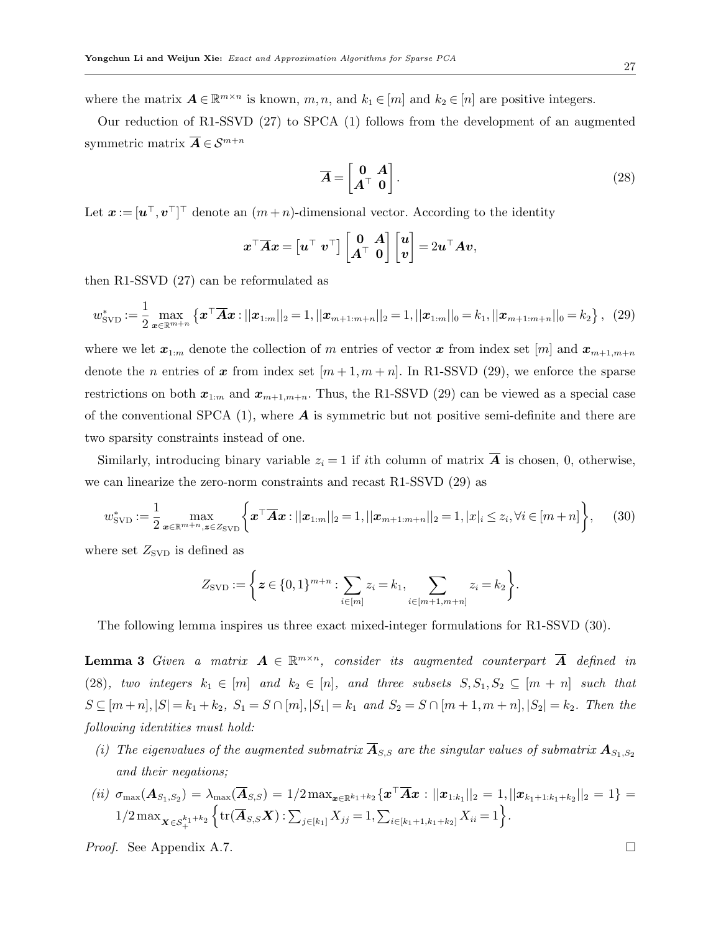where the matrix  $A \in \mathbb{R}^{m \times n}$  is known,  $m, n$ , and  $k_1 \in [m]$  and  $k_2 \in [n]$  are positive integers.

Our reduction of R1-SSVD [\(27\)](#page-25-2) to SPCA [\(1\)](#page-0-0) follows from the development of an augmented symmetric matrix  $\overline{A} \in \mathcal{S}^{m+n}$ 

<span id="page-26-2"></span><span id="page-26-0"></span>
$$
\overline{A} = \begin{bmatrix} 0 & A \\ A^{\top} & 0 \end{bmatrix}.
$$
 (28)

Let  $\boldsymbol{x} := [\boldsymbol{u}^\top, \boldsymbol{v}^\top]^\top$  denote an  $(m+n)$ -dimensional vector. According to the identity

$$
\boldsymbol{x}^\top \overline{\boldsymbol{A}} \boldsymbol{x} = \begin{bmatrix} \boldsymbol{u}^\top & \boldsymbol{v}^\top \end{bmatrix} \begin{bmatrix} \mathbf{0} & \boldsymbol{A} \\ \boldsymbol{A}^\top & \mathbf{0} \end{bmatrix} \begin{bmatrix} \boldsymbol{u} \\ \boldsymbol{v} \end{bmatrix} = 2 \boldsymbol{u}^\top \boldsymbol{A} \boldsymbol{v},
$$

then R1-SSVD [\(27\)](#page-25-2) can be reformulated as

$$
w_{\text{SVD}}^* := \frac{1}{2} \max_{\mathbf{x} \in \mathbb{R}^{m+n}} \left\{ \mathbf{x}^\top \overline{\mathbf{A}} \mathbf{x} : ||\mathbf{x}_{1:m}||_2 = 1, ||\mathbf{x}_{m+1:m+n}||_2 = 1, ||\mathbf{x}_{1:m}||_0 = k_1, ||\mathbf{x}_{m+1:m+n}||_0 = k_2 \right\}, \tag{29}
$$

where we let  $x_{1:m}$  denote the collection of m entries of vector x from index set [m] and  $x_{m+1,m+n}$ denote the *n* entries of x from index set  $[m+1,m+n]$ . In R1-SSVD [\(29\)](#page-26-0), we enforce the sparse restrictions on both  $x_{1:m}$  and  $x_{m+1,m+n}$ . Thus, the R1-SSVD [\(29\)](#page-26-0) can be viewed as a special case of the conventional SPCA  $(1)$ , where **A** is symmetric but not positive semi-definite and there are two sparsity constraints instead of one.

Similarly, introducing binary variable  $z_i = 1$  if ith column of matrix  $\overline{A}$  is chosen, 0, otherwise, we can linearize the zero-norm constraints and recast R1-SSVD [\(29\)](#page-26-0) as

$$
w_{\text{SVD}}^* := \frac{1}{2} \max_{\mathbf{x} \in \mathbb{R}^{m+n}, \mathbf{z} \in Z_{\text{SVD}}} \left\{ \mathbf{x}^\top \overline{\mathbf{A}} \mathbf{x} : ||\mathbf{x}_{1:m}||_2 = 1, ||\mathbf{x}_{m+1:m+n}||_2 = 1, |x|_i \leq z_i, \forall i \in [m+n] \right\},\tag{30}
$$

where set  $Z_{\text{SVD}}$  is defined as

<span id="page-26-3"></span><span id="page-26-1"></span>
$$
Z_{\text{SVD}} := \left\{ \boldsymbol{z} \in \{0,1\}^{m+n} : \sum_{i \in [m]} z_i = k_1, \sum_{i \in [m+1,m+n]} z_i = k_2 \right\}.
$$

The following lemma inspires us three exact mixed-integer formulations for R1-SSVD [\(30\)](#page-26-1).

**Lemma 3** Given a matrix  $A \in \mathbb{R}^{m \times n}$ , consider its augmented counterpart  $\overline{A}$  defined in [\(28\)](#page-26-2), two integers  $k_1 \in [m]$  and  $k_2 \in [n]$ , and three subsets  $S, S_1, S_2 \subseteq [m + n]$  such that  $S \subseteq [m+n], |S| = k_1 + k_2, S_1 = S \cap [m], |S_1| = k_1 \text{ and } S_2 = S \cap [m+1, m+n], |S_2| = k_2.$  Then the following identities must hold:

- (i) The eigenvalues of the augmented submatrix  $\overline{\mathbf{A}}_{S,S}$  are the singular values of submatrix  $\mathbf{A}_{S_1,S_2}$ and their negations;
- $\mathcal{L}\left(ii\right) \; \sigma_{\max}(\bm{A}_{S_1, S_2}) = \lambda_{\max}(\overline{\bm{A}}_{S, S}) = 1/2 \max_{\bm{x} \in \mathbb{R}^{k_1+k_2}} \{\bm{x}^\top \overline{\bm{A}} \bm{x} : ||\bm{x}_{1:k_1}||_2 = 1, ||\bm{x}_{k_1+1:k_1+k_2}||_2 = 1\} = 1$  $1/2 \max_{\mathbf{X} \in \mathcal{S}_{+}^{k_1+k_2}}$  $\left\{ \text{tr}(\overline{\bm{A}}_{S,S}\bm{X}) : \sum_{j\in[k_1]} X_{jj} = 1, \sum_{i\in[k_1+1,k_1+k_2]} X_{ii} = 1 \right\}.$

*Proof.* See Appendix [A.7.](#page-44-0)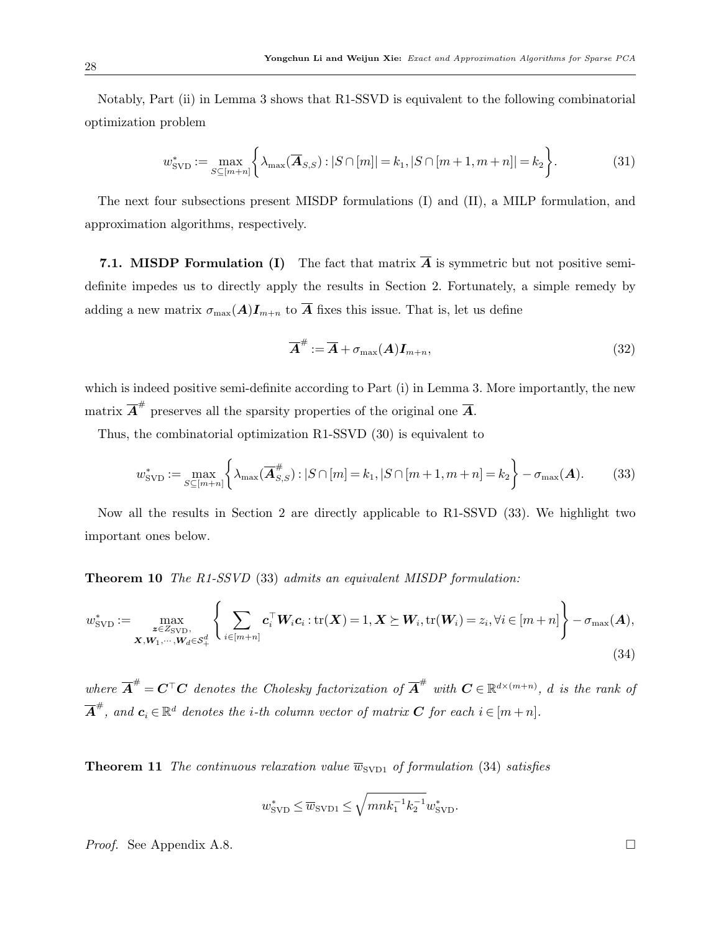Notably, Part (ii) in Lemma [3](#page-26-3) shows that R1-SSVD is equivalent to the following combinatorial optimization problem

$$
w_{\text{SVD}}^* := \max_{S \subseteq [m+n]} \left\{ \lambda_{\max}(\overline{\bm{A}}_{S,S}) : |S \cap [m]| = k_1, |S \cap [m+1, m+n]| = k_2 \right\}.
$$
 (31)

The next four subsections present MISDP formulations (I) and (II), a MILP formulation, and approximation algorithms, respectively.

7.1. MISDP Formulation (I) The fact that matrix  $\overline{A}$  is symmetric but not positive semidefinite impedes us to directly apply the results in Section [2.](#page-4-0) Fortunately, a simple remedy by adding a new matrix  $\sigma_{\max}(A)I_{m+n}$  to  $\overline{A}$  fixes this issue. That is, let us define

<span id="page-27-3"></span><span id="page-27-1"></span>
$$
\overline{A}^{\#} := \overline{A} + \sigma_{\max}(A)I_{m+n},\tag{32}
$$

which is indeed positive semi-definite according to Part (i) in Lemma [3.](#page-26-3) More importantly, the new matrix  $\overline{A}^{\#}$  preserves all the sparsity properties of the original one  $\overline{A}$ .

Thus, the combinatorial optimization R1-SSVD [\(30\)](#page-26-1) is equivalent to

$$
w_{\text{SVD}}^* := \max_{S \subseteq [m+n]} \left\{ \lambda_{\max}(\overline{\mathbf{A}}_{S,S}^{\#}) : |S \cap [m] = k_1, |S \cap [m+1, m+n] = k_2 \right\} - \sigma_{\max}(\mathbf{A}). \tag{33}
$$

Now all the results in Section [2](#page-4-0) are directly applicable to R1-SSVD [\(33\)](#page-27-1). We highlight two important ones below.

Theorem 10 The R1-SSVD [\(33\)](#page-27-1) admits an equivalent MISDP formulation:

$$
w_{\text{SVD}}^* := \max_{\substack{\mathbf{z} \in Z_{\text{SVD}},\\ \mathbf{X}, \mathbf{W}_1, \cdots, \mathbf{W}_d \in \mathcal{S}_+^d}} \left\{ \sum_{i \in [m+n]} \mathbf{c}_i^\top \mathbf{W}_i \mathbf{c}_i : \text{tr}(\mathbf{X}) = 1, \mathbf{X} \succeq \mathbf{W}_i, \text{tr}(\mathbf{W}_i) = z_i, \forall i \in [m+n] \right\} - \sigma_{\text{max}}(\mathbf{A}),
$$
\n(34)

where  $\overline{A}^{\#} = \overline{C}^{\top} \overline{C}$  denotes the Cholesky factorization of  $\overline{A}^{\#}$  with  $C \in \mathbb{R}^{d \times (m+n)}$ , d is the rank of  $\overline{\bm{A}}^{\#},$  and  $\bm{c}_i \in \mathbb{R}^d$  denotes the i-th column vector of matrix  $\bm{C}$  for each  $i \in [m+n]$ .

<span id="page-27-2"></span>**Theorem 11** The continuous relaxation value  $\overline{w}_{SVD1}$  of formulation [\(34\)](#page-27-0) satisfies

<span id="page-27-0"></span>
$$
w_{\rm SVD}^* \le \overline{w}_{\rm SVD1} \le \sqrt{mnk_1^{-1}k_2^{-1}}w_{\rm SVD}^*.
$$

*Proof.* See Appendix [A.8.](#page-45-0)

28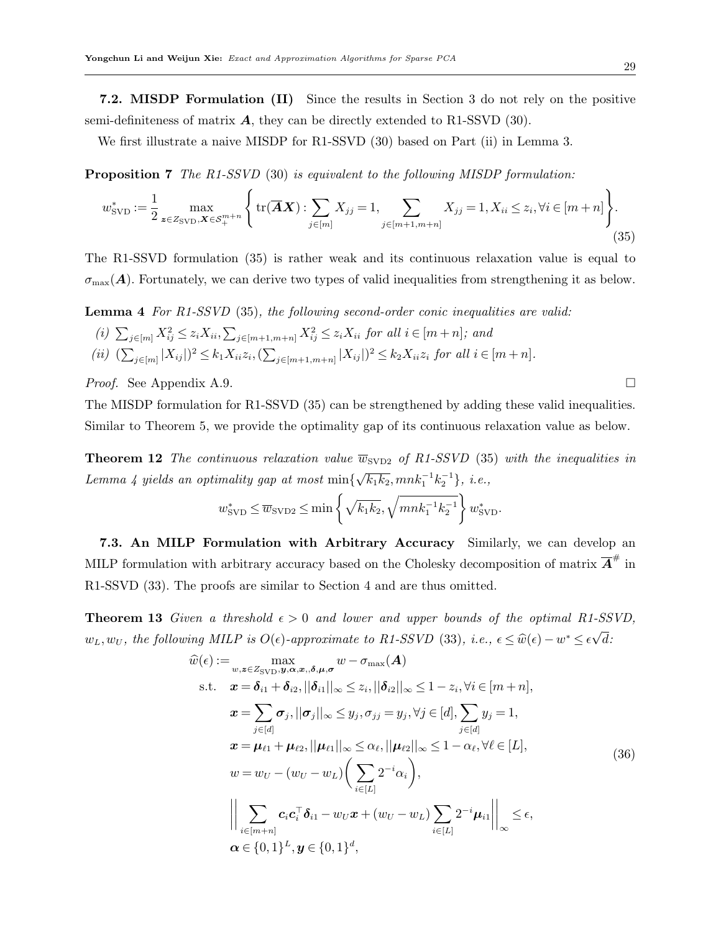7.2. MISDP Formulation (II) Since the results in Section [3](#page-10-0) do not rely on the positive semi-definiteness of matrix  $\vec{A}$ , they can be directly extended to R1-SSVD [\(30\)](#page-26-1).

<span id="page-28-3"></span>We first illustrate a naive MISDP for R1-SSVD [\(30\)](#page-26-1) based on Part (ii) in Lemma [3.](#page-26-3)

**Proposition 7** The R1-SSVD [\(30\)](#page-26-1) is equivalent to the following MISDP formulation:

$$
w_{\text{SVD}}^{*} := \frac{1}{2} \max_{\mathbf{z} \in Z_{\text{SVD}}, \mathbf{X} \in \mathcal{S}_{+}^{m+n}} \left\{ \text{tr}(\overline{\mathbf{A}}\mathbf{X}) : \sum_{j \in [m]} X_{jj} = 1, \sum_{j \in [m+1, m+n]} X_{jj} = 1, X_{ii} \le z_i, \forall i \in [m+n] \right\}.
$$
\n(35)

The R1-SSVD formulation [\(35\)](#page-28-0) is rather weak and its continuous relaxation value is equal to  $\sigma_{\text{max}}(A)$ . Fortunately, we can derive two types of valid inequalities from strengthening it as below.

<span id="page-28-2"></span>Lemma 4 For R1-SSVD [\(35\)](#page-28-0), the following second-order conic inequalities are valid: (i)  $\sum_{j \in [m]} X_{ij}^2 \leq z_i X_{ii}, \sum_{j \in [m+1,m+n]} X_{ij}^2 \leq z_i X_{ii}$  for all  $i \in [m+n]$ ; and (ii)  $(\sum_{j \in [m]} |X_{ij}|)^2 \le k_1 X_{ii} z_i, (\sum_{j \in [m+1,m+n]} |X_{ij}|)^2 \le k_2 X_{ii} z_i$  for all  $i \in [m+n]$ .

*Proof.* See Appendix [A.9.](#page-46-0)

The MISDP formulation for R1-SSVD [\(35\)](#page-28-0) can be strengthened by adding these valid inequalities. Similar to Theorem [5,](#page-12-3) we provide the optimality gap of its continuous relaxation value as below.

**Theorem 12** The continuous relaxation value  $\overline{w}_{SVD2}$  of R1-SSVD [\(35\)](#page-28-0) with the inequalities in Lemma [4](#page-28-2) yields an optimality gap at most min{  $\sqrt{k_1k_2}, mnk_1^{-1}k_2^{-1} \}, i.e.,$ 

$$
w_{\text{SVD}}^* \leq \overline{w}_{\text{SVD2}} \leq \min\left\{\sqrt{k_1k_2}, \sqrt{mnk_1^{-1}k_2^{-1}}\right\} w_{\text{SVD}}^*.
$$

7.3. An MILP Formulation with Arbitrary Accuracy Similarly, we can develop an MILP formulation with arbitrary accuracy based on the Cholesky decomposition of matrix  $\overline{A}^{\#}$  in R1-SSVD [\(33\)](#page-27-1). The proofs are similar to Section [4](#page-14-0) and are thus omitted.

**Theorem 13** Given a threshold  $\epsilon > 0$  and lower and upper bounds of the optimal R1-SSVD,  $w_L, w_U$ , the following MILP is  $O(\epsilon)$ -approximate to R1-SSVD [\(33\)](#page-27-1), i.e.,  $\epsilon \leq \hat{w}(\epsilon) - w^* \leq \epsilon$ √ d:

<span id="page-28-1"></span>
$$
\hat{w}(\epsilon) := \max_{w,z \in Z_{\text{SVD}}, \mathbf{y}, \alpha, \mathbf{x}, \delta, \mu, \sigma} w - \sigma_{\text{max}}(\mathbf{A})
$$
\n
$$
\text{s.t.} \quad \mathbf{x} = \delta_{i1} + \delta_{i2}, ||\delta_{i1}||_{\infty} \le z_i, ||\delta_{i2}||_{\infty} \le 1 - z_i, \forall i \in [m+n],
$$
\n
$$
\mathbf{x} = \sum_{j \in [d]} \sigma_j, ||\sigma_j||_{\infty} \le y_j, \sigma_{jj} = y_j, \forall j \in [d], \sum_{j \in [d]} y_j = 1,
$$
\n
$$
\mathbf{x} = \mu_{\ell 1} + \mu_{\ell 2}, ||\mu_{\ell 1}||_{\infty} \le \alpha_{\ell}, ||\mu_{\ell 2}||_{\infty} \le 1 - \alpha_{\ell}, \forall \ell \in [L],
$$
\n
$$
w = w_U - (w_U - w_L) \Big( \sum_{i \in [L]} 2^{-i} \alpha_i \Big),
$$
\n
$$
\Big\|\sum_{i \in [m+n]} c_i c_i^{\top} \delta_{i1} - w_U \mathbf{x} + (w_U - w_L) \sum_{i \in [L]} 2^{-i} \mu_{i1} \Big\|_{\infty} \le \epsilon,
$$
\n
$$
\alpha \in \{0, 1\}^L, \mathbf{y} \in \{0, 1\}^d,
$$
\n(36)

<span id="page-28-0"></span> $\lambda$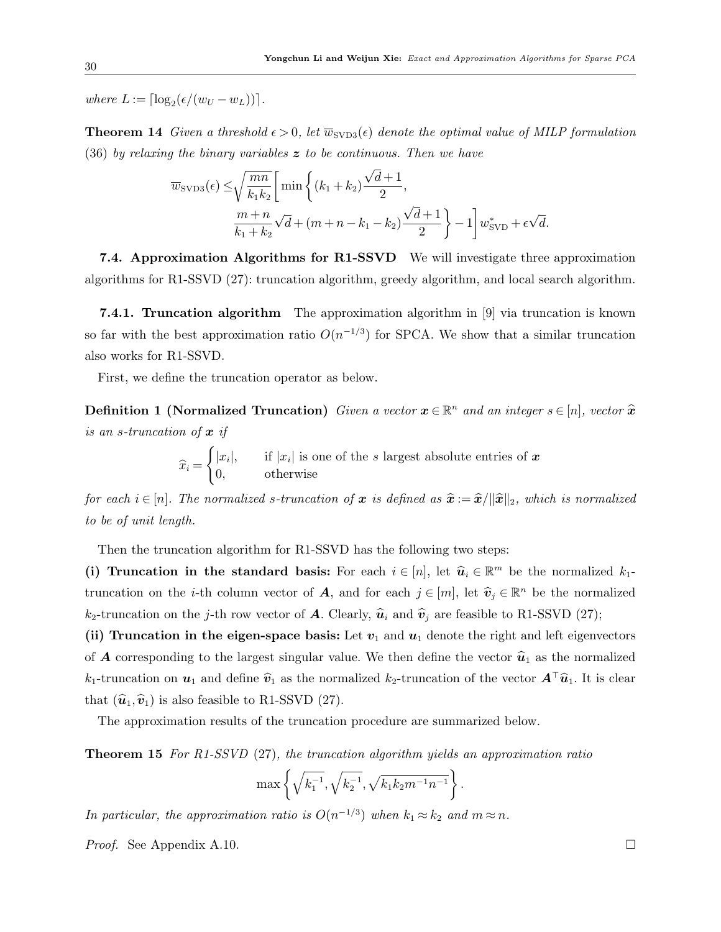where  $L := \lceil \log_2(\epsilon/(w_U - w_L)) \rceil$ .

**Theorem 14** Given a threshold  $\epsilon > 0$ , let  $\overline{w}_{SVD3}(\epsilon)$  denote the optimal value of MILP formulation  $(36)$  by relaxing the binary variables z to be continuous. Then we have

$$
\overline{w}_{\text{SVD3}}(\epsilon) \le \sqrt{\frac{mn}{k_1 k_2}} \left[ \min \left\{ (k_1 + k_2) \frac{\sqrt{d+1}}{2}, \frac{\sqrt{d+1}}{2} \right\} - 1 \right] w_{\text{SVD}}^* + \epsilon \sqrt{d}.
$$

7.4. Approximation Algorithms for R1-SSVD We will investigate three approximation algorithms for R1-SSVD [\(27\)](#page-25-2): truncation algorithm, greedy algorithm, and local search algorithm.

**7.4.1. Truncation algorithm** The approximation algorithm in [\[9\]](#page-33-7) via truncation is known so far with the best approximation ratio  $O(n^{-1/3})$  for SPCA. We show that a similar truncation also works for R1-SSVD.

First, we define the truncation operator as below.

**Definition 1 (Normalized Truncation)** Given a vector  $\boldsymbol{x} \in \mathbb{R}^n$  and an integer  $s \in [n]$ , vector  $\hat{\boldsymbol{x}}$ is an s-truncation of  $x$  if

> $\widehat{x}_i =$  $\int |x_i|$ , if  $|x_i|$  is one of the s largest absolute entries of x 0, otherwise

for each  $i \in [n]$ . The normalized s-truncation of x is defined as  $\hat{x} := \hat{x}/\|\hat{x}\|_2$ , which is normalized to be of unit length.

Then the truncation algorithm for R1-SSVD has the following two steps:

(i) Truncation in the standard basis: For each  $i \in [n]$ , let  $\widehat{u}_i \in \mathbb{R}^m$  be the normalized  $k_1$ truncation on the *i*-th column vector of **A**, and for each  $j \in [m]$ , let  $\widehat{\mathbf{v}}_j \in \mathbb{R}^n$  be the normalized  $k_2$ -truncation on the j-th row vector of A. Clearly,  $\hat{u}_i$  and  $\hat{v}_j$  are feasible to R1-SSVD [\(27\)](#page-25-2);

(ii) Truncation in the eigen-space basis: Let  $v_1$  and  $u_1$  denote the right and left eigenvectors of **A** corresponding to the largest singular value. We then define the vector  $\hat{u}_1$  as the normalized  $k_1$ -truncation on  $u_1$  and define  $\hat{v}_1$  as the normalized  $k_2$ -truncation of the vector  $\mathbf{A}^\top \hat{u}_1$ . It is clear that  $(\hat{u}_1,\hat{v}_1)$  is also feasible to R1-SSVD [\(27\)](#page-25-2).

<span id="page-29-0"></span>The approximation results of the truncation procedure are summarized below.

**Theorem 15** For R1-SSVD [\(27\)](#page-25-2), the truncation algorithm yields an approximation ratio

$$
\max\left\{\sqrt{k_1^{-1}}, \sqrt{k_2^{-1}}, \sqrt{k_1k_2m^{-1}n^{-1}}\right\}.
$$

In particular, the approximation ratio is  $O(n^{-1/3})$  when  $k_1 \approx k_2$  and  $m \approx n$ .

*Proof.* See Appendix [A.10.](#page-46-1)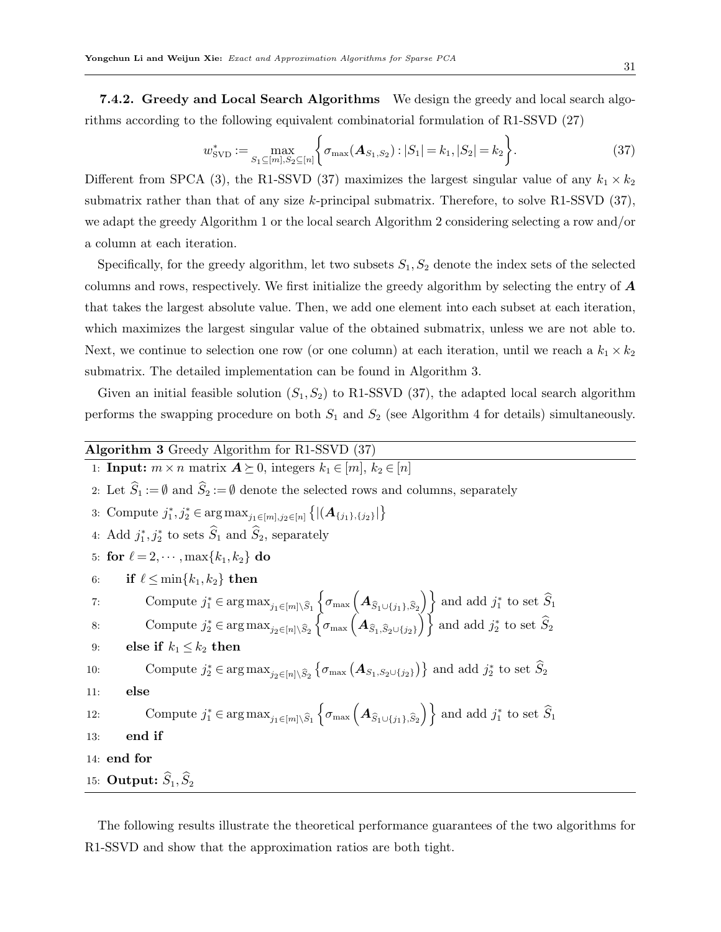7.4.2. Greedy and Local Search Algorithms We design the greedy and local search algorithms according to the following equivalent combinatorial formulation of R1-SSVD [\(27\)](#page-25-2)

<span id="page-30-1"></span>
$$
w_{\text{SVD}}^* := \max_{S_1 \subseteq [m], S_2 \subseteq [n]} \left\{ \sigma_{\max}(\mathbf{A}_{S_1, S_2}) : |S_1| = k_1, |S_2| = k_2 \right\}.
$$
 (37)

Different from SPCA [\(3\)](#page-5-1), the R1-SSVD [\(37\)](#page-30-1) maximizes the largest singular value of any  $k_1 \times k_2$ submatrix rather than that of any size k-principal submatrix. Therefore, to solve R1-SSVD  $(37)$ , we adapt the greedy Algorithm [1](#page-17-0) or the local search Algorithm [2](#page-18-0) considering selecting a row and/or a column at each iteration.

Specifically, for the greedy algorithm, let two subsets  $S_1, S_2$  denote the index sets of the selected columns and rows, respectively. We first initialize the greedy algorithm by selecting the entry of  $\boldsymbol{A}$ that takes the largest absolute value. Then, we add one element into each subset at each iteration, which maximizes the largest singular value of the obtained submatrix, unless we are not able to. Next, we continue to selection one row (or one column) at each iteration, until we reach a  $k_1 \times k_2$ submatrix. The detailed implementation can be found in Algorithm [3.](#page-30-0)

Given an initial feasible solution  $(S_1, S_2)$  to R1-SSVD  $(37)$ , the adapted local search algorithm performs the swapping procedure on both  $S_1$  and  $S_2$  (see Algorithm [4](#page-31-0) for details) simultaneously.

<span id="page-30-0"></span>

|     | Algorithm 3 Greedy Algorithm for R1-SSVD $(37)$                                                                                                                                                                                                                                                                                                                                                 |
|-----|-------------------------------------------------------------------------------------------------------------------------------------------------------------------------------------------------------------------------------------------------------------------------------------------------------------------------------------------------------------------------------------------------|
|     | 1: <b>Input:</b> $m \times n$ matrix $A \succeq 0$ , integers $k_1 \in [m], k_2 \in [n]$                                                                                                                                                                                                                                                                                                        |
|     | 2: Let $\widehat{S}_1 := \emptyset$ and $\widehat{S}_2 := \emptyset$ denote the selected rows and columns, separately                                                                                                                                                                                                                                                                           |
|     | 3: Compute $j_1^*, j_2^* \in \arg \max_{j_1 \in [m], j_2 \in [n]} \left\{  (\mathbf{A}_{\{j_1\},\{j_2\}})   \right\}$                                                                                                                                                                                                                                                                           |
|     | 4: Add $j_1^*, j_2^*$ to sets $\widehat{S}_1$ and $\widehat{S}_2$ , separately                                                                                                                                                                                                                                                                                                                  |
|     | 5: for $\ell = 2, \cdots, \max\{k_1, k_2\}$ do                                                                                                                                                                                                                                                                                                                                                  |
| 6:  | if $\ell \leq \min\{k_1, k_2\}$ then                                                                                                                                                                                                                                                                                                                                                            |
| 7:  | Compute $j_1^* \in \arg \max_{j_1 \in [m] \setminus \widehat{S}_1} \left\{ \sigma_{\max} \left( \mathbf{A}_{\widehat{S}_1 \cup \{j_1\}, \widehat{S}_2} \right) \right\}$ and add $j_1^*$ to set $\widehat{S}_1$<br>Compute $j_2^* \in \arg \max_{j_2 \in [n] \setminus \widehat{S}_2} \left\{ \sigma_{\max} \left( \mathbf{A}_{\widehat{S}_1, \widehat{S}_2 \cup \{j_2\}} \right) \right\}$ and |
| 8:  |                                                                                                                                                                                                                                                                                                                                                                                                 |
| 9:  | else if $k_1 \leq k_2$ then                                                                                                                                                                                                                                                                                                                                                                     |
| 10: | Compute $j_2^* \in \arg \max_{j_2 \in [n] \setminus \widehat{S}_2} \{ \sigma_{\max} (\mathbf{A}_{S_1,S_2 \cup \{j_2\}}) \}$ and add $j_2^*$ to set $\widehat{S}_2$                                                                                                                                                                                                                              |
| 11: | else                                                                                                                                                                                                                                                                                                                                                                                            |
| 12: | Compute $j_1^* \in \arg \max_{j_1 \in [m] \setminus \widehat{S}_1} \left\{ \sigma_{\max} \left( \mathbf{A}_{\widehat{S}_1 \cup \{j_1\}, \widehat{S}_2} \right) \right\}$ and add $j_1^*$ to set $\widehat{S}_1$                                                                                                                                                                                 |
| 13: | end if                                                                                                                                                                                                                                                                                                                                                                                          |
|     | 14: end for                                                                                                                                                                                                                                                                                                                                                                                     |
|     | 15: Output: $\widehat{S}_1, \widehat{S}_2$                                                                                                                                                                                                                                                                                                                                                      |

<span id="page-30-2"></span>The following results illustrate the theoretical performance guarantees of the two algorithms for R1-SSVD and show that the approximation ratios are both tight.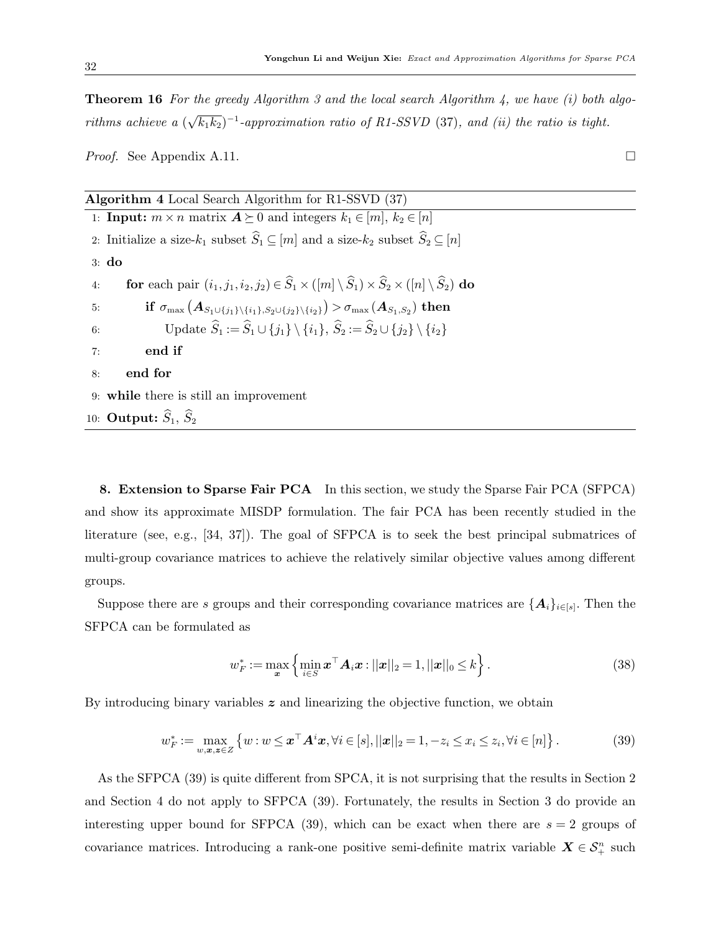**Theorem 16** For the greedy Algorithm [3](#page-30-0) and the local search Algorithm [4,](#page-31-0) we have  $(i)$  both algorithms achieve a ( √  $\overline{k_1k_2})^{-1}$ -approximation ratio of R1-SSVD [\(37\)](#page-30-1), and (ii) the ratio is tight.

*Proof.* See Appendix [A.11.](#page-47-0)

<span id="page-31-0"></span>

| Algorithm 4 Local Search Algorithm for $R1-SSVD$ (37)                                                                                                          |  |  |  |  |  |  |
|----------------------------------------------------------------------------------------------------------------------------------------------------------------|--|--|--|--|--|--|
| 1: <b>Input:</b> $m \times n$ matrix $A \succeq 0$ and integers $k_1 \in [m], k_2 \in [n]$                                                                     |  |  |  |  |  |  |
| 2: Initialize a size- $k_1$ subset $\widehat{S}_1 \subseteq [m]$ and a size- $k_2$ subset $\widehat{S}_2 \subseteq [n]$                                        |  |  |  |  |  |  |
| $3:$ do                                                                                                                                                        |  |  |  |  |  |  |
| for each pair $(i_1, j_1, i_2, j_2) \in \widehat{S}_1 \times ([m] \setminus \widehat{S}_1) \times \widehat{S}_2 \times ([n] \setminus \widehat{S}_2)$ do<br>4: |  |  |  |  |  |  |
| if $\sigma_{\max}(A_{S_1\cup\{j_1\}\setminus\{i_1\},S_2\cup\{j_2\}\setminus\{i_2\}}) > \sigma_{\max}(A_{S_1,S_2})$ then<br>5:                                  |  |  |  |  |  |  |
| Update $\widehat{S}_1 := \widehat{S}_1 \cup \{j_1\} \setminus \{i_1\}, \widehat{S}_2 := \widehat{S}_2 \cup \{j_2\} \setminus \{i_2\}$<br>6:                    |  |  |  |  |  |  |
| end if<br>7:                                                                                                                                                   |  |  |  |  |  |  |
| end for<br>8:                                                                                                                                                  |  |  |  |  |  |  |
| 9: while there is still an improvement                                                                                                                         |  |  |  |  |  |  |
| 10: Output: $\widehat{S}_1$ , $\widehat{S}_2$                                                                                                                  |  |  |  |  |  |  |

<span id="page-31-1"></span>8. Extension to Sparse Fair PCA In this section, we study the Sparse Fair PCA (SFPCA) and show its approximate MISDP formulation. The fair PCA has been recently studied in the literature (see, e.g., [\[34,](#page-35-6) [37\]](#page-35-7)). The goal of SFPCA is to seek the best principal submatrices of multi-group covariance matrices to achieve the relatively similar objective values among different groups.

Suppose there are s groups and their corresponding covariance matrices are  $\{A_i\}_{i\in[s]}$ . Then the SFPCA can be formulated as

<span id="page-31-2"></span>
$$
w_F^* := \max_{\bm{x}} \left\{ \min_{i \in S} \bm{x}^\top \bm{A}_i \bm{x} : ||\bm{x}||_2 = 1, ||\bm{x}||_0 \le k \right\}.
$$
 (38)

By introducing binary variables  $z$  and linearizing the objective function, we obtain

$$
w_F^* := \max_{w,\mathbf{x},\mathbf{z}\in Z} \left\{ w : w \leq \mathbf{x}^\top \mathbf{A}^i \mathbf{x}, \forall i \in [s], ||\mathbf{x}||_2 = 1, -z_i \leq x_i \leq z_i, \forall i \in [n] \right\}.
$$
 (39)

As the SFPCA [\(39\)](#page-31-2) is quite different from SPCA, it is not surprising that the results in Section [2](#page-4-0) and Section [4](#page-14-0) do not apply to SFPCA [\(39\)](#page-31-2). Fortunately, the results in Section [3](#page-10-0) do provide an interesting upper bound for SFPCA [\(39\)](#page-31-2), which can be exact when there are  $s = 2$  groups of covariance matrices. Introducing a rank-one positive semi-definite matrix variable  $X \in \mathcal{S}_{+}^{n}$  such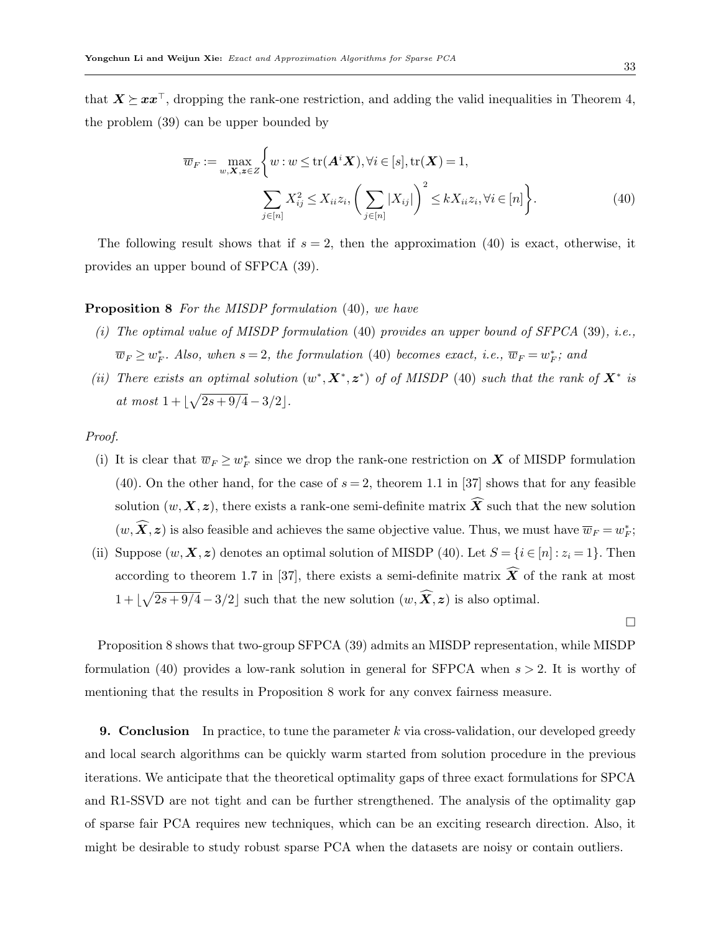that  $X \succeq xx^{\top}$ , dropping the rank-one restriction, and adding the valid inequalities in Theorem [4,](#page-11-3) the problem [\(39\)](#page-31-2) can be upper bounded by

<span id="page-32-2"></span><span id="page-32-0"></span>
$$
\overline{w}_F := \max_{w, \mathbf{X}, \mathbf{z} \in Z} \left\{ w : w \le \text{tr}(\mathbf{A}^i \mathbf{X}), \forall i \in [s], \text{tr}(\mathbf{X}) = 1, \sum_{j \in [n]} X_{ij}^2 \le X_{ii} z_i, \left( \sum_{j \in [n]} |X_{ij}| \right)^2 \le k X_{ii} z_i, \forall i \in [n] \right\}.
$$
\n(40)

The following result shows that if  $s = 2$ , then the approximation [\(40\)](#page-32-0) is exact, otherwise, it provides an upper bound of SFPCA [\(39\)](#page-31-2).

## Proposition 8 For the MISDP formulation [\(40\)](#page-32-0), we have

- (i) The optimal value of MISDP formulation  $(40)$  provides an upper bound of SFPCA  $(39)$ , i.e.,  $\overline{w}_F \geq w_F^*$ . Also, when  $s = 2$ , the formulation [\(40\)](#page-32-0) becomes exact, i.e.,  $\overline{w}_F = w_F^*$ ; and
- (ii) There exists an optimal solution  $(w^*, X^*, z^*)$  of of MISDP [\(40\)](#page-32-0) such that the rank of  $X^*$  is at most  $1 + |\sqrt{2s + 9/4} - 3/2|$ .

Proof.

- (i) It is clear that  $\overline{w}_F \geq w_F^*$  since we drop the rank-one restriction on X of MISDP formulation [\(40\)](#page-32-0). On the other hand, for the case of  $s = 2$ , theorem 1.1 in [\[37\]](#page-35-7) shows that for any feasible solution  $(w, X, z)$ , there exists a rank-one semi-definite matrix  $\widehat{X}$  such that the new solution  $(w, \overline{X}, z)$  is also feasible and achieves the same objective value. Thus, we must have  $\overline{w}_F = w_F^*$ ;
- (ii) Suppose  $(w, X, z)$  denotes an optimal solution of MISDP [\(40\)](#page-32-0). Let  $S = \{i \in [n] : z_i = 1\}$ . Then according to theorem 1.7 in [\[37\]](#page-35-7), there exists a semi-definite matrix  $\widetilde{X}$  of the rank at most  $1 + \lfloor \sqrt{2s + 9/4} - 3/2 \rfloor$  such that the new solution  $(w, \hat{X}, z)$  is also optimal.

 $\Box$ 

Proposition [8](#page-32-2) shows that two-group SFPCA [\(39\)](#page-31-2) admits an MISDP representation, while MISDP formulation [\(40\)](#page-32-0) provides a low-rank solution in general for SFPCA when  $s > 2$ . It is worthy of mentioning that the results in Proposition [8](#page-32-2) work for any convex fairness measure.

<span id="page-32-1"></span>**9. Conclusion** In practice, to tune the parameter k via cross-validation, our developed greedy and local search algorithms can be quickly warm started from solution procedure in the previous iterations. We anticipate that the theoretical optimality gaps of three exact formulations for SPCA and R1-SSVD are not tight and can be further strengthened. The analysis of the optimality gap of sparse fair PCA requires new techniques, which can be an exciting research direction. Also, it might be desirable to study robust sparse PCA when the datasets are noisy or contain outliers.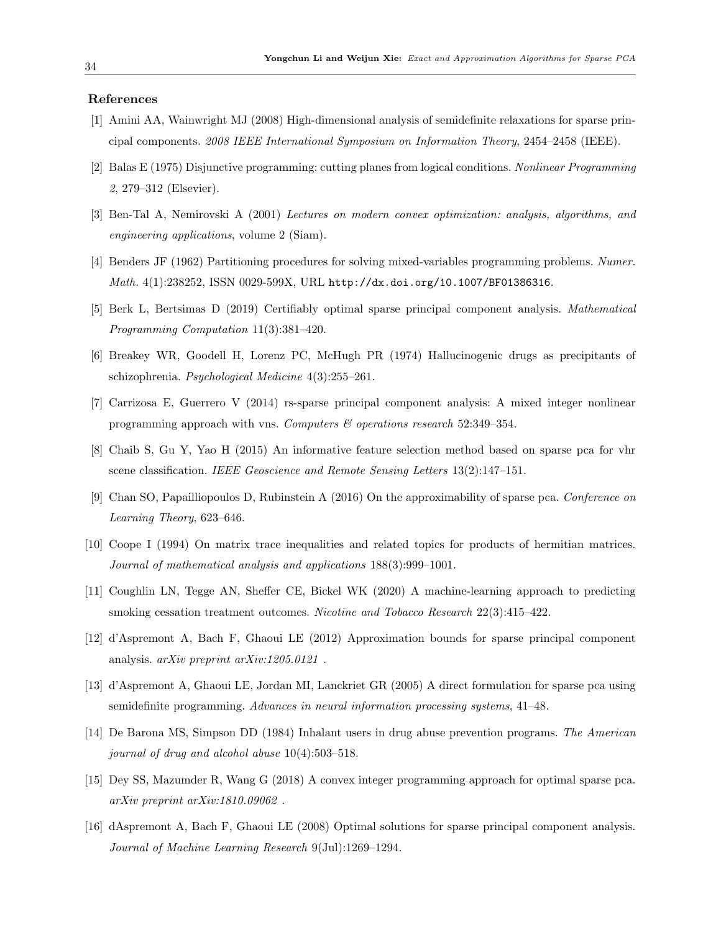#### <span id="page-33-3"></span>References

- [1] Amini AA, Wainwright MJ (2008) High-dimensional analysis of semidefinite relaxations for sparse principal components. 2008 IEEE International Symposium on Information Theory, 2454–2458 (IEEE).
- <span id="page-33-9"></span>[2] Balas E (1975) Disjunctive programming: cutting planes from logical conditions. Nonlinear Programming 2, 279–312 (Elsevier).
- <span id="page-33-12"></span>[3] Ben-Tal A, Nemirovski A (2001) Lectures on modern convex optimization: analysis, algorithms, and engineering applications, volume 2 (Siam).
- <span id="page-33-11"></span>[4] Benders JF (1962) Partitioning procedures for solving mixed-variables programming problems. Numer. Math. 4(1):238252, ISSN 0029-599X, URL <http://dx.doi.org/10.1007/BF01386316>.
- <span id="page-33-1"></span>[5] Berk L, Bertsimas D (2019) Certifiably optimal sparse principal component analysis. Mathematical Programming Computation 11(3):381–420.
- <span id="page-33-14"></span>[6] Breakey WR, Goodell H, Lorenz PC, McHugh PR (1974) Hallucinogenic drugs as precipitants of schizophrenia. Psychological Medicine 4(3):255–261.
- <span id="page-33-8"></span>[7] Carrizosa E, Guerrero V (2014) rs-sparse principal component analysis: A mixed integer nonlinear programming approach with vns. Computers & operations research 52:349–354.
- <span id="page-33-0"></span>[8] Chaib S, Gu Y, Yao H (2015) An informative feature selection method based on sparse pca for vhr scene classification. IEEE Geoscience and Remote Sensing Letters 13(2):147–151.
- <span id="page-33-7"></span>[9] Chan SO, Papailliopoulos D, Rubinstein A (2016) On the approximability of sparse pca. Conference on Learning Theory, 623–646.
- <span id="page-33-10"></span>[10] Coope I (1994) On matrix trace inequalities and related topics for products of hermitian matrices. Journal of mathematical analysis and applications 188(3):999–1001.
- <span id="page-33-13"></span>[11] Coughlin LN, Tegge AN, Sheffer CE, Bickel WK (2020) A machine-learning approach to predicting smoking cessation treatment outcomes. Nicotine and Tobacco Research 22(3):415–422.
- <span id="page-33-6"></span>[12] d'Aspremont A, Bach F, Ghaoui LE (2012) Approximation bounds for sparse principal component analysis. arXiv preprint arXiv:1205.0121 .
- <span id="page-33-4"></span>[13] d'Aspremont A, Ghaoui LE, Jordan MI, Lanckriet GR (2005) A direct formulation for sparse pca using semidefinite programming. Advances in neural information processing systems, 41–48.
- <span id="page-33-15"></span>[14] De Barona MS, Simpson DD (1984) Inhalant users in drug abuse prevention programs. The American journal of drug and alcohol abuse 10(4):503–518.
- <span id="page-33-2"></span>[15] Dey SS, Mazumder R, Wang G (2018) A convex integer programming approach for optimal sparse pca. arXiv preprint arXiv:1810.09062 .
- <span id="page-33-5"></span>[16] dAspremont A, Bach F, Ghaoui LE (2008) Optimal solutions for sparse principal component analysis. Journal of Machine Learning Research 9(Jul):1269–1294.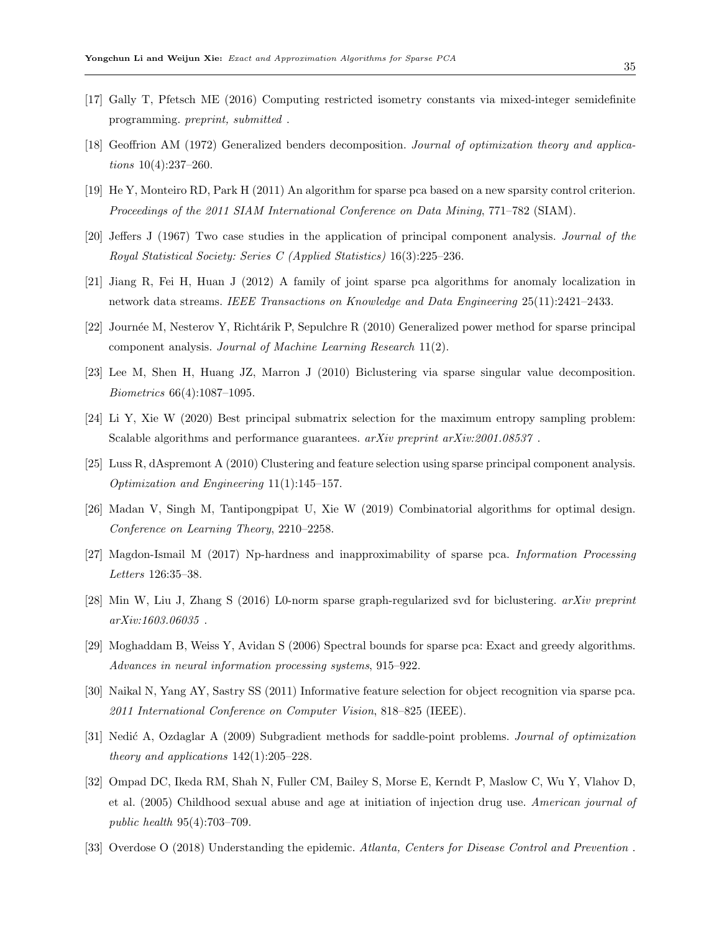- <span id="page-34-5"></span>[17] Gally T, Pfetsch ME (2016) Computing restricted isometry constants via mixed-integer semidefinite programming. preprint, submitted .
- <span id="page-34-10"></span>[18] Geoffrion AM (1972) Generalized benders decomposition. Journal of optimization theory and applications 10(4):237–260.
- <span id="page-34-8"></span>[19] He Y, Monteiro RD, Park H (2011) An algorithm for sparse pca based on a new sparsity control criterion. Proceedings of the 2011 SIAM International Conference on Data Mining, 771–782 (SIAM).
- <span id="page-34-0"></span>[20] Jeffers J (1967) Two case studies in the application of principal component analysis. Journal of the Royal Statistical Society: Series C (Applied Statistics) 16(3):225–236.
- <span id="page-34-1"></span>[21] Jiang R, Fei H, Huan J (2012) A family of joint sparse pca algorithms for anomaly localization in network data streams. IEEE Transactions on Knowledge and Data Engineering 25(11):2421–2433.
- <span id="page-34-9"></span>[22] Journ´ee M, Nesterov Y, Richt´arik P, Sepulchre R (2010) Generalized power method for sparse principal component analysis. Journal of Machine Learning Research 11(2).
- <span id="page-34-16"></span>[23] Lee M, Shen H, Huang JZ, Marron J (2010) Biclustering via sparse singular value decomposition. Biometrics 66(4):1087–1095.
- <span id="page-34-12"></span>[24] Li Y, Xie W (2020) Best principal submatrix selection for the maximum entropy sampling problem: Scalable algorithms and performance guarantees.  $arXiv$  preprint  $arXiv:2001.08537$ .
- <span id="page-34-2"></span>[25] Luss R, dAspremont A (2010) Clustering and feature selection using sparse principal component analysis. Optimization and Engineering 11(1):145–157.
- <span id="page-34-11"></span>[26] Madan V, Singh M, Tantipongpipat U, Xie W (2019) Combinatorial algorithms for optimal design. Conference on Learning Theory, 2210–2258.
- <span id="page-34-4"></span>[27] Magdon-Ismail M (2017) Np-hardness and inapproximability of sparse pca. Information Processing Letters 126:35–38.
- <span id="page-34-15"></span>[28] Min W, Liu J, Zhang S (2016) L0-norm sparse graph-regularized svd for biclustering. arXiv preprint arXiv:1603.06035 .
- <span id="page-34-6"></span>[29] Moghaddam B, Weiss Y, Avidan S (2006) Spectral bounds for sparse pca: Exact and greedy algorithms. Advances in neural information processing systems, 915–922.
- <span id="page-34-3"></span>[30] Naikal N, Yang AY, Sastry SS (2011) Informative feature selection for object recognition via sparse pca. 2011 International Conference on Computer Vision, 818–825 (IEEE).
- <span id="page-34-7"></span>[31] Nedić A, Ozdaglar A (2009) Subgradient methods for saddle-point problems. Journal of optimization theory and applications 142(1):205–228.
- <span id="page-34-14"></span>[32] Ompad DC, Ikeda RM, Shah N, Fuller CM, Bailey S, Morse E, Kerndt P, Maslow C, Wu Y, Vlahov D, et al. (2005) Childhood sexual abuse and age at initiation of injection drug use. American journal of public health 95(4):703–709.
- <span id="page-34-13"></span>[33] Overdose O (2018) Understanding the epidemic. Atlanta, Centers for Disease Control and Prevention .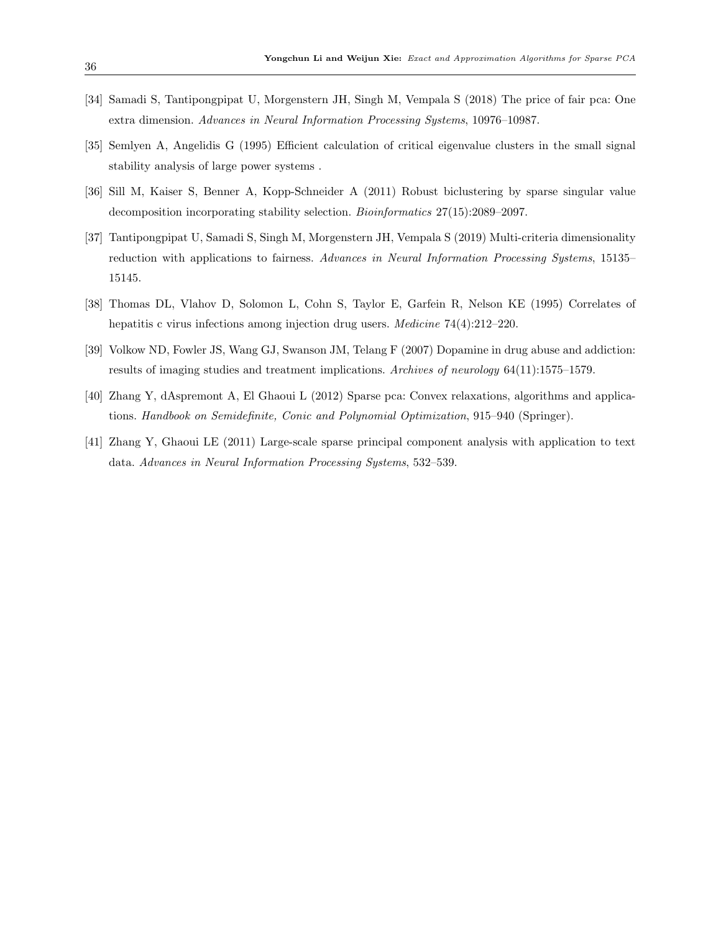- <span id="page-35-6"></span>[34] Samadi S, Tantipongpipat U, Morgenstern JH, Singh M, Vempala S (2018) The price of fair pca: One extra dimension. Advances in Neural Information Processing Systems, 10976–10987.
- <span id="page-35-2"></span>[35] Semlyen A, Angelidis G (1995) Efficient calculation of critical eigenvalue clusters in the small signal stability analysis of large power systems .
- <span id="page-35-5"></span>[36] Sill M, Kaiser S, Benner A, Kopp-Schneider A (2011) Robust biclustering by sparse singular value decomposition incorporating stability selection. Bioinformatics 27(15):2089–2097.
- <span id="page-35-7"></span>[37] Tantipongpipat U, Samadi S, Singh M, Morgenstern JH, Vempala S (2019) Multi-criteria dimensionality reduction with applications to fairness. Advances in Neural Information Processing Systems, 15135– 15145.
- <span id="page-35-4"></span>[38] Thomas DL, Vlahov D, Solomon L, Cohn S, Taylor E, Garfein R, Nelson KE (1995) Correlates of hepatitis c virus infections among injection drug users. *Medicine* 74(4):212–220.
- <span id="page-35-3"></span>[39] Volkow ND, Fowler JS, Wang GJ, Swanson JM, Telang F (2007) Dopamine in drug abuse and addiction: results of imaging studies and treatment implications. Archives of neurology 64(11):1575–1579.
- <span id="page-35-1"></span>[40] Zhang Y, dAspremont A, El Ghaoui L (2012) Sparse pca: Convex relaxations, algorithms and applications. Handbook on Semidefinite, Conic and Polynomial Optimization, 915–940 (Springer).
- <span id="page-35-0"></span>[41] Zhang Y, Ghaoui LE (2011) Large-scale sparse principal component analysis with application to text data. Advances in Neural Information Processing Systems, 532–539.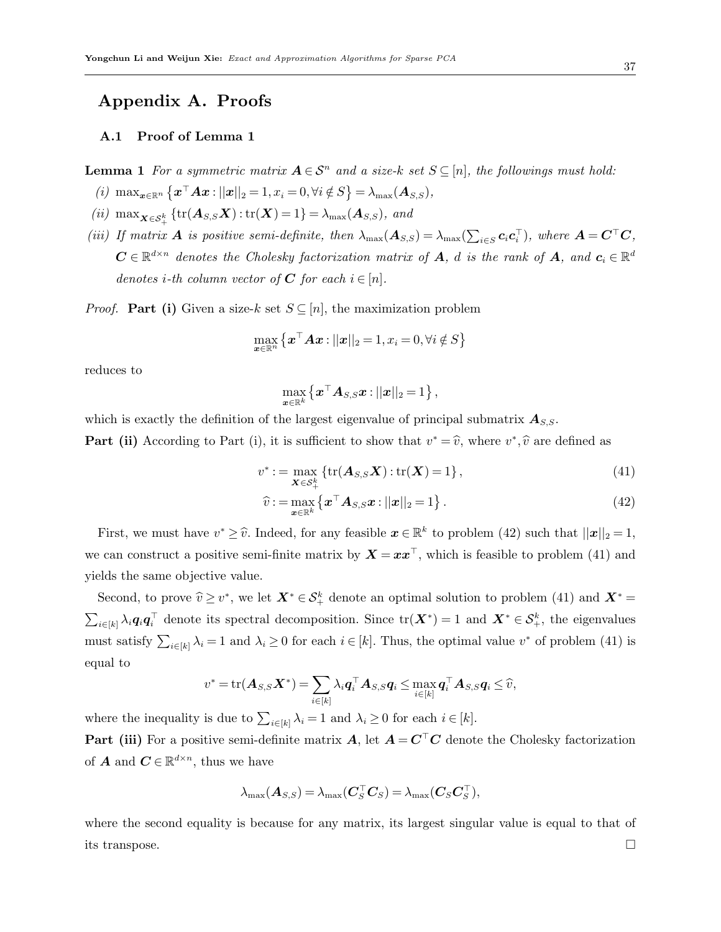# Appendix A. Proofs

## <span id="page-36-0"></span>A.1 Proof of Lemma [1](#page-5-0)

**Lemma 1** For a symmetric matrix  $A \in S^n$  and a size-k set  $S \subseteq [n]$ , the followings must hold:

- (i)  $\max_{\boldsymbol{x} \in \mathbb{R}^n} {\{\boldsymbol{x}^\top A \boldsymbol{x} : ||\boldsymbol{x}||_2 = 1, x_i = 0, \forall i \notin S\}} = \lambda_{\max}(\boldsymbol{A}_{S,S}),$
- (ii)  $\max_{\mathbf{X} \in \mathcal{S}_{\perp}^{k}} \{ \text{tr}(\mathbf{A}_{S,S} \mathbf{X}) : \text{tr}(\mathbf{X}) = 1 \} = \lambda_{\max}(\mathbf{A}_{S,S}), \text{ and}$ +
- (iii) If matrix **A** is positive semi-definite, then  $\lambda_{\max}(\mathbf{A}_{S,S}) = \lambda_{\max}(\sum_{i \in S} c_i c_i^{\top})$ , where  $\mathbf{A} = \mathbf{C}^{\top} \mathbf{C}$ ,  $\mathbf{C} \in \mathbb{R}^{d \times n}$  denotes the Cholesky factorization matrix of  $\mathbf{A}$ , d is the rank of  $\mathbf{A}$ , and  $\mathbf{c}_i \in \mathbb{R}^{d}$ denotes *i*-th column vector of **C** for each  $i \in [n]$ .

*Proof.* Part (i) Given a size-k set  $S \subseteq [n]$ , the maximization problem

$$
\max_{\mathbf{x}\in\mathbb{R}^n} \left\{\mathbf{x}^\top \mathbf{A} \mathbf{x} : ||\mathbf{x}||_2 = 1, x_i = 0, \forall i \notin S\right\}
$$

reduces to

<span id="page-36-2"></span><span id="page-36-1"></span>
$$
\max_{\boldsymbol{x}\in\mathbb{R}^k} \left\{\boldsymbol{x}^{\top} \boldsymbol{A}_{S,S} \boldsymbol{x} : ||\boldsymbol{x}||_2 = 1 \right\},
$$

which is exactly the definition of the largest eigenvalue of principal submatrix  $A_{S,S}$ . **Part (ii)** According to Part (i), it is sufficient to show that  $v^* = \hat{v}$ , where  $v^*, \hat{v}$  are defined as

$$
v^* := \max_{\mathbf{X} \in \mathcal{S}_+^k} \{ \text{tr}(\mathbf{A}_{S,S}\mathbf{X}) : \text{tr}(\mathbf{X}) = 1 \},\tag{41}
$$

$$
\widehat{v} := \max_{\boldsymbol{x} \in \mathbb{R}^k} \left\{ \boldsymbol{x}^\top \boldsymbol{A}_{S,S} \boldsymbol{x} : ||\boldsymbol{x}||_2 = 1 \right\}.
$$
\n(42)

First, we must have  $v^* \geq \hat{v}$ . Indeed, for any feasible  $x \in \mathbb{R}^k$  to problem [\(42\)](#page-36-1) such that  $||x||_2 = 1$ , we can construct a positive semi-finite matrix by  $\mathbf{X} = \mathbf{x} \mathbf{x}^{\top}$ , which is feasible to problem [\(41\)](#page-36-2) and yields the same objective value.

Second, to prove  $\widehat{v} \geq v^*$ , we let  $\mathbf{X}^* \in \mathcal{S}_+^k$  denote an optimal solution to problem [\(41\)](#page-36-2) and  $\mathbf{X}^* =$  $\sum_{i\in[k]}\lambda_i\mathbf{q}_i\mathbf{q}_i^\top$  denote its spectral decomposition. Since  $\text{tr}(\mathbf{X}^*)=1$  and  $\mathbf{X}^*\in\mathcal{S}_+^k$ , the eigenvalues must satisfy  $\sum_{i\in[k]}\lambda_i=1$  and  $\lambda_i\geq 0$  for each  $i\in[k]$ . Thus, the optimal value  $v^*$  of problem [\(41\)](#page-36-2) is equal to

$$
v^* = \text{tr}(\boldsymbol{A}_{S,S}\boldsymbol{X}^*) = \sum_{i \in [k]} \lambda_i \boldsymbol{q}_i^{\top} \boldsymbol{A}_{S,S}\boldsymbol{q}_i \leq \max_{i \in [k]} \boldsymbol{q}_i^{\top} \boldsymbol{A}_{S,S}\boldsymbol{q}_i \leq \widehat{v},
$$

where the inequality is due to  $\sum_{i\in[k]}\lambda_i=1$  and  $\lambda_i\geq 0$  for each  $i\in[k]$ .

**Part (iii)** For a positive semi-definite matrix A, let  $A = C<sup>T</sup>C$  denote the Cholesky factorization of **A** and  $C \in \mathbb{R}^{d \times n}$ , thus we have

$$
\lambda_{\max}(\boldsymbol{A}_{S,S}) = \lambda_{\max}(\boldsymbol{C}_{S}^{\top}\boldsymbol{C}_{S}) = \lambda_{\max}(\boldsymbol{C}_{S}\boldsymbol{C}_{S}^{\top}),
$$

where the second equality is because for any matrix, its largest singular value is equal to that of its transpose.  $\Box$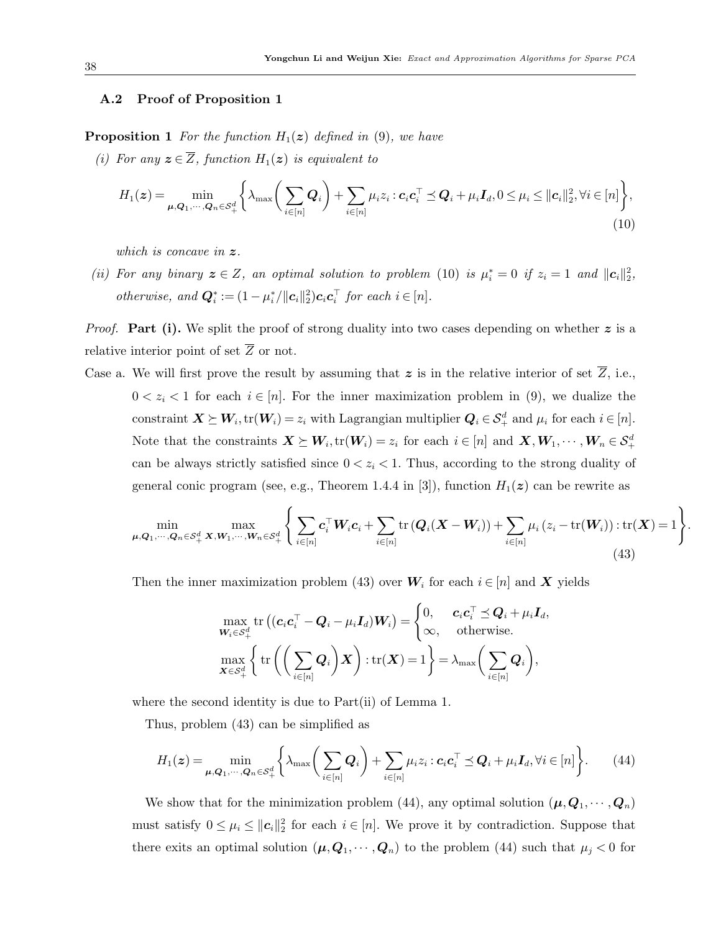## <span id="page-37-0"></span>A.2 Proof of Proposition [1](#page-8-2)

**Proposition 1** For the function  $H_1(z)$  defined in [\(9\)](#page-8-0), we have

(i) For any  $\mathbf{z} \in \overline{Z}$ , function  $H_1(\mathbf{z})$  is equivalent to

$$
H_1(\boldsymbol{z}) = \min_{\boldsymbol{\mu}, \boldsymbol{Q}_1, \cdots, \boldsymbol{Q}_n \in \mathcal{S}_+^d} \left\{ \lambda_{\max} \bigg( \sum_{i \in [n]} \boldsymbol{Q}_i \bigg) + \sum_{i \in [n]} \mu_i z_i : \boldsymbol{c}_i \boldsymbol{c}_i^{\top} \preceq \boldsymbol{Q}_i + \mu_i \boldsymbol{I}_d, 0 \leq \mu_i \leq ||\boldsymbol{c}_i||_2^2, \forall i \in [n] \right\},\tag{10}
$$

which is concave in  $z$ .

(ii) For any binary  $z \in Z$ , an optimal solution to problem [\(10\)](#page-8-1) is  $\mu_i^* = 0$  if  $z_i = 1$  and  $||c_i||_2^2$ , otherwise, and  $\mathbf{Q}_i^* := (1 - \mu_i^* / ||\mathbf{c}_i||_2^2)\mathbf{c}_i \mathbf{c}_i^\top$  for each  $i \in [n]$ .

*Proof.* Part (i). We split the proof of strong duality into two cases depending on whether  $z$  is a relative interior point of set  $\overline{Z}$  or not.

Case a. We will first prove the result by assuming that z is in the relative interior of set  $\overline{Z}$ , i.e.,  $0 < z_i < 1$  for each  $i \in [n]$ . For the inner maximization problem in [\(9\)](#page-8-0), we dualize the constraint  $\boldsymbol{X} \succeq \boldsymbol{W}_i, \text{tr}(\boldsymbol{W}_i) = z_i$  with Lagrangian multiplier  $\boldsymbol{Q}_i \in \mathcal{S}_+^d$  and  $\mu_i$  for each  $i \in [n]$ . Note that the constraints  $X \succeq W_i$ ,  $\text{tr}(W_i) = z_i$  for each  $i \in [n]$  and  $X, W_1, \dots, W_n \in \mathcal{S}_+^d$ can be always strictly satisfied since  $0 < z_i < 1$ . Thus, according to the strong duality of general conic program (see, e.g., Theorem 1.4.4 in [\[3\]](#page-33-12)), function  $H_1(z)$  can be rewrite as

$$
\min_{\mu,Q_1,\cdots,Q_n\in\mathcal{S}_+^d} \max_{\mathbf{X},\mathbf{W}_1,\cdots,\mathbf{W}_n\in\mathcal{S}_+^d} \Bigg\{ \sum_{i\in[n]} \mathbf{c}_i^\top \mathbf{W}_i \mathbf{c}_i + \sum_{i\in[n]} \text{tr}\left(\mathbf{Q}_i(\mathbf{X}-\mathbf{W}_i)\right) + \sum_{i\in[n]} \mu_i \left(z_i - \text{tr}(\mathbf{W}_i)\right) : \text{tr}(\mathbf{X}) = 1 \Bigg\}.
$$
\n(43)

Then the inner maximization problem [\(43\)](#page-37-1) over  $W_i$  for each  $i \in [n]$  and X yields

<span id="page-37-2"></span><span id="page-37-1"></span>
$$
\max_{\mathbf{W}_i \in \mathcal{S}_+^d} \text{tr}\left( (\mathbf{c}_i \mathbf{c}_i^\top - \mathbf{Q}_i - \mu_i \mathbf{I}_d) \mathbf{W}_i \right) = \begin{cases} 0, & \mathbf{c}_i \mathbf{c}_i^\top \preceq \mathbf{Q}_i + \mu_i \mathbf{I}_d, \\ \infty, & \text{otherwise.} \end{cases}
$$
\n
$$
\max_{\mathbf{X} \in \mathcal{S}_+^d} \left\{ \text{tr}\left( \left( \sum_{i \in [n]} \mathbf{Q}_i \right) \mathbf{X} \right) : \text{tr}(\mathbf{X}) = 1 \right\} = \lambda_{\max} \left( \sum_{i \in [n]} \mathbf{Q}_i \right),
$$

where the second identity is due to Part(ii) of Lemma [1.](#page-5-0)

Thus, problem [\(43\)](#page-37-1) can be simplified as

$$
H_1(z) = \min_{\mu, \mathbf{Q}_1, \cdots, \mathbf{Q}_n \in \mathcal{S}_+^d} \left\{ \lambda_{\max} \left( \sum_{i \in [n]} \mathbf{Q}_i \right) + \sum_{i \in [n]} \mu_i z_i : c_i \mathbf{c}_i^{\top} \preceq \mathbf{Q}_i + \mu_i \mathbf{I}_d, \forall i \in [n] \right\}.
$$
 (44)

We show that for the minimization problem [\(44\)](#page-37-2), any optimal solution  $(\mu, Q_1, \dots, Q_n)$ must satisfy  $0 \leq \mu_i \leq ||c_i||_2^2$  for each  $i \in [n]$ . We prove it by contradiction. Suppose that there exits an optimal solution  $(\mu, Q_1, \dots, Q_n)$  to the problem [\(44\)](#page-37-2) such that  $\mu_j < 0$  for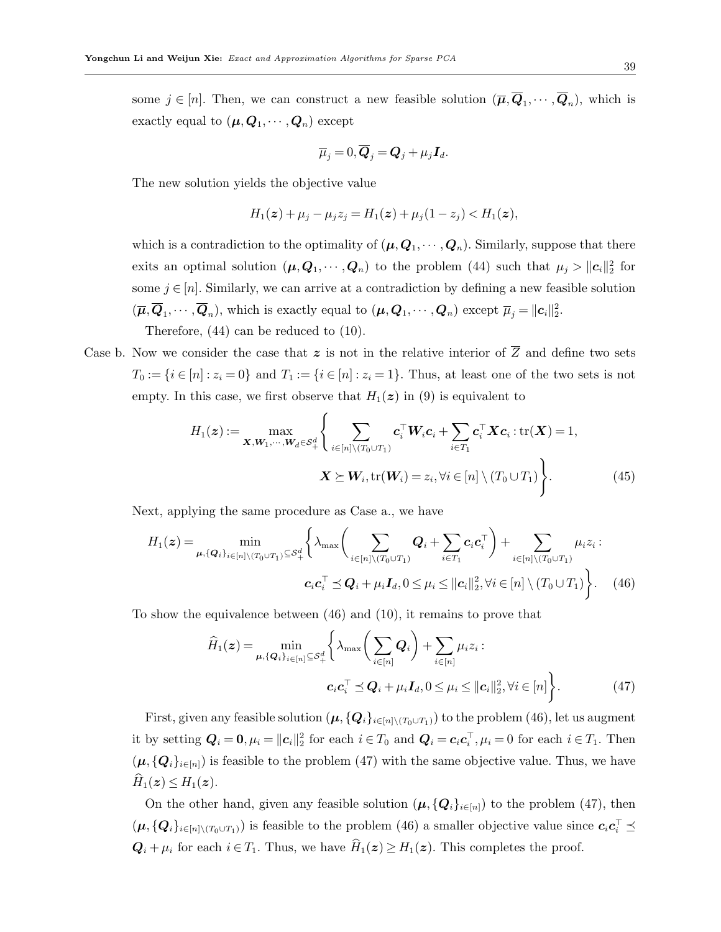some  $j \in [n]$ . Then, we can construct a new feasible solution  $(\overline{\mu}, \mathbf{Q}_1, \dots, \mathbf{Q}_n)$ , which is exactly equal to  $(\pmb{\mu},\pmb{Q}_1,\cdots,\pmb{Q}_n)$  except

$$
\overline{\mu}_j = 0, \overline{\boldsymbol{Q}}_j = \boldsymbol{Q}_j + \mu_j \boldsymbol{I}_d.
$$

The new solution yields the objective value

$$
H_1(z) + \mu_j - \mu_j z_j = H_1(z) + \mu_j(1 - z_j) < H_1(z),
$$

which is a contradiction to the optimality of  $(\mu, Q_1, \dots, Q_n)$ . Similarly, suppose that there exits an optimal solution  $(\mu, Q_1, \dots, Q_n)$  to the problem [\(44\)](#page-37-2) such that  $\mu_j > ||c_i||_2^2$  for some  $j \in [n]$ . Similarly, we can arrive at a contradiction by defining a new feasible solution  $(\overline{\mu}, \overline{\mathbf{Q}}_1, \cdots, \overline{\mathbf{Q}}_n)$ , which is exactly equal to  $(\mu, \mathbf{Q}_1, \cdots, \mathbf{Q}_n)$  except  $\overline{\mu}_j = ||\mathbf{c}_i||_2^2$ . Therefore, [\(44\)](#page-37-2) can be reduced to [\(10\)](#page-8-1).

Case b. Now we consider the case that z is not in the relative interior of  $\overline{Z}$  and define two sets  $T_0 := \{i \in [n] : z_i = 0\}$  and  $T_1 := \{i \in [n] : z_i = 1\}$ . Thus, at least one of the two sets is not empty. In this case, we first observe that  $H_1(z)$  in [\(9\)](#page-8-0) is equivalent to

$$
H_1(\boldsymbol{z}) := \max_{\boldsymbol{X}, \boldsymbol{W}_1, \cdots, \boldsymbol{W}_d \in \mathcal{S}_+^d} \left\{ \sum_{i \in [n] \setminus (T_0 \cup T_1)} \boldsymbol{c}_i^\top \boldsymbol{W}_i \boldsymbol{c}_i + \sum_{i \in T_1} \boldsymbol{c}_i^\top \boldsymbol{X} \boldsymbol{c}_i : \text{tr}(\boldsymbol{X}) = 1, \\ \boldsymbol{X} \succeq \boldsymbol{W}_i, \text{tr}(\boldsymbol{W}_i) = z_i, \forall i \in [n] \setminus (T_0 \cup T_1) \right\}.
$$
 (45)

Next, applying the same procedure as Case a., we have

$$
H_1(\boldsymbol{z}) = \min_{\boldsymbol{\mu}, \{\boldsymbol{Q}_i\}_{i \in [n] \setminus (T_0 \cup T_1)} \subseteq S_+^d} \left\{ \lambda_{\max} \left( \sum_{i \in [n] \setminus (T_0 \cup T_1)} \boldsymbol{Q}_i + \sum_{i \in T_1} c_i \boldsymbol{c}_i^\top \right) + \sum_{i \in [n] \setminus (T_0 \cup T_1)} \mu_i z_i : \\ \boldsymbol{c}_i \boldsymbol{c}_i^\top \preceq \boldsymbol{Q}_i + \mu_i \boldsymbol{I}_d, 0 \leq \mu_i \leq ||\boldsymbol{c}_i||_2^2, \forall i \in [n] \setminus (T_0 \cup T_1) \right\}.
$$
 (46)

To show the equivalence between [\(46\)](#page-38-0) and [\(10\)](#page-8-1), it remains to prove that

<span id="page-38-1"></span><span id="page-38-0"></span>
$$
\widehat{H}_1(\boldsymbol{z}) = \min_{\boldsymbol{\mu}, \{\boldsymbol{Q}_i\}_{i \in [n]} \subseteq \mathcal{S}_+^d} \left\{ \lambda_{\max} \bigg( \sum_{i \in [n]} \boldsymbol{Q}_i \bigg) + \sum_{i \in [n]} \mu_i z_i : \\ \boldsymbol{c}_i \boldsymbol{c}_i^\top \preceq \boldsymbol{Q}_i + \mu_i \boldsymbol{I}_d, 0 \leq \mu_i \leq ||\boldsymbol{c}_i||_2^2, \forall i \in [n] \right\}.
$$
\n(47)

First, given any feasible solution  $(\mu, \{Q_i\}_{i\in[n]\setminus(T_0\cup T_1)})$  to the problem [\(46\)](#page-38-0), let us augment it by setting  $Q_i = 0, \mu_i = ||c_i||_2^2$  for each  $i \in T_0$  and  $Q_i = c_i c_i^{\top}, \mu_i = 0$  for each  $i \in T_1$ . Then  $(\mu, {\{Q_i\}}_{i\in[n]})$  is feasible to the problem [\(47\)](#page-38-1) with the same objective value. Thus, we have  $H_1(z) \leq H_1(z)$ .

On the other hand, given any feasible solution  $(\mu, {\{Q_i\}}_{i\in [n]})$  to the problem [\(47\)](#page-38-1), then  $(\mu, \{Q_i\}_{i \in [n] \setminus (T_0 \cup T_1)})$  is feasible to the problem [\(46\)](#page-38-0) a smaller objective value since  $c_i c_i^{\top} \preceq$  $\mathbf{Q}_i + \mu_i$  for each  $i \in T_1$ . Thus, we have  $\widehat{H}_1(\boldsymbol{z}) \geq H_1(\boldsymbol{z})$ . This completes the proof.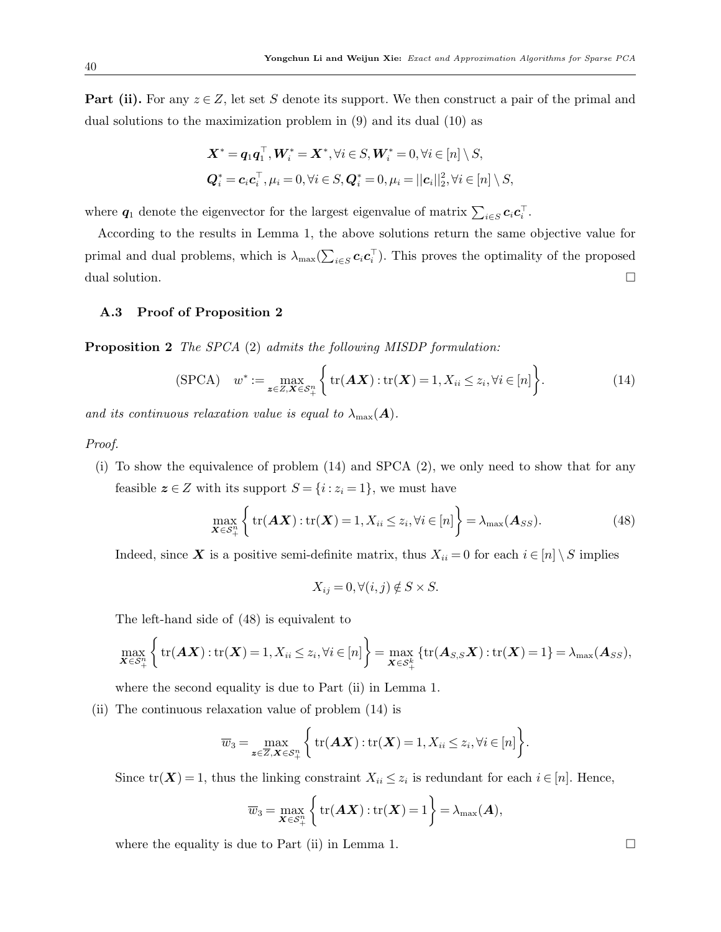**Part (ii).** For any  $z \in Z$ , let set S denote its support. We then construct a pair of the primal and dual solutions to the maximization problem in [\(9\)](#page-8-0) and its dual [\(10\)](#page-8-1) as

$$
\mathbf{X}^* = \mathbf{q}_1 \mathbf{q}_1^\top, \mathbf{W}_i^* = \mathbf{X}^*, \forall i \in S, \mathbf{W}_i^* = 0, \forall i \in [n] \setminus S,
$$
  

$$
\mathbf{Q}_i^* = \mathbf{c}_i \mathbf{c}_i^\top, \mu_i = 0, \forall i \in S, \mathbf{Q}_i^* = 0, \mu_i = ||\mathbf{c}_i||_2^2, \forall i \in [n] \setminus S,
$$

where  $q_1$  denote the eigenvector for the largest eigenvalue of matrix  $\sum_{i \in S} c_i c_i^{\top}$ .

According to the results in Lemma [1,](#page-5-0) the above solutions return the same objective value for primal and dual problems, which is  $\lambda_{\max}(\sum_{i \in S} c_i c_i^{\top})$ . This proves the optimality of the proposed dual solution.

## <span id="page-39-0"></span>A.3 Proof of Proposition [2](#page-10-1)

Proposition 2 The SPCA [\(2\)](#page-4-1) admits the following MISDP formulation:

$$
\text{(SPCA)} \quad w^* := \max_{\mathbf{z} \in Z, \mathbf{X} \in \mathcal{S}_+^n} \left\{ \text{tr}(\mathbf{A}\mathbf{X}) : \text{tr}(\mathbf{X}) = 1, X_{ii} \le z_i, \forall i \in [n] \right\}. \tag{14}
$$

and its continuous relaxation value is equal to  $\lambda_{\text{max}}(A)$ .

#### Proof.

(i) To show the equivalence of problem [\(14\)](#page-11-1) and SPCA [\(2\)](#page-4-1), we only need to show that for any feasible  $z \in Z$  with its support  $S = \{i : z_i = 1\}$ , we must have

<span id="page-39-1"></span>
$$
\max_{\mathbf{X}\in\mathcal{S}_{+}^{n}}\left\{\operatorname{tr}(\mathbf{A}\mathbf{X}) : \operatorname{tr}(\mathbf{X})=1, X_{ii}\leq z_{i}, \forall i\in[n]\right\}=\lambda_{\max}(\mathbf{A}_{SS}).
$$
\n(48)

Indeed, since X is a positive semi-definite matrix, thus  $X_{ii} = 0$  for each  $i \in [n] \setminus S$  implies

$$
X_{ij} = 0, \forall (i, j) \notin S \times S.
$$

The left-hand side of [\(48\)](#page-39-1) is equivalent to

$$
\max_{\mathbf{X}\in\mathcal{S}_{+}^{n}}\bigg\{\text{tr}(\mathbf{A}\mathbf{X}) : \text{tr}(\mathbf{X})=1, X_{ii}\leq z_{i}, \forall i\in[n]\bigg\}=\max_{\mathbf{X}\in\mathcal{S}_{+}^{k}}\{\text{tr}(\mathbf{A}_{S,S}\mathbf{X}) : \text{tr}(\mathbf{X})=1\}=\lambda_{\max}(\mathbf{A}_{SS}),
$$

where the second equality is due to Part (ii) in Lemma [1.](#page-5-0)

(ii) The continuous relaxation value of problem [\(14\)](#page-11-1) is

$$
\overline{w}_3 = \max_{\mathbf{z} \in \overline{Z}, \mathbf{X} \in \mathcal{S}_+^n} \left\{ \operatorname{tr}(\mathbf{A}\mathbf{X}) : \operatorname{tr}(\mathbf{X}) = 1, X_{ii} \le z_i, \forall i \in [n] \right\}.
$$

Since  $tr(\mathbf{X}) = 1$ , thus the linking constraint  $X_{ii} \leq z_i$  is redundant for each  $i \in [n]$ . Hence,

$$
\overline{w}_3 = \max_{\mathbf{X} \in \mathcal{S}_+^n} \left\{ \text{tr}(\mathbf{A}\mathbf{X}) : \text{tr}(\mathbf{X}) = 1 \right\} = \lambda_{\max}(\mathbf{A}),
$$

where the equality is due to Part (ii) in Lemma [1.](#page-5-0)  $\Box$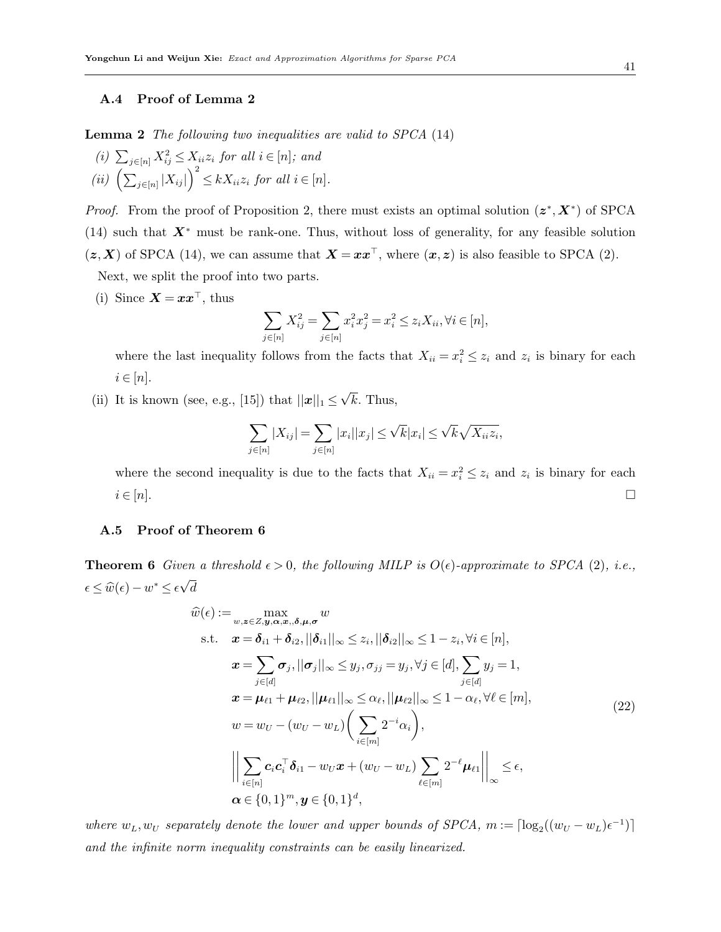# <span id="page-40-0"></span>A.4 Proof of Lemma [2](#page-11-2)

Lemma 2 The following two inequalities are valid to SPCA [\(14\)](#page-11-1)

(i)  $\sum_{j \in [n]} X_{ij}^2 \leq X_{ii} z_i$  for all  $i \in [n]$ ; and (ii)  $\left(\sum_{j\in[n]} |X_{ij}|\right)^2 \le kX_{ii}z_i$  for all  $i \in [n]$ .

*Proof.* From the proof of Proposition [2,](#page-10-1) there must exists an optimal solution  $(z^*, X^*)$  of SPCA  $(14)$  such that  $X^*$  must be rank-one. Thus, without loss of generality, for any feasible solution  $(z, X)$  of SPCA [\(14\)](#page-11-1), we can assume that  $X = xx^{\top}$ , where  $(x, z)$  is also feasible to SPCA [\(2\)](#page-4-1).

Next, we split the proof into two parts.

(i) Since  $\mathbf{X} = \mathbf{x}\mathbf{x}^{\top}$ , thus

$$
\sum_{j\in [n]} X_{ij}^2 = \sum_{j\in [n]} x_i^2 x_j^2 = x_i^2 \leq z_i X_{ii}, \forall i\in [n],
$$

where the last inequality follows from the facts that  $X_{ii} = x_i^2 \leq z_i$  and  $z_i$  is binary for each  $i \in [n]$ .

(ii) It is known (see, e.g., [\[15\]](#page-33-2)) that  $||\mathbf{x}||_1 \le$ √  $k$ . Thus,

$$
\sum_{j\in[n]}|X_{ij}|=\sum_{j\in[n]}|x_i||x_j|\leq\sqrt{k}|x_i|\leq\sqrt{k}\sqrt{X_{ii}z_i},
$$

where the second inequality is due to the facts that  $X_{ii} = x_i^2 \leq z_i$  and  $z_i$  is binary for each  $i \in [n].$ 

## <span id="page-40-1"></span>A.5 Proof of Theorem [6](#page-15-1)

**Theorem 6** Given a threshold  $\epsilon > 0$ , the following MILP is  $O(\epsilon)$ -approximate to SPCA [\(2\)](#page-4-1), i.e.,  $\epsilon \leq \widehat{w}(\epsilon) - w^* \leq \epsilon$ √ d

$$
\hat{w}(\epsilon) := \max_{w,z \in Z, y, \alpha, x, \delta, \mu, \sigma} w
$$
\n
$$
\text{s.t.} \quad \mathbf{x} = \delta_{i1} + \delta_{i2}, ||\delta_{i1}||_{\infty} \le z_i, ||\delta_{i2}||_{\infty} \le 1 - z_i, \forall i \in [n],
$$
\n
$$
\mathbf{x} = \sum_{j \in [d]} \sigma_j, ||\sigma_j||_{\infty} \le y_j, \sigma_{jj} = y_j, \forall j \in [d], \sum_{j \in [d]} y_j = 1,
$$
\n
$$
\mathbf{x} = \mu_{\ell 1} + \mu_{\ell 2}, ||\mu_{\ell 1}||_{\infty} \le \alpha_{\ell}, ||\mu_{\ell 2}||_{\infty} \le 1 - \alpha_{\ell}, \forall \ell \in [m],
$$
\n
$$
w = w_U - (w_U - w_L) \left( \sum_{i \in [m]} 2^{-i} \alpha_i \right),
$$
\n
$$
\left\| \sum_{i \in [n]} c_i c_i^{\top} \delta_{i1} - w_U x + (w_U - w_L) \sum_{\ell \in [m]} 2^{-\ell} \mu_{\ell 1} \right\|_{\infty} \le \epsilon,
$$
\n
$$
\alpha \in \{0, 1\}^m, \mathbf{y} \in \{0, 1\}^d,
$$
\n(22)

where  $w_L, w_U$  separately denote the lower and upper bounds of SPCA,  $m := \lceil \log_2((w_U - w_L)\epsilon^{-1}) \rceil$ and the infinite norm inequality constraints can be easily linearized.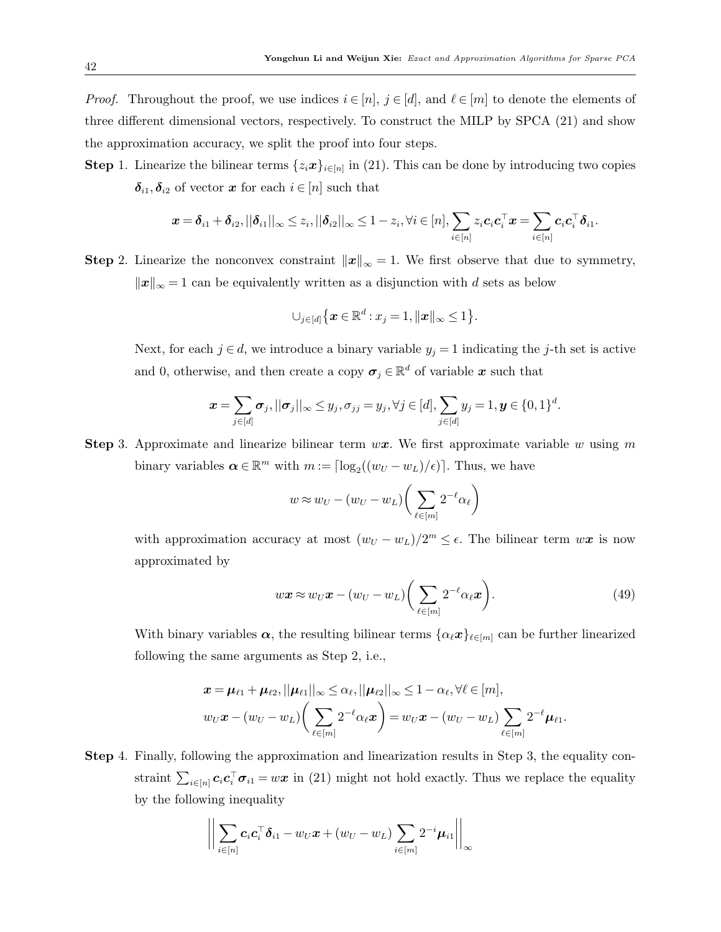*Proof.* Throughout the proof, we use indices  $i \in [n]$ ,  $j \in [d]$ , and  $\ell \in [m]$  to denote the elements of three different dimensional vectors, respectively. To construct the MILP by SPCA [\(21\)](#page-14-2) and show the approximation accuracy, we split the proof into four steps.

**Step** 1. Linearize the bilinear terms  $\{z_i x\}_{i \in [n]}$  in [\(21\)](#page-14-2). This can be done by introducing two copies  $\delta_{i1}, \delta_{i2}$  of vector x for each  $i \in [n]$  such that

$$
\boldsymbol{x} = \boldsymbol{\delta}_{i1} + \boldsymbol{\delta}_{i2}, ||\boldsymbol{\delta}_{i1}||_{\infty} \leq z_i, ||\boldsymbol{\delta}_{i2}||_{\infty} \leq 1-z_i, \forall i \in [n], \sum_{i \in [n]} z_i \boldsymbol{c}_i \boldsymbol{c}_i^{\top} \boldsymbol{x} = \sum_{i \in [n]} \boldsymbol{c}_i \boldsymbol{c}_i^{\top} \boldsymbol{\delta}_{i1}.
$$

Step 2. Linearize the nonconvex constraint  $||x||_{\infty} = 1$ . We first observe that due to symmetry,  $||x||_{\infty} = 1$  can be equivalently written as a disjunction with d sets as below

$$
\cup_{j\in[d]}\left\{\boldsymbol{x}\in\mathbb{R}^d:x_j=1,\|\boldsymbol{x}\|_{\infty}\leq1\right\}
$$

Next, for each  $j \in d$ , we introduce a binary variable  $y_j = 1$  indicating the j-th set is active and 0, otherwise, and then create a copy  $\sigma_j \in \mathbb{R}^d$  of variable x such that

$$
\boldsymbol{x} = \sum_{j \in [d]} \boldsymbol{\sigma}_j, ||\boldsymbol{\sigma}_j||_{\infty} \leq y_j, \sigma_{jj} = y_j, \forall j \in [d], \sum_{j \in [d]} y_j = 1, \boldsymbol{y} \in \{0, 1\}^d.
$$

**Step 3.** Approximate and linearize bilinear term  $wx$ . We first approximate variable w using m binary variables  $\boldsymbol{\alpha} \in \mathbb{R}^m$  with  $m := \lceil \log_2((w_U - w_L)/\epsilon) \rceil$ . Thus, we have

$$
w \approx w_U - (w_U - w_L) \bigg(\sum_{\ell \in [m]} 2^{-\ell} \alpha_\ell\bigg)
$$

with approximation accuracy at most  $(w_U - w_L)/2^m \leq \epsilon$ . The bilinear term  $w\mathbf{x}$  is now approximated by

$$
w\mathbf{x} \approx w_U \mathbf{x} - (w_U - w_L) \bigg(\sum_{\ell \in [m]} 2^{-\ell} \alpha_\ell \mathbf{x}\bigg). \tag{49}
$$

.

With binary variables  $\alpha$ , the resulting bilinear terms  $\{\alpha_\ell x\}_{\ell \in [m]}$  can be further linearized following the same arguments as Step 2, i.e.,

$$
\boldsymbol{x} = \boldsymbol{\mu}_{\ell 1} + \boldsymbol{\mu}_{\ell 2}, ||\boldsymbol{\mu}_{\ell 1}||_{\infty} \leq \alpha_{\ell}, ||\boldsymbol{\mu}_{\ell 2}||_{\infty} \leq 1 - \alpha_{\ell}, \forall \ell \in [m],
$$
  

$$
w_U \boldsymbol{x} - (w_U - w_L) \bigg( \sum_{\ell \in [m]} 2^{-\ell} \alpha_{\ell} \boldsymbol{x} \bigg) = w_U \boldsymbol{x} - (w_U - w_L) \sum_{\ell \in [m]} 2^{-\ell} \boldsymbol{\mu}_{\ell 1}.
$$

Step 4. Finally, following the approximation and linearization results in Step 3, the equality constraint  $\sum_{i\in[n]} c_i c_i^{\top} \sigma_{i1} = w\mathbf{x}$  in [\(21\)](#page-14-2) might not hold exactly. Thus we replace the equality by the following inequality

$$
\bigg\|\sum_{i\in[n]}c_i\mathbf{c}_i^{\top}\boldsymbol{\delta}_{i1}-w_U\boldsymbol{x}+(w_U-w_L)\sum_{i\in[m]}2^{-i}\boldsymbol{\mu}_{i1}\bigg\|_{\infty}
$$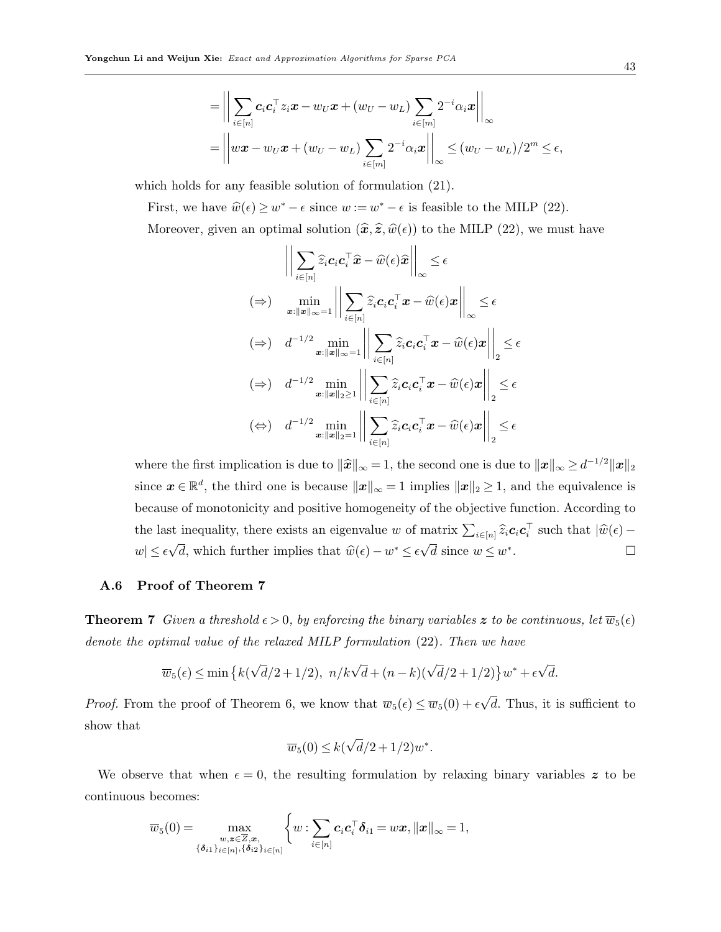$$
= \left\| \sum_{i \in [n]} c_i c_i^{\top} z_i \mathbf{x} - w_U \mathbf{x} + (w_U - w_L) \sum_{i \in [m]} 2^{-i} \alpha_i \mathbf{x} \right\|_{\infty}
$$
  
= 
$$
\left\| w \mathbf{x} - w_U \mathbf{x} + (w_U - w_L) \sum_{i \in [m]} 2^{-i} \alpha_i \mathbf{x} \right\|_{\infty} \le (w_U - w_L) / 2^m \le \epsilon,
$$

which holds for any feasible solution of formulation [\(21\)](#page-14-2).

First, we have  $\hat{w}(\epsilon) \geq w^* - \epsilon$  since  $w := w^* - \epsilon$  is feasible to the MILP [\(22\)](#page-15-0).

Moreover, given an optimal solution  $(\hat{x}, \hat{z}, \hat{w}(\epsilon))$  to the MILP [\(22\)](#page-15-0), we must have

$$
\left\| \sum_{i \in [n]} \widehat{z}_i \mathbf{c}_i \mathbf{c}_i^\top \widehat{\mathbf{x}} - \widehat{w}(\epsilon) \widehat{\mathbf{x}} \right\|_{\infty} \leq \epsilon
$$
\n
$$
(\Rightarrow) \quad \min_{\mathbf{x}: \|\mathbf{x}\|_{\infty} = 1} \left\| \sum_{i \in [n]} \widehat{z}_i \mathbf{c}_i \mathbf{c}_i^\top \mathbf{x} - \widehat{w}(\epsilon) \mathbf{x} \right\|_{\infty} \leq \epsilon
$$
\n
$$
(\Rightarrow) \quad d^{-1/2} \min_{\mathbf{x}: \|\mathbf{x}\|_{\infty} = 1} \left\| \sum_{i \in [n]} \widehat{z}_i \mathbf{c}_i \mathbf{c}_i^\top \mathbf{x} - \widehat{w}(\epsilon) \mathbf{x} \right\|_2 \leq \epsilon
$$
\n
$$
(\Rightarrow) \quad d^{-1/2} \min_{\mathbf{x}: \|\mathbf{x}\|_2 \geq 1} \left\| \sum_{i \in [n]} \widehat{z}_i \mathbf{c}_i \mathbf{c}_i^\top \mathbf{x} - \widehat{w}(\epsilon) \mathbf{x} \right\|_2 \leq \epsilon
$$
\n
$$
(\Leftrightarrow) \quad d^{-1/2} \min_{\mathbf{x}: \|\mathbf{x}\|_2 = 1} \left\| \sum_{i \in [n]} \widehat{z}_i \mathbf{c}_i \mathbf{c}_i^\top \mathbf{x} - \widehat{w}(\epsilon) \mathbf{x} \right\|_2 \leq \epsilon
$$

where the first implication is due to  $\|\hat{\boldsymbol{x}}\|_{\infty} = 1$ , the second one is due to  $\|\boldsymbol{x}\|_{\infty} \ge d^{-1/2} \|\boldsymbol{x}\|_2$ since  $\boldsymbol{x} \in \mathbb{R}^d$ , the third one is because  $\|\boldsymbol{x}\|_{\infty} = 1$  implies  $\|\boldsymbol{x}\|_2 \geq 1$ , and the equivalence is because of monotonicity and positive homogeneity of the objective function. According to the last inequality, there exists an eigenvalue w of matrix  $\sum_{i \in [n]} \widehat{z}_i \mathbf{c}_i \mathbf{c}_i^\top$  such that  $|\widehat{w}(\epsilon) - \epsilon|$  $w \leq \epsilon$ √  $\overline{d}$ , which further implies that  $\widehat{w}(\epsilon) - w^* \leq \epsilon$ √  $\overline{d}$  since  $w \leq w^*$ .<br>. — Пример, пример, пример, пример, пример, пример, пример, пример, пример, пример, пример, пример, пример, п<br>...

# <span id="page-42-0"></span>A.6 Proof of Theorem [7](#page-16-2)

**Theorem 7** Given a threshold  $\epsilon > 0$ , by enforcing the binary variables z to be continuous, let  $\overline{w}_5(\epsilon)$ denote the optimal value of the relaxed MILP formulation [\(22\)](#page-15-0). Then we have

$$
\overline{w}_5(\epsilon) \le \min\left\{k(\sqrt{d}/2 + 1/2), \ n/k\sqrt{d} + (n-k)(\sqrt{d}/2 + 1/2)\right\}w^* + \epsilon\sqrt{d}.
$$

*Proof.* From the proof of Theorem [6,](#page-15-1) we know that  $\overline{w}_5(\epsilon) \leq \overline{w}_5(0) + \epsilon$ √ d. Thus, it is sufficient to show that

$$
\overline{w}_5(0) \le k(\sqrt{d}/2 + 1/2)w^*.
$$

We observe that when  $\epsilon = 0$ , the resulting formulation by relaxing binary variables z to be continuous becomes:

$$
\overline{w}_5(0) = \max_{\substack{w,z \in \overline{Z},x, \\ \{\delta_{i1}\}_{i \in [n]}, \{\delta_{i2}\}_{i \in [n]}}} \left\{ w : \sum_{i \in [n]} c_i c_i^{\top} \delta_{i1} = w x, ||x||_{\infty} = 1, \right\}
$$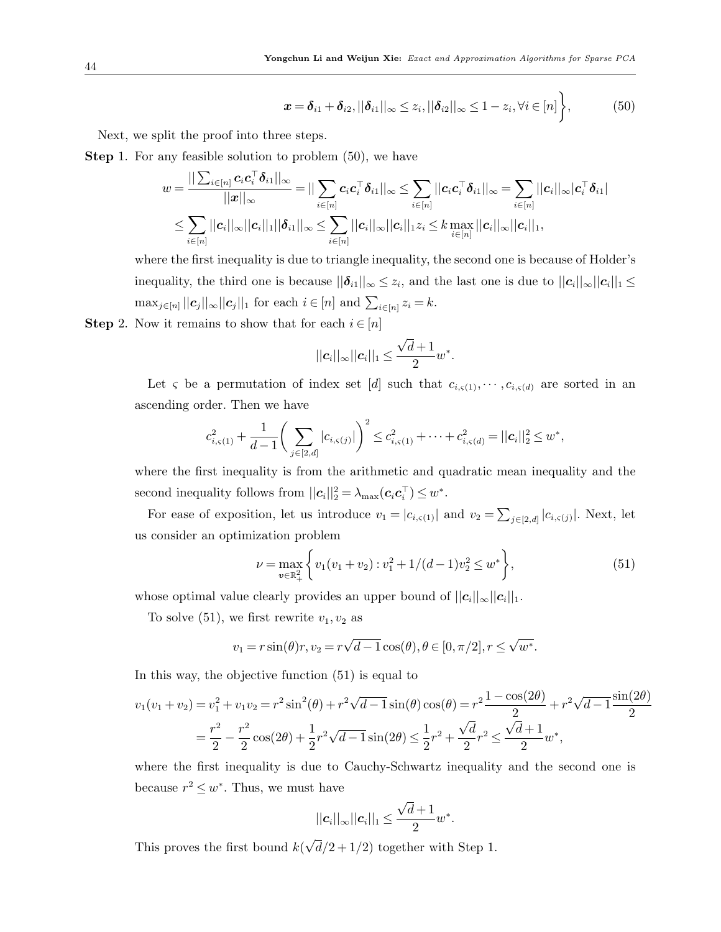<span id="page-43-0"></span>
$$
\boldsymbol{x} = \boldsymbol{\delta}_{i1} + \boldsymbol{\delta}_{i2}, ||\boldsymbol{\delta}_{i1}||_{\infty} \leq z_i, ||\boldsymbol{\delta}_{i2}||_{\infty} \leq 1 - z_i, \forall i \in [n] \bigg\},
$$
 (50)

Next, we split the proof into three steps.

 $\blacksquare$ 

**Step 1.** For any feasible solution to problem  $(50)$ , we have

$$
w = \frac{||\sum_{i\in[n]} \boldsymbol{c}_i \boldsymbol{c}_i^\top \boldsymbol{\delta}_{i1}||_\infty}{||\boldsymbol{x}||_\infty} = ||\sum_{i\in[n]} \boldsymbol{c}_i \boldsymbol{c}_i^\top \boldsymbol{\delta}_{i1}||_\infty \leq \sum_{i\in[n]} ||\boldsymbol{c}_i \boldsymbol{c}_i^\top \boldsymbol{\delta}_{i1}||_\infty = \sum_{i\in[n]} ||\boldsymbol{c}_i||_\infty |\boldsymbol{c}_i^\top \boldsymbol{\delta}_{i1}|
$$
  

$$
\leq \sum_{i\in[n]} ||\boldsymbol{c}_i||_\infty ||\boldsymbol{c}_i||_1 ||\boldsymbol{\delta}_{i1}||_\infty \leq \sum_{i\in[n]} ||\boldsymbol{c}_i||_\infty ||\boldsymbol{c}_i||_1 z_i \leq k \max_{i\in[n]} ||\boldsymbol{c}_i||_\infty ||\boldsymbol{c}_i||_1,
$$

where the first inequality is due to triangle inequality, the second one is because of Holder's inequality, the third one is because  $||\boldsymbol{\delta}_{i1}||_{\infty} \leq z_i$ , and the last one is due to  $||\boldsymbol{c}_i||_{\infty}||\boldsymbol{c}_i||_1 \leq$  $\max_{j \in [n]} ||c_j||_{\infty} ||c_j||_1$  for each  $i \in [n]$  and  $\sum_{i \in [n]} z_i = k$ .

**Step** 2. Now it remains to show that for each  $i \in [n]$ 

$$
||\mathbf{c}_i||_{\infty}||\mathbf{c}_i||_1 \leq \frac{\sqrt{d}+1}{2}w^*.
$$

Let  $\varsigma$  be a permutation of index set [d] such that  $c_{i,\varsigma(1)}, \dots, c_{i,\varsigma(d)}$  are sorted in an ascending order. Then we have

$$
c_{i,\varsigma(1)}^2 + \frac{1}{d-1} \bigg( \sum_{j \in [2,d]} |c_{i,\varsigma(j)}| \bigg)^2 \leq c_{i,\varsigma(1)}^2 + \dots + c_{i,\varsigma(d)}^2 = ||c_i||_2^2 \leq w^*,
$$

where the first inequality is from the arithmetic and quadratic mean inequality and the second inequality follows from  $||c_i||_2^2 = \lambda_{\max}(c_i c_i^{\top}) \leq w^*$ .

For ease of exposition, let us introduce  $v_1 = |c_{i,\varsigma(1)}|$  and  $v_2 = \sum_{j \in [2,d]} |c_{i,\varsigma(j)}|$ . Next, let us consider an optimization problem

<span id="page-43-1"></span>
$$
\nu = \max_{v \in \mathbb{R}_+^2} \left\{ v_1(v_1 + v_2) : v_1^2 + 1/(d-1)v_2^2 \le w^* \right\},\tag{51}
$$

whose optimal value clearly provides an upper bound of  $||c_i||_{\infty}||c_i||_1$ .

To solve [\(51\)](#page-43-1), we first rewrite  $v_1, v_2$  as

$$
v_1 = r \sin(\theta) r, v_2 = r \sqrt{d-1} \cos(\theta), \theta \in [0, \pi/2], r \le \sqrt{w^*}.
$$

In this way, the objective function [\(51\)](#page-43-1) is equal to

$$
v_1(v_1 + v_2) = v_1^2 + v_1v_2 = r^2 \sin^2(\theta) + r^2 \sqrt{d-1} \sin(\theta) \cos(\theta) = r^2 \frac{1 - \cos(2\theta)}{2} + r^2 \sqrt{d-1} \frac{\sin(2\theta)}{2}
$$
  
=  $\frac{r^2}{2} - \frac{r^2}{2} \cos(2\theta) + \frac{1}{2}r^2 \sqrt{d-1} \sin(2\theta) \le \frac{1}{2}r^2 + \frac{\sqrt{d}}{2}r^2 \le \frac{\sqrt{d+1}}{2}w^*,$ 

where the first inequality is due to Cauchy-Schwartz inequality and the second one is because  $r^2 \leq w^*$ . Thus, we must have

$$
||c_i||_{\infty}||c_i||_1 \leq \frac{\sqrt{d}+1}{2}w^*.
$$

This proves the first bound  $k($ √  $d/2 + 1/2$  together with Step 1.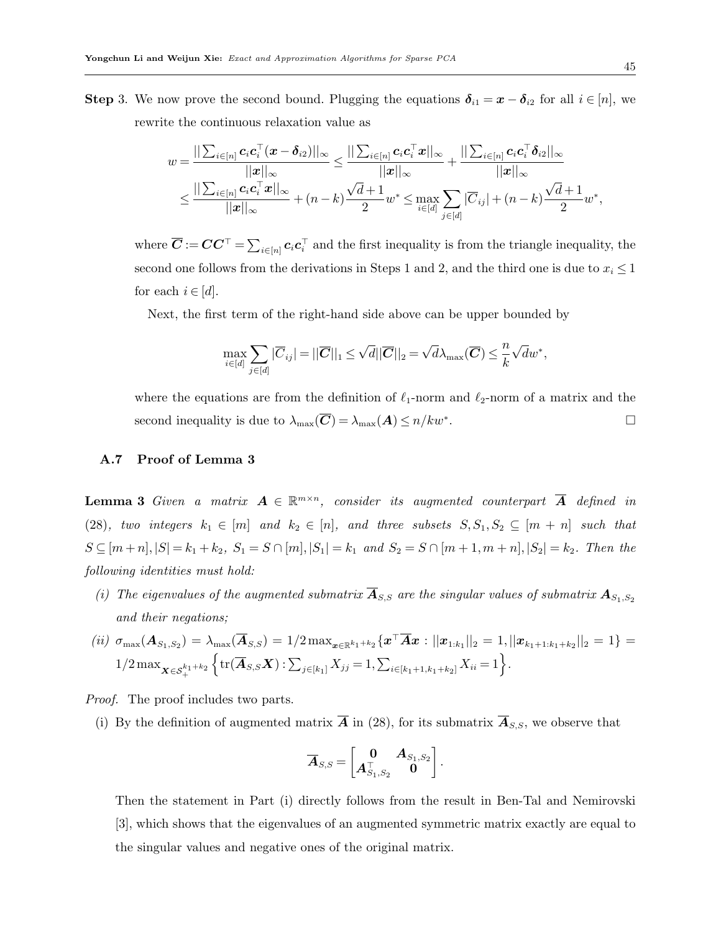**Step** 3. We now prove the second bound. Plugging the equations  $\delta_{i1} = x - \delta_{i2}$  for all  $i \in [n]$ , we rewrite the continuous relaxation value as

$$
w = \frac{||\sum_{i \in [n]} \mathbf{c}_i \mathbf{c}_i^\top(\mathbf{x} - \boldsymbol{\delta}_{i2})||_{\infty}}{||\mathbf{x}||_{\infty}} \leq \frac{||\sum_{i \in [n]} \mathbf{c}_i \mathbf{c}_i^\top \mathbf{x}||_{\infty}}{||\mathbf{x}||_{\infty}} + \frac{||\sum_{i \in [n]} \mathbf{c}_i \mathbf{c}_i^\top \boldsymbol{\delta}_{i2}||_{\infty}}{||\mathbf{x}||_{\infty}} \leq \frac{||\sum_{i \in [n]} \mathbf{c}_i \mathbf{c}_i^\top \mathbf{x}||_{\infty}}{||\mathbf{x}||_{\infty}} + (n - k) \frac{\sqrt{d} + 1}{2} w^* \leq \max_{i \in [d]} \sum_{j \in [d]} |\overline{C}_{ij}| + (n - k) \frac{\sqrt{d} + 1}{2} w^*,
$$

where  $\overline{C} := CC^{\top} = \sum_{i \in [n]} c_i c_i^{\top}$  and the first inequality is from the triangle inequality, the second one follows from the derivations in Steps 1 and 2, and the third one is due to  $x_i \leq 1$ for each  $i \in [d]$ .

Next, the first term of the right-hand side above can be upper bounded by

$$
\max_{i \in [d]} \sum_{j \in [d]} |\overline{C}_{ij}| = ||\overline{C}||_1 \le \sqrt{d} ||\overline{C}||_2 = \sqrt{d} \lambda_{\max}(\overline{C}) \le \frac{n}{k} \sqrt{d} w^*,
$$

where the equations are from the definition of  $\ell_1$ -norm and  $\ell_2$ -norm of a matrix and the second inequality is due to  $\lambda_{\max}(\overline{C}) = \lambda_{\max}(A) \leq n/kw^*$ . . В последните последните под на приема в село в село в село в село в село в село в село в село в село в село <br>В село в село в село в село в село в село в село в село в село в село в село в село в село в село в село в сел

## <span id="page-44-0"></span>A.7 Proof of Lemma [3](#page-26-3)

**Lemma 3** Given a matrix  $A \in \mathbb{R}^{m \times n}$ , consider its augmented counterpart  $\overline{A}$  defined in [\(28\)](#page-26-2), two integers  $k_1 \in [m]$  and  $k_2 \in [n]$ , and three subsets  $S, S_1, S_2 \subseteq [m + n]$  such that  $S \subseteq [m+n], |S| = k_1 + k_2, S_1 = S \cap [m], |S_1| = k_1 \text{ and } S_2 = S \cap [m+1, m+n], |S_2| = k_2.$  Then the following identities must hold:

(i) The eigenvalues of the augmented submatrix  $\overline{\mathbf{A}}_{S,S}$  are the singular values of submatrix  $\mathbf{A}_{S_1,S_2}$ and their negations;

$$
(ii) \ \sigma_{\max}(\mathbf{A}_{S_1,S_2}) = \lambda_{\max}(\overline{\mathbf{A}}_{S,S}) = 1/2 \max_{\mathbf{x} \in \mathbb{R}^{k_1+k_2}} \{ \mathbf{x}^\top \overline{\mathbf{A}} \mathbf{x} : ||\mathbf{x}_{1:k_1}||_2 = 1, ||\mathbf{x}_{k_1+1:k_1+k_2}||_2 = 1 \} = 1/2 \max_{\mathbf{x} \in \mathcal{S}_+^{k_1+k_2}} \left\{ \text{tr}(\overline{\mathbf{A}}_{S,S} \mathbf{X}) : \sum_{j \in [k_1]} X_{jj} = 1, \sum_{i \in [k_1+1,k_1+k_2]} X_{ii} = 1 \right\}.
$$

Proof. The proof includes two parts.

(i) By the definition of augmented matrix  $\overline{A}$  in [\(28\)](#page-26-2), for its submatrix  $\overline{A}_{S,S}$ , we observe that

$$
\overline{\boldsymbol{A}}_{S,S}\! =\! \begin{bmatrix} \boldsymbol{0} & \boldsymbol{A}_{S_1,S_2}\\ \boldsymbol{A}_{S_1,S_2}^\top & \boldsymbol{0} \end{bmatrix}.
$$

Then the statement in Part (i) directly follows from the result in Ben-Tal and Nemirovski [\[3\]](#page-33-12), which shows that the eigenvalues of an augmented symmetric matrix exactly are equal to the singular values and negative ones of the original matrix.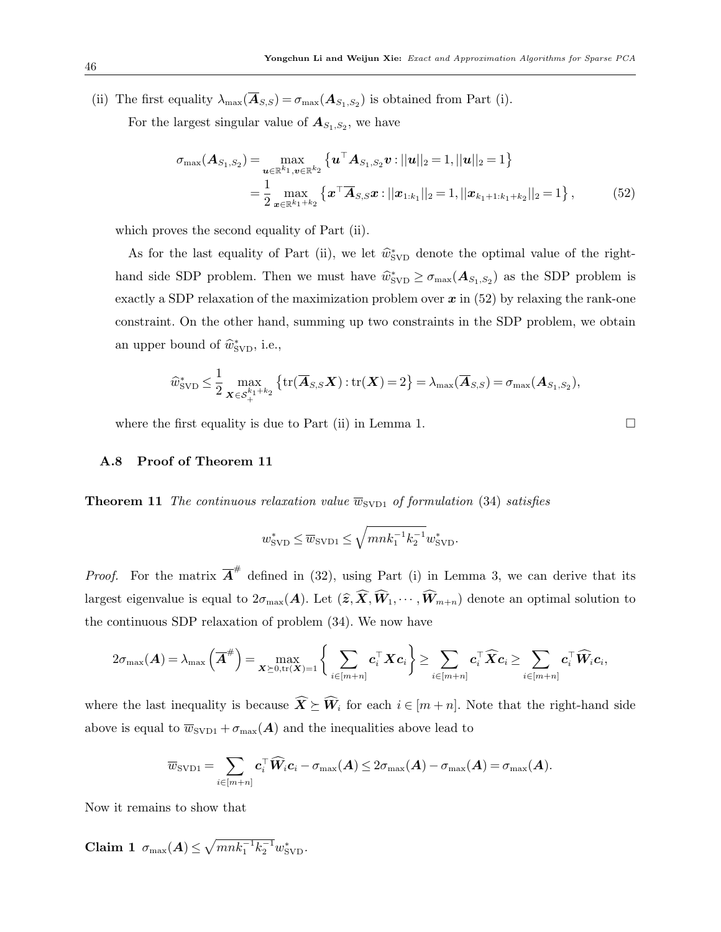(ii) The first equality  $\lambda_{\max}(\mathbf{A}_{S,S}) = \sigma_{\max}(\mathbf{A}_{S_1,S_2})$  is obtained from Part (i).

For the largest singular value of  $A_{S_1,S_2}$ , we have

$$
\sigma_{\max}(\mathbf{A}_{S_1,S_2}) = \max_{\mathbf{u} \in \mathbb{R}^{k_1}, \mathbf{v} \in \mathbb{R}^{k_2}} \left\{ \mathbf{u}^\top \mathbf{A}_{S_1,S_2} \mathbf{v} : ||\mathbf{u}||_2 = 1, ||\mathbf{u}||_2 = 1 \right\}
$$
  
= 
$$
\frac{1}{2} \max_{\mathbf{x} \in \mathbb{R}^{k_1+k_2}} \left\{ \mathbf{x}^\top \overline{\mathbf{A}}_{S,S} \mathbf{x} : ||\mathbf{x}_{1:k_1}||_2 = 1, ||\mathbf{x}_{k_1+1:k_1+k_2}||_2 = 1 \right\},
$$
 (52)

which proves the second equality of Part (ii).

As for the last equality of Part (ii), we let  $\hat{w}_{SVD}^*$  denote the optimal value of the righthand side SDP problem. Then we must have  $\hat{w}_{SVD}^* \ge \sigma_{\max}(\mathbf{A}_{S_1,S_2})$  as the SDP problem is exactly a SDP relaxation of the maximization problem over  $x$  in [\(52\)](#page-45-1) by relaxing the rank-one constraint. On the other hand, summing up two constraints in the SDP problem, we obtain an upper bound of  $\widehat{w}^*_{SVD}$ , i.e.,

$$
\widehat{w}_{\text{SVD}}^* \leq \frac{1}{2} \max_{\boldsymbol{X} \in \mathcal{S}_+^{k_1+k_2}} \left\{ \text{tr}(\overline{\boldsymbol{A}}_{S,S}\boldsymbol{X}) : \text{tr}(\boldsymbol{X}) = 2 \right\} = \lambda_{\max}(\overline{\boldsymbol{A}}_{S,S}) = \sigma_{\max}(\boldsymbol{A}_{S_1,S_2}),
$$

where the first equality is due to Part (ii) in Lemma [1.](#page-5-0)  $\Box$ 

## <span id="page-45-0"></span>A.8 Proof of Theorem [11](#page-27-2)

**Theorem 11** The continuous relaxation value  $\overline{w}_{SVD1}$  of formulation [\(34\)](#page-27-0) satisfies

$$
w_{\textrm{SVD}}^*\leq \overline{w}_{\textrm{SVD1}}\leq \sqrt{mnk_1^{-1}k_2^{-1}}w_{\textrm{SVD}}^*.
$$

*Proof.* For the matrix  $\overline{A}^{\#}$  defined in [\(32\)](#page-27-3), using Part (i) in Lemma [3,](#page-26-3) we can derive that its largest eigenvalue is equal to  $2\sigma_{\max}(A)$ . Let  $(\widehat{z},\widehat{X},\widehat{W}_1,\cdots,\widehat{W}_{m+n})$  denote an optimal solution to the continuous SDP relaxation of problem [\(34\)](#page-27-0). We now have

$$
2\sigma_{\max}(\boldsymbol{A}) = \lambda_{\max}\left(\overline{\boldsymbol{A}}^{\#}\right) = \max_{\boldsymbol{X} \succeq 0, \text{tr}(\boldsymbol{X}) = 1} \bigg\{\sum_{i \in [m+n]} \boldsymbol{c}_i^{\top} \boldsymbol{X} \boldsymbol{c}_i\bigg\} \geq \sum_{i \in [m+n]} \boldsymbol{c}_i^{\top} \widehat{\boldsymbol{X}} \boldsymbol{c}_i \geq \sum_{i \in [m+n]} \boldsymbol{c}_i^{\top} \widehat{\boldsymbol{W}}_i \boldsymbol{c}_i,
$$

where the last inequality is because  $\widehat{\mathbf{X}} \succeq \widehat{\mathbf{W}}_i$  for each  $i \in [m+n]$ . Note that the right-hand side above is equal to  $\overline{w}_{SVD1} + \sigma_{max}(A)$  and the inequalities above lead to

<span id="page-45-2"></span>
$$
\overline{w}_{\text{SVD1}} = \sum_{i \in [m+n]} \boldsymbol{c}_i^\top \widehat{\boldsymbol{W}}_i \boldsymbol{c}_i - \sigma_{\text{max}}(\boldsymbol{A}) \leq 2 \sigma_{\text{max}}(\boldsymbol{A}) - \sigma_{\text{max}}(\boldsymbol{A}) = \sigma_{\text{max}}(\boldsymbol{A}).
$$

Now it remains to show that

Claim 1  $\sigma_{\max}(A) \leq \sqrt{mnk_1^{-1}k_2^{-1}} w_{\text{SVD}}^*$ .

<span id="page-45-1"></span>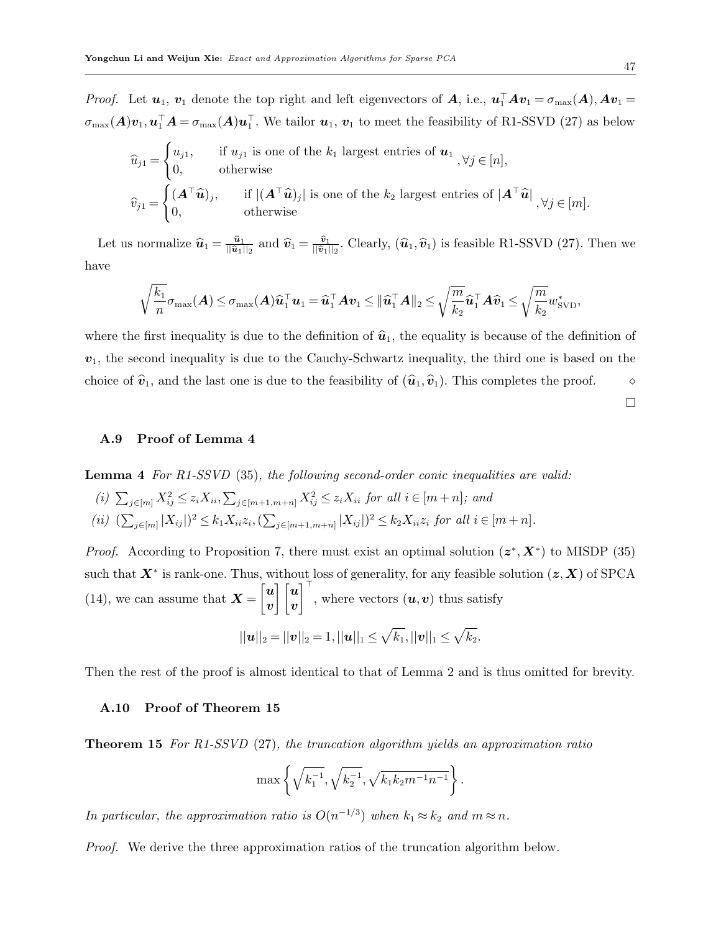*Proof.* Let  $u_1, v_1$  denote the top right and left eigenvectors of  $A$ , i.e.,  $u_1^{\top}Av_1 = \sigma_{\max}(A), Av_1 =$  $\sigma_{\max}(A)v_1, u_1^{\top}A = \sigma_{\max}(A)u_1^{\top}$ . We tailor  $u_1, v_1$  to meet the feasibility of R1-SSVD [\(27\)](#page-25-2) as below

$$
\widehat{u}_{j1} = \begin{cases} u_{j1}, & \text{if } u_{j1} \text{ is one of the } k_1 \text{ largest entries of } \mathbf{u}_1 \\ 0, & \text{otherwise} \end{cases}
$$
\n
$$
\widehat{v}_{j1} = \begin{cases} (\mathbf{A}^\top \widehat{\mathbf{u}})_j, & \text{if } |(\mathbf{A}^\top \widehat{\mathbf{u}})_j| \text{ is one of the } k_2 \text{ largest entries of } |\mathbf{A}^\top \widehat{\mathbf{u}}| \\ 0, & \text{otherwise} \end{cases}, \forall j \in [m].
$$

Let us normalize  $\widehat{\mathbf{u}}_1 = \frac{\widehat{\mathbf{u}}_1}{\|\widehat{\mathbf{u}}_1\|}$  $\frac{\widehat{\boldsymbol{u}}_1}{\|\widehat{\boldsymbol{u}}_1\|_2}$  and  $\widehat{\boldsymbol{v}}_1 = \frac{\widehat{\boldsymbol{v}}_1}{\|\widehat{\boldsymbol{v}}_1\|_2}$  $\frac{v_1}{\|\hat{v}_1\|_2}$ . Clearly,  $(\hat{u}_1, \hat{v}_1)$  is feasible R1-SSVD [\(27\)](#page-25-2). Then we have

$$
\sqrt{\frac{k_1}{n}}\sigma_{\max}(\boldsymbol{A}) \leq \sigma_{\max}(\boldsymbol{A})\widehat{\boldsymbol{u}}_1^\top \boldsymbol{u}_1 = \widehat{\boldsymbol{u}}_1^\top \boldsymbol{A} \boldsymbol{v}_1 \leq \|\widehat{\boldsymbol{u}}_1^\top \boldsymbol{A}\|_2 \leq \sqrt{\frac{m}{k_2}}\widehat{\boldsymbol{u}}_1^\top \boldsymbol{A}\widehat{\boldsymbol{v}}_1 \leq \sqrt{\frac{m}{k_2}}w_{\text{SVD}}^*,
$$

where the first inequality is due to the definition of  $\hat{u}_1$ , the equality is because of the definition of  $v_1$ , the second inequality is due to the Cauchy-Schwartz inequality, the third one is based on the choice of  $\hat{v}_1$ , and the last one is due to the feasibility of  $(\hat{u}_1,\hat{v}_1)$ . This completes the proof.  $\diamond$ 

 $\Box$ 

## <span id="page-46-0"></span>A.9 Proof of Lemma [4](#page-28-2)

Lemma 4 For R1-SSVD [\(35\)](#page-28-0), the following second-order conic inequalities are valid:

(i)  $\sum_{j \in [m]} X_{ij}^2 \leq z_i X_{ii}, \sum_{j \in [m+1,m+n]} X_{ij}^2 \leq z_i X_{ii}$  for all  $i \in [m+n]$ ; and (ii)  $(\sum_{j \in [m]} |X_{ij}|)^2 \le k_1 X_{ii} z_i, (\sum_{j \in [m+1,m+n]} |X_{ij}|)^2 \le k_2 X_{ii} z_i$  for all  $i \in [m+n]$ .

*Proof.* According to Proposition [7,](#page-28-3) there must exist an optimal solution  $(z^*, X^*)$  to MISDP [\(35\)](#page-28-0) such that  $X^*$  is rank-one. Thus, without loss of generality, for any feasible solution  $(z, X)$  of SPCA [\(14\)](#page-11-1), we can assume that  $\boldsymbol{X} = \begin{bmatrix} \boldsymbol{u} \\ \boldsymbol{u} \end{bmatrix}$  $\boldsymbol{v}$  $\pmb{\mid}$   $\pmb{\mid u}$  $\boldsymbol{v}$  $\left[\begin{matrix} \overline{a} \\ b \end{matrix}\right]$ , where vectors  $(\boldsymbol{u}, \boldsymbol{v})$  thus satisfy

$$
||u||_2 = ||v||_2 = 1, ||u||_1 \le \sqrt{k_1}, ||v||_1 \le \sqrt{k_2}.
$$

Then the rest of the proof is almost identical to that of Lemma [2](#page-11-2) and is thus omitted for brevity.

## <span id="page-46-1"></span>A.10 Proof of Theorem [15](#page-29-0)

**Theorem 15** For R1-SSVD  $(27)$ , the truncation algorithm yields an approximation ratio

$$
\max\left\{\sqrt{k_1^{-1}}, \sqrt{k_2^{-1}}, \sqrt{k_1k_2m^{-1}n^{-1}}\right\}.
$$

In particular, the approximation ratio is  $O(n^{-1/3})$  when  $k_1 \approx k_2$  and  $m \approx n$ .

Proof. We derive the three approximation ratios of the truncation algorithm below.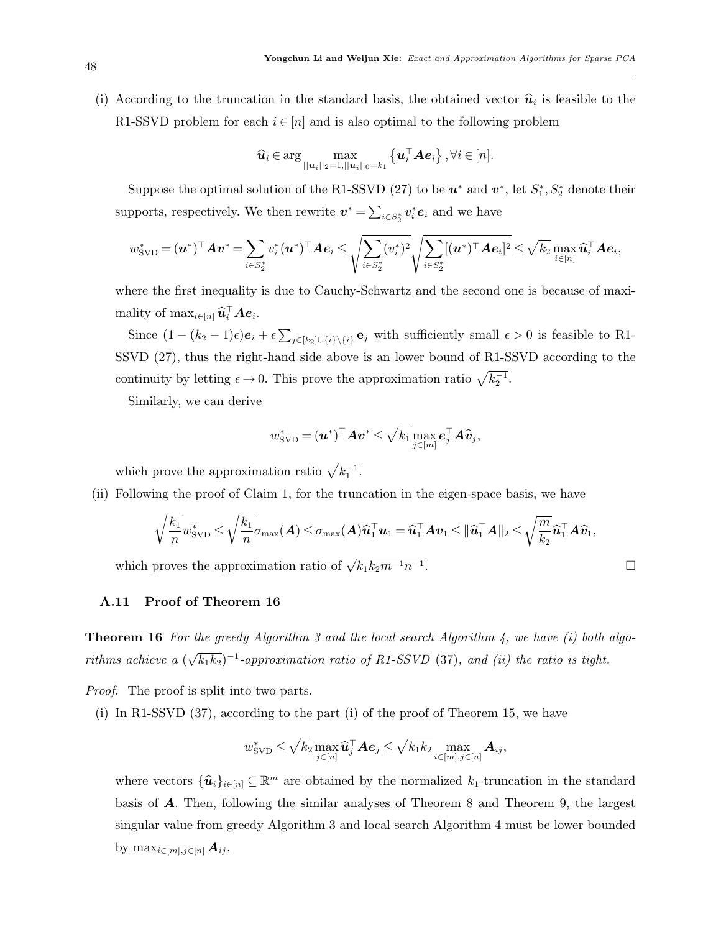(i) According to the truncation in the standard basis, the obtained vector  $\hat{u}_i$  is feasible to the R1-SSVD problem for each  $i \in [n]$  and is also optimal to the following problem

$$
\widehat{\boldsymbol{u}}_i \in \arg\max_{||\boldsymbol{u}_i||_2=1, ||\boldsymbol{u}_i||_0=k_1} \left\{ \boldsymbol{u}_i^{\top} \boldsymbol{A} \boldsymbol{e}_i \right\}, \forall i \in [n].
$$

Suppose the optimal solution of the R1-SSVD [\(27\)](#page-25-2) to be  $u^*$  and  $v^*$ , let  $S_1^*, S_2^*$  denote their supports, respectively. We then rewrite  $\boldsymbol{v}^* = \sum_{i \in S_2^*} v_i^* \boldsymbol{e}_i$  and we have

$$
w^*_{\text{SVD}} = (\boldsymbol{u}^*)^\top \boldsymbol{A} \boldsymbol{v}^* = \sum_{i \in S_2^*} v_i^* (\boldsymbol{u}^*)^\top \boldsymbol{A} \boldsymbol{e}_i \le \sqrt{\sum_{i \in S_2^*} (v_i^*)^2} \sqrt{\sum_{i \in S_2^*} [(\boldsymbol{u}^*)^\top \boldsymbol{A} \boldsymbol{e}_i]^2} \le \sqrt{k_2} \max_{i \in [n]} \widehat{\boldsymbol{u}}_i^\top \boldsymbol{A} \boldsymbol{e}_i,
$$

where the first inequality is due to Cauchy-Schwartz and the second one is because of maximality of  $\max_{i \in [n]} \widehat{\bm{u}}_i^{\top} \bm{A} \bm{e}_i$ .

Since  $(1-(k_2-1)\epsilon)\mathbf{e}_i + \epsilon \sum_{j\in[k_2]\cup\{i\}\setminus\{i\}} \mathbf{e}_j$  with sufficiently small  $\epsilon > 0$  is feasible to R1-SSVD [\(27\)](#page-25-2), thus the right-hand side above is an lower bound of R1-SSVD according to the continuity by letting  $\epsilon \to 0$ . This prove the approximation ratio  $\sqrt{k_2^{-1}}$ .

Similarly, we can derive

$$
w_{\text{SVD}}^* = (\boldsymbol{u}^*)^\top \boldsymbol{A} \boldsymbol{v}^* \leq \sqrt{k_1} \max_{j \in [m]} \boldsymbol{e}_j^\top \boldsymbol{A} \widehat{\boldsymbol{v}}_j,
$$

which prove the approximation ratio  $\sqrt{k_1^{-1}}$ .

(ii) Following the proof of Claim [1,](#page-45-2) for the truncation in the eigen-space basis, we have

$$
\sqrt{\frac{k_1}{n}} w_{\text{SVD}}^* \leq \sqrt{\frac{k_1}{n}} \sigma_{\max}(\boldsymbol{A}) \leq \sigma_{\max}(\boldsymbol{A}) \widehat{\boldsymbol{u}}_1^\top \boldsymbol{u}_1 = \widehat{\boldsymbol{u}}_1^\top \boldsymbol{A} \boldsymbol{v}_1 \leq \|\widehat{\boldsymbol{u}}_1^\top \boldsymbol{A}\|_2 \leq \sqrt{\frac{m}{k_2}} \widehat{\boldsymbol{u}}_1^\top \boldsymbol{A} \widehat{\boldsymbol{v}}_1,
$$

which proves the approximation ratio of  $\sqrt{k_1k_2m^{-1}n^{-1}}$ 

# <span id="page-47-0"></span>A.11 Proof of Theorem [16](#page-30-2)

**Theorem 16** For the greedy Algorithm [3](#page-30-0) and the local search Algorithm [4,](#page-31-0) we have  $(i)$  both algorithms achieve a ( √  $\overline{k_1k_2})^{-1}$ -approximation ratio of R1-SSVD [\(37\)](#page-30-1), and (ii) the ratio is tight.

Proof. The proof is split into two parts.

(i) In R1-SSVD  $(37)$ , according to the part (i) of the proof of Theorem [15,](#page-29-0) we have

$$
w_{\text{SVD}}^* \leq \sqrt{k_2} \max_{j \in [n]} \widehat{\boldsymbol{u}}_j^{\top} \boldsymbol{A} \boldsymbol{e}_j \leq \sqrt{k_1 k_2} \max_{i \in [m], j \in [n]} \boldsymbol{A}_{ij},
$$

where vectors  $\{\widehat{\mathbf{u}}_i\}_{i\in[n]}\subseteq\mathbb{R}^m$  are obtained by the normalized  $k_1$ -truncation in the standard basis of A. Then, following the similar analyses of Theorem [8](#page-17-2) and Theorem [9,](#page-18-1) the largest singular value from greedy Algorithm [3](#page-30-0) and local search Algorithm [4](#page-31-0) must be lower bounded by  $\max_{i \in [m], j \in [n]} A_{ij}$ .

. В последните последните последните под последните и последните под последните под последните под последните п<br>В последните последните последните под последните под последните под последните под последните под последните